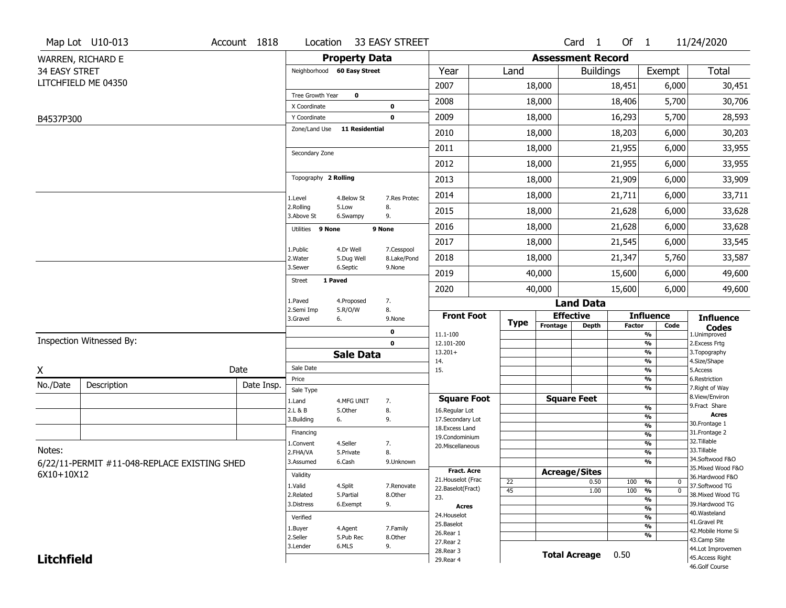|                      | Map Lot U10-013                              | Account 1818 | Location                     |                       | 33 EASY STREET     |                                    |             |                          | Card <sub>1</sub>    | Of $1$        |                                | 11/24/2020                           |
|----------------------|----------------------------------------------|--------------|------------------------------|-----------------------|--------------------|------------------------------------|-------------|--------------------------|----------------------|---------------|--------------------------------|--------------------------------------|
|                      | WARREN, RICHARD E                            |              |                              | <b>Property Data</b>  |                    |                                    |             | <b>Assessment Record</b> |                      |               |                                |                                      |
| <b>34 EASY STRET</b> |                                              |              | Neighborhood 60 Easy Street  |                       |                    | Year                               | Land        |                          | <b>Buildings</b>     |               | Exempt                         | <b>Total</b>                         |
|                      | LITCHFIELD ME 04350                          |              |                              |                       |                    | 2007                               |             | 18,000                   |                      | 18,451        | 6,000                          | 30,451                               |
|                      |                                              |              | Tree Growth Year             | 0                     |                    | 2008                               |             | 18,000                   |                      | 18,406        | 5,700                          | 30,706                               |
| B4537P300            |                                              |              | X Coordinate<br>Y Coordinate |                       | 0<br>0             | 2009                               |             | 18,000                   |                      | 16,293        | 5,700                          | 28,593                               |
|                      |                                              |              | Zone/Land Use                | 11 Residential        |                    | 2010                               |             | 18,000                   |                      | 18,203        | 6,000                          | 30,203                               |
|                      |                                              |              |                              |                       |                    | 2011                               |             | 18,000                   |                      | 21,955        | 6,000                          | 33,955                               |
|                      |                                              |              | Secondary Zone               |                       |                    | 2012                               |             | 18,000                   |                      | 21,955        | 6,000                          | 33,955                               |
|                      |                                              |              | Topography 2 Rolling         |                       |                    |                                    |             |                          |                      |               |                                |                                      |
|                      |                                              |              |                              |                       |                    | 2013                               |             | 18,000                   |                      | 21,909        | 6,000                          | 33,909                               |
|                      |                                              |              | 1.Level<br>2.Rolling         | 4.Below St<br>5.Low   | 7.Res Protec<br>8. | 2014                               |             | 18,000                   |                      | 21,711        | 6,000                          | 33,711                               |
|                      |                                              |              | 3.Above St                   | 6.Swampy              | 9.                 | 2015                               |             | 18,000                   |                      | 21,628        | 6,000                          | 33,628                               |
|                      |                                              |              | Utilities 9 None             |                       | 9 None             | 2016                               |             | 18,000                   |                      | 21,628        | 6,000                          | 33,628                               |
|                      |                                              |              | 1.Public                     | 4.Dr Well             | 7.Cesspool         | 2017                               |             | 18,000                   |                      | 21,545        | 6,000                          | 33,545                               |
|                      |                                              |              | 2. Water                     | 5.Dug Well            | 8.Lake/Pond        | 2018                               |             | 18,000                   |                      | 21,347        | 5,760                          | 33,587                               |
|                      |                                              |              | 3.Sewer<br>1 Paved<br>Street | 6.Septic              | 9.None             | 2019                               |             | 40,000                   |                      | 15,600        | 6,000                          | 49,600                               |
|                      |                                              |              |                              |                       |                    | 2020                               |             | 40,000                   |                      | 15,600        | 6,000                          | 49,600                               |
|                      |                                              |              | 1.Paved<br>2.Semi Imp        | 4.Proposed<br>5.R/O/W | 7.<br>8.           |                                    |             |                          | <b>Land Data</b>     |               |                                |                                      |
|                      |                                              |              | 3.Gravel                     | 6.                    | 9.None             | <b>Front Foot</b>                  | <b>Type</b> |                          | <b>Effective</b>     |               | <b>Influence</b>               | <b>Influence</b>                     |
|                      |                                              |              |                              |                       | 0                  | 11.1-100                           |             | Frontage                 | <b>Depth</b>         | <b>Factor</b> | Code<br>%                      | <b>Codes</b><br>1.Unimproved         |
|                      | Inspection Witnessed By:                     |              |                              |                       | $\mathbf 0$        | 12.101-200<br>$13.201+$            |             |                          |                      |               | $\overline{\frac{9}{6}}$<br>%  | 2. Excess Frtg<br>3. Topography      |
|                      |                                              |              |                              | <b>Sale Data</b>      |                    | 14.                                |             |                          |                      |               | %                              | 4.Size/Shape                         |
| X                    |                                              | Date         | Sale Date<br>Price           |                       |                    | 15.                                |             |                          |                      |               | %<br>$\frac{9}{6}$             | 5.Access<br>6.Restriction            |
| No./Date             | Description                                  | Date Insp.   | Sale Type                    |                       |                    |                                    |             |                          |                      |               | %                              | 7. Right of Way                      |
|                      |                                              |              | 1.Land                       | 4.MFG UNIT            | 7.                 | <b>Square Foot</b>                 |             |                          | <b>Square Feet</b>   |               |                                | 8.View/Environ                       |
|                      |                                              |              | 2.L & B                      | 5.Other               | 8.                 | 16.Regular Lot                     |             |                          |                      |               | $\frac{9}{6}$<br>%             | 9. Fract Share<br><b>Acres</b>       |
|                      |                                              |              | 3.Building                   | 6.                    | 9.                 | 17.Secondary Lot<br>18.Excess Land |             |                          |                      |               | $\frac{9}{6}$                  | 30. Frontage 1                       |
|                      |                                              |              | Financing                    |                       |                    | 19.Condominium                     |             |                          |                      |               | $\overline{\frac{9}{6}}$       | 31. Frontage 2                       |
| Notes:               |                                              |              | 1.Convent                    | 4.Seller              | 7.                 | 20.Miscellaneous                   |             |                          |                      |               | $\frac{9}{6}$                  | 32. Tillable<br>33.Tillable          |
|                      |                                              |              | 2.FHA/VA<br>3.Assumed        | 5.Private<br>6.Cash   | 8.<br>9.Unknown    |                                    |             |                          |                      |               | $\overline{\frac{9}{6}}$<br>%  | 34.Softwood F&O                      |
|                      | 6/22/11-PERMIT #11-048-REPLACE EXISTING SHED |              |                              |                       |                    | <b>Fract. Acre</b>                 |             | <b>Acreage/Sites</b>     |                      |               |                                | 35. Mixed Wood F&O                   |
|                      | 6X10+10X12                                   |              | Validity                     |                       |                    | 21. Houselot (Frac                 | 22          |                          | 0.50                 | 100           | %<br>0                         | 36.Hardwood F&O                      |
|                      |                                              |              | 1.Valid                      | 4.Split               | 7.Renovate         | 22.Baselot(Fract)                  | 45          |                          | 1.00                 | 100           | $\overline{\mathfrak{o}}$<br>% | 37.Softwood TG                       |
|                      |                                              |              | 2.Related                    | 5.Partial             | 8.Other            | 23.                                |             |                          |                      |               | $\overline{\frac{9}{6}}$       | 38. Mixed Wood TG                    |
|                      |                                              |              | 3.Distress                   | 6.Exempt              | 9.                 | <b>Acres</b>                       |             |                          |                      |               | $\frac{9}{6}$                  | 39.Hardwood TG<br>40. Wasteland      |
|                      |                                              |              | Verified                     |                       |                    | 24. Houselot<br>25.Baselot         |             |                          |                      |               | %                              | 41.Gravel Pit                        |
|                      |                                              |              | 1.Buyer                      | 4.Agent               | 7.Family           |                                    |             |                          |                      |               | %                              | 42. Mobile Home Si                   |
|                      |                                              |              |                              |                       |                    |                                    |             |                          |                      |               |                                |                                      |
|                      |                                              |              | 2.Seller                     | 5.Pub Rec             | 8.0ther            | 26.Rear 1<br>27.Rear 2             |             |                          |                      |               | %                              | 43.Camp Site                         |
| <b>Litchfield</b>    |                                              |              | 3.Lender                     | 6.MLS                 | 9.                 | 28. Rear 3                         |             |                          | <b>Total Acreage</b> | 0.50          |                                | 44.Lot Improvemen<br>45.Access Right |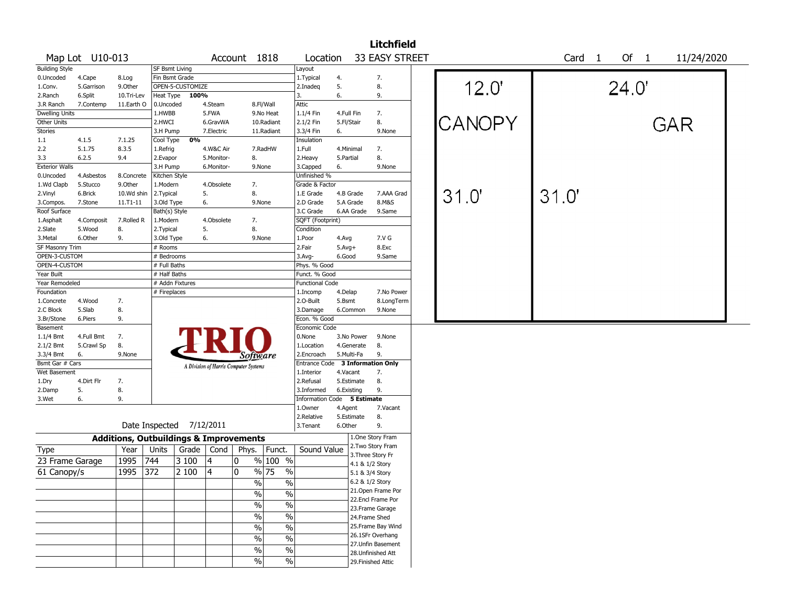|                       |                 |            |                                                   |                  |            |                                       |               |                                  |            |                 | <b>Litchfield</b>  |  |               |       |                        |            |  |
|-----------------------|-----------------|------------|---------------------------------------------------|------------------|------------|---------------------------------------|---------------|----------------------------------|------------|-----------------|--------------------|--|---------------|-------|------------------------|------------|--|
|                       | Map Lot U10-013 |            |                                                   |                  |            | Account 1818                          |               | Location                         |            |                 | 33 EASY STREET     |  |               | Card  | Of 1<br>$\overline{1}$ | 11/24/2020 |  |
| <b>Building Style</b> |                 |            | <b>SF Bsmt Living</b>                             |                  |            |                                       |               | Layout                           |            |                 |                    |  |               |       |                        |            |  |
| 0.Uncoded             | 4.Cape          | 8.Log      | Fin Bsmt Grade                                    |                  |            |                                       |               | 1.Typical                        | 4.         |                 | 7.                 |  |               |       |                        |            |  |
| 1.Conv.               | 5.Garrison      | 9.Other    |                                                   | OPEN-5-CUSTOMIZE |            |                                       |               | 2.Inadeq                         | 5.         |                 | 8.                 |  | 12.0'         |       | 24.0'                  |            |  |
| 2.Ranch               | 6.Split         | 10.Tri-Lev | Heat Type                                         | 100%             |            |                                       |               | 3.                               | 6.         |                 | 9.                 |  |               |       |                        |            |  |
| 3.R Ranch             | 7.Contemp       | 11.Earth O | 0.Uncoded                                         |                  | 4.Steam    |                                       | 8.Fl/Wall     | Attic                            |            |                 |                    |  |               |       |                        |            |  |
| <b>Dwelling Units</b> |                 |            | 1.HWBB                                            |                  | 5.FWA      |                                       | 9.No Heat     | 1.1/4 Fin                        | 4.Full Fin |                 | 7.                 |  |               |       |                        |            |  |
| Other Units           |                 |            | 2.HWCI                                            |                  | 6.GravWA   |                                       | 10.Radiant    | 2.1/2 Fin                        | 5.Fl/Stair |                 | 8.                 |  | <b>CANOPY</b> |       |                        | GAR        |  |
| Stories               |                 |            | 3.H Pump                                          |                  | 7.Electric |                                       | 11.Radiant    | 3.3/4 Fin                        | 6.         |                 | 9.None             |  |               |       |                        |            |  |
| 1.1                   | 4.1.5           | 7.1.25     | Cool Type                                         | 0%               |            |                                       |               | Insulation                       |            |                 |                    |  |               |       |                        |            |  |
| 2.2                   | 5.1.75          | 8.3.5      | 1.Refrig                                          |                  | 4.W&C Air  |                                       | 7.RadHW       | 1.Full                           | 4.Minimal  |                 | 7.                 |  |               |       |                        |            |  |
| 3.3                   | 6.2.5           | 9.4        | 2.Evapor                                          |                  | 5.Monitor- | 8.                                    |               | 2. Heavy                         | 5.Partial  |                 | 8.                 |  |               |       |                        |            |  |
| <b>Exterior Walls</b> |                 |            | 3.H Pump                                          |                  | 6.Monitor- |                                       | 9.None        | 3.Capped                         | 6.         |                 | 9.None             |  |               |       |                        |            |  |
| 0.Uncoded             | 4.Asbestos      | 8.Concrete | Kitchen Style                                     |                  |            |                                       |               | Unfinished %                     |            |                 |                    |  |               |       |                        |            |  |
| 1.Wd Clapb            | 5.Stucco        | 9.Other    | 1.Modern                                          |                  | 4.Obsolete | 7.                                    |               | Grade & Factor                   |            |                 |                    |  |               |       |                        |            |  |
| 2.Vinyl               | 6.Brick         | 10.Wd shin | 2.Typical                                         |                  | 5.         | 8.                                    |               | 1.E Grade                        |            | 4.B Grade       | 7.AAA Grad         |  | 31.0'         | 31.0' |                        |            |  |
| 3.Compos.             | 7.Stone         | 11.T1-11   | 3.Old Type                                        |                  | 6.         | 9.None                                |               | 2.D Grade                        |            | 5.A Grade       | 8.M&S              |  |               |       |                        |            |  |
| Roof Surface          |                 |            | Bath(s) Style                                     |                  |            |                                       |               | 3.C Grade                        |            | 6.AA Grade      | 9.Same             |  |               |       |                        |            |  |
| 1.Asphalt             | 4.Composit      | 7.Rolled R | 1.Modern                                          |                  | 4.Obsolete | 7.                                    |               | SQFT (Footprint)                 |            |                 |                    |  |               |       |                        |            |  |
| 2.Slate               | 5.Wood          | 8.         | 2. Typical                                        |                  | 5.         | 8.                                    |               | Condition                        |            |                 |                    |  |               |       |                        |            |  |
| 3.Metal               | 6.Other         | 9.         | 3.Old Type                                        |                  | 6.         | 9.None                                |               | 1.Poor                           | 4.Avg      |                 | 7.V G              |  |               |       |                        |            |  |
| SF Masonry Trim       |                 |            | $#$ Rooms                                         |                  |            |                                       |               | 2.Fair                           | $5.Avg+$   |                 | 8.Exc              |  |               |       |                        |            |  |
| OPEN-3-CUSTOM         |                 |            | # Bedrooms                                        |                  |            |                                       |               | $3.$ Avg-                        | 6.Good     |                 | 9.Same             |  |               |       |                        |            |  |
| OPEN-4-CUSTOM         |                 |            | # Full Baths                                      |                  |            |                                       |               | Phys. % Good                     |            |                 |                    |  |               |       |                        |            |  |
| Year Built            |                 |            | # Half Baths                                      |                  |            |                                       |               | Funct. % Good                    |            |                 |                    |  |               |       |                        |            |  |
| Year Remodeled        |                 |            | # Addn Fixtures                                   |                  |            |                                       |               | <b>Functional Code</b>           |            |                 |                    |  |               |       |                        |            |  |
| Foundation            |                 |            | # Fireplaces                                      |                  |            |                                       |               | 1.Incomp                         | 4.Delap    |                 | 7.No Power         |  |               |       |                        |            |  |
| 1.Concrete            | 4.Wood          | 7.         |                                                   |                  |            |                                       |               | 2.0-Built                        | 5.Bsmt     |                 | 8.LongTerm         |  |               |       |                        |            |  |
| 2.C Block             | 5.Slab          | 8.         |                                                   |                  |            |                                       |               | 3.Damage                         |            | 6.Common        | 9.None             |  |               |       |                        |            |  |
| 3.Br/Stone            | 6.Piers         | 9.         |                                                   |                  |            |                                       |               | Econ. % Good                     |            |                 |                    |  |               |       |                        |            |  |
| Basement              |                 |            |                                                   |                  |            |                                       |               | Economic Code                    |            |                 |                    |  |               |       |                        |            |  |
| 1.1/4 Bmt             | 4.Full Bmt      | 7.         |                                                   |                  |            |                                       |               | 0.None                           |            | 3.No Power      | 9.None             |  |               |       |                        |            |  |
| 2.1/2 Bmt             | 5.Crawl Sp      | 8.         |                                                   |                  |            |                                       |               | 1.Location                       |            | 4.Generate      | 8.                 |  |               |       |                        |            |  |
| 3.3/4 Bmt             | 6.              | 9.None     |                                                   |                  |            | Software                              |               | 2.Encroach                       |            | 5.Multi-Fa      | 9.                 |  |               |       |                        |            |  |
| Bsmt Gar # Cars       |                 |            |                                                   |                  |            |                                       |               | Entrance Code 3 Information Only |            |                 |                    |  |               |       |                        |            |  |
| Wet Basement          |                 |            |                                                   |                  |            | A Division of Harris Computer Systems |               | 1.Interior                       | 4.Vacant   |                 | 7.                 |  |               |       |                        |            |  |
| 1.Dry                 | 4.Dirt Flr      | 7.         |                                                   |                  |            |                                       |               | 2.Refusal                        |            | 5.Estimate      | 8.                 |  |               |       |                        |            |  |
| 2.Damp                | 5.              | 8.         |                                                   |                  |            |                                       |               | 3.Informed                       |            | 6.Existing      | 9.                 |  |               |       |                        |            |  |
| 3.Wet                 | 6.              | 9.         |                                                   |                  |            |                                       |               | Information Code 5 Estimate      |            |                 |                    |  |               |       |                        |            |  |
|                       |                 |            |                                                   |                  |            |                                       |               | 1.0wner                          | 4.Agent    |                 | 7.Vacant           |  |               |       |                        |            |  |
|                       |                 |            |                                                   |                  |            |                                       |               | 2.Relative                       |            | 5.Estimate      | 8.                 |  |               |       |                        |            |  |
|                       |                 |            | Date Inspected 7/12/2011                          |                  |            |                                       |               | 3.Tenant                         | 6.Other    |                 | 9.                 |  |               |       |                        |            |  |
|                       |                 |            | <b>Additions, Outbuildings &amp; Improvements</b> |                  |            |                                       |               |                                  |            |                 | 1.One Story Fram   |  |               |       |                        |            |  |
| Type                  |                 | Year       | Units                                             | Grade            | Cond       | Phys.                                 | Funct.        | Sound Value                      |            |                 | 2.Two Story Fram   |  |               |       |                        |            |  |
| 23 Frame Garage       |                 | 1995       | 744                                               | 3 100            | 14         | 10                                    | % 100 %       |                                  |            |                 | 3. Three Story Fr  |  |               |       |                        |            |  |
|                       |                 |            |                                                   |                  |            | 10                                    | $\%$          |                                  |            |                 | 4.1 & 1/2 Story    |  |               |       |                        |            |  |
| 61 Canopy/s           |                 | 1995       | 372                                               | 2 100            | 4          |                                       | % 75          |                                  |            |                 | 5.1 & 3/4 Story    |  |               |       |                        |            |  |
|                       |                 |            |                                                   |                  |            | $\%$                                  | $\frac{0}{0}$ |                                  |            | 6.2 & 1/2 Story |                    |  |               |       |                        |            |  |
|                       |                 |            |                                                   |                  |            | $\%$                                  | %             |                                  |            |                 | 21.Open Frame Por  |  |               |       |                        |            |  |
|                       |                 |            |                                                   |                  |            | $\%$                                  | $\frac{0}{6}$ |                                  |            |                 | 22.Encl Frame Por  |  |               |       |                        |            |  |
|                       |                 |            |                                                   |                  |            |                                       | $\frac{0}{6}$ |                                  |            |                 | 23. Frame Garage   |  |               |       |                        |            |  |
|                       |                 |            |                                                   |                  |            | $\%$                                  |               |                                  |            |                 | 24.Frame Shed      |  |               |       |                        |            |  |
|                       |                 |            |                                                   |                  |            | $\%$                                  | $\frac{0}{6}$ |                                  |            |                 | 25. Frame Bay Wind |  |               |       |                        |            |  |
|                       |                 |            |                                                   |                  |            | $\%$                                  | $\frac{1}{2}$ |                                  |            |                 | 26.1SFr Overhang   |  |               |       |                        |            |  |
|                       |                 |            |                                                   |                  |            | $\%$                                  | $\frac{0}{0}$ |                                  |            |                 | 27.Unfin Basement  |  |               |       |                        |            |  |
|                       |                 |            |                                                   |                  |            |                                       |               |                                  |            |                 | 28. Unfinished Att |  |               |       |                        |            |  |
|                       |                 |            |                                                   |                  |            | $\%$                                  | %             |                                  |            |                 | 29. Finished Attic |  |               |       |                        |            |  |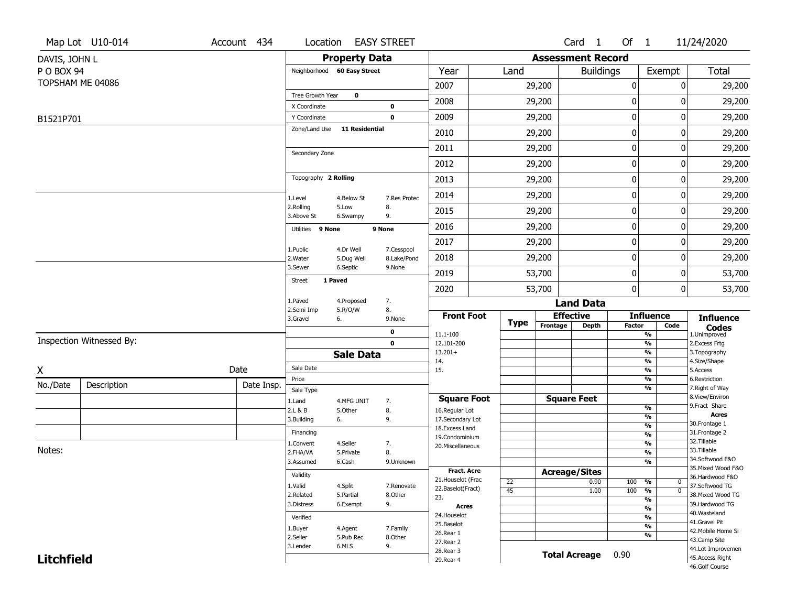|                   | Map Lot U10-014          | Account 434 | Location                     |                         | <b>EASY STREET</b>         |                                          |                       |                          | Card <sub>1</sub>    | Of $1$        |                                                      | 11/24/2020                          |
|-------------------|--------------------------|-------------|------------------------------|-------------------------|----------------------------|------------------------------------------|-----------------------|--------------------------|----------------------|---------------|------------------------------------------------------|-------------------------------------|
| DAVIS, JOHN L     |                          |             |                              | <b>Property Data</b>    |                            |                                          |                       | <b>Assessment Record</b> |                      |               |                                                      |                                     |
| P O BOX 94        |                          |             | Neighborhood 60 Easy Street  |                         |                            | Year                                     | Land                  |                          | <b>Buildings</b>     |               | Exempt                                               | Total                               |
|                   | TOPSHAM ME 04086         |             |                              |                         |                            | 2007                                     |                       | 29,200                   |                      | 0             | 0                                                    | 29,200                              |
|                   |                          |             | Tree Growth Year             | $\bf{0}$                |                            | 2008                                     |                       | 29,200                   |                      | 0             | 0                                                    | 29,200                              |
|                   |                          |             | X Coordinate<br>Y Coordinate |                         | $\mathbf 0$<br>$\mathbf 0$ | 2009                                     |                       | 29,200                   |                      | 0             | 0                                                    | 29,200                              |
| B1521P701         |                          |             | Zone/Land Use                | <b>11 Residential</b>   |                            |                                          |                       |                          |                      |               |                                                      |                                     |
|                   |                          |             |                              |                         |                            | 2010                                     |                       | 29,200                   |                      | $\pmb{0}$     | 0                                                    | 29,200                              |
|                   |                          |             | Secondary Zone               |                         |                            | 2011                                     |                       | 29,200                   |                      | 0             | 0                                                    | 29,200                              |
|                   |                          |             |                              |                         |                            | 2012                                     |                       | 29,200                   |                      | 0             | 0                                                    | 29,200                              |
|                   |                          |             | Topography 2 Rolling         |                         |                            | 2013                                     |                       | 29,200                   |                      | 0             | 0                                                    | 29,200                              |
|                   |                          |             | 1.Level                      | 4.Below St              | 7.Res Protec               | 2014                                     |                       | 29,200                   |                      | $\pmb{0}$     | 0                                                    | 29,200                              |
|                   |                          |             | 2.Rolling<br>3.Above St      | 5.Low<br>6.Swampy       | 8.<br>9.                   | 2015                                     |                       | 29,200                   |                      | 0             | 0                                                    | 29,200                              |
|                   |                          |             | Utilities 9 None             |                         | 9 None                     | 2016                                     |                       | 29,200                   |                      | 0             | 0                                                    | 29,200                              |
|                   |                          |             |                              |                         |                            | 2017                                     |                       | 29,200                   |                      | 0             | 0                                                    | 29,200                              |
|                   |                          |             | 1.Public<br>2. Water         | 4.Dr Well<br>5.Dug Well | 7.Cesspool<br>8.Lake/Pond  | 2018                                     |                       | 29,200                   |                      | 0             | 0                                                    | 29,200                              |
|                   |                          |             | 3.Sewer                      | 6.Septic                | 9.None                     | 2019                                     |                       | 53,700                   |                      | 0             | 0                                                    | 53,700                              |
|                   |                          |             | <b>Street</b>                | 1 Paved                 |                            | 2020                                     |                       | 53,700                   |                      | 0             | 0                                                    | 53,700                              |
|                   |                          |             | 1.Paved                      | 4.Proposed              | 7.                         |                                          |                       |                          | <b>Land Data</b>     |               |                                                      |                                     |
|                   |                          |             | 2.Semi Imp<br>3.Gravel       | 5.R/O/W<br>6.           | 8.<br>9.None               | <b>Front Foot</b>                        |                       | <b>Effective</b>         |                      |               | <b>Influence</b>                                     | <b>Influence</b>                    |
|                   |                          |             |                              |                         | 0                          | 11.1-100                                 | <b>Type</b>           | Frontage                 | <b>Depth</b>         | <b>Factor</b> | Code<br>$\frac{9}{6}$                                | <b>Codes</b><br>1.Unimproved        |
|                   | Inspection Witnessed By: |             |                              |                         | $\mathbf 0$                | 12.101-200                               |                       |                          |                      |               | $\frac{9}{6}$                                        | 2.Excess Frtg                       |
|                   |                          |             |                              | <b>Sale Data</b>        |                            | $13.201+$<br>14.                         |                       |                          |                      |               | $\overline{\mathcal{O}_{\!\!/\!0}}$<br>$\frac{9}{6}$ | 3. Topography<br>4.Size/Shape       |
| X                 |                          | Date        | Sale Date                    |                         |                            | 15.                                      |                       |                          |                      |               | $\frac{9}{6}$                                        | 5.Access                            |
| No./Date          | Description              | Date Insp.  | Price                        |                         |                            |                                          |                       |                          |                      |               | $\frac{9}{6}$<br>$\frac{9}{6}$                       | 6.Restriction<br>7. Right of Way    |
|                   |                          |             | Sale Type<br>1.Land          | 4.MFG UNIT              | 7.                         | <b>Square Foot</b>                       |                       | <b>Square Feet</b>       |                      |               |                                                      | 8.View/Environ                      |
|                   |                          |             | 2.L & B                      | 5.Other                 | 8.                         | 16.Regular Lot                           |                       |                          |                      |               | $\frac{9}{6}$                                        | 9.Fract Share<br><b>Acres</b>       |
|                   |                          |             | 3.Building                   | 6.                      | 9.                         | 17.Secondary Lot                         |                       |                          |                      |               | $\frac{9}{6}$<br>$\frac{9}{6}$                       | 30. Frontage 1                      |
|                   |                          |             | Financing                    |                         |                            | 18.Excess Land<br>19.Condominium         |                       |                          |                      |               | $\frac{9}{6}$                                        | 31. Frontage 2                      |
|                   |                          |             | 1.Convent                    | 4.Seller                | 7.                         | 20.Miscellaneous                         |                       |                          |                      |               | $\frac{9}{6}$                                        | 32.Tillable                         |
| Notes:            |                          |             | 2.FHA/VA                     | 5.Private               | 8.                         |                                          |                       |                          |                      |               | $\frac{9}{6}$                                        | 33.Tillable<br>34.Softwood F&O      |
|                   |                          |             | 3.Assumed                    | 6.Cash                  | 9.Unknown                  |                                          |                       |                          |                      |               | $\frac{9}{6}$                                        | 35. Mixed Wood F&O                  |
|                   |                          |             | Validity                     |                         |                            | <b>Fract. Acre</b><br>21. Houselot (Frac |                       | <b>Acreage/Sites</b>     |                      |               |                                                      | 36.Hardwood F&O                     |
|                   |                          |             | 1.Valid                      | 4.Split                 | 7.Renovate                 | 22.Baselot(Fract)                        | 22<br>$\overline{45}$ |                          | 0.90<br>1.00         | 100<br>100    | %<br>$\mathbf{0}$<br>$\overline{0}$                  | 37.Softwood TG                      |
|                   |                          |             | 2.Related                    | 5.Partial               | 8.Other                    | 23.                                      |                       |                          |                      |               | %<br>$\frac{9}{6}$                                   | 38. Mixed Wood TG                   |
|                   |                          |             | 3.Distress                   | 6.Exempt                | 9.                         | Acres                                    |                       |                          |                      |               | $\frac{9}{6}$                                        | 39.Hardwood TG                      |
|                   |                          |             | Verified                     |                         |                            | 24. Houselot                             |                       |                          |                      |               | $\frac{9}{6}$                                        | 40. Wasteland                       |
|                   |                          |             | 1.Buyer                      | 4.Agent                 | 7.Family                   | 25.Baselot                               |                       |                          |                      |               | $\frac{9}{6}$                                        | 41.Gravel Pit<br>42. Mobile Home Si |
|                   |                          |             | 2.Seller                     | 5.Pub Rec               | 8.Other                    | 26.Rear 1                                |                       |                          |                      |               | $\frac{9}{6}$                                        | 43.Camp Site                        |
|                   |                          |             | 3.Lender                     | 6.MLS                   | 9.                         | 27.Rear 2<br>28. Rear 3                  |                       |                          |                      |               |                                                      | 44.Lot Improvemen                   |
| <b>Litchfield</b> |                          |             |                              |                         |                            | 29. Rear 4                               |                       |                          | <b>Total Acreage</b> | 0.90          |                                                      | 45.Access Right                     |
|                   |                          |             |                              |                         |                            |                                          |                       |                          |                      |               |                                                      | 46.Golf Course                      |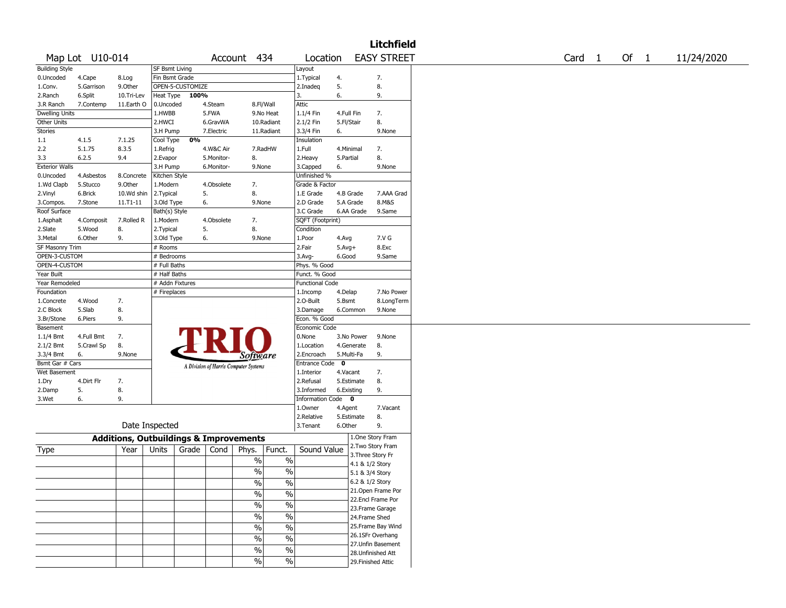|                        |                  |                                                   |                       |       |            |                                       |               |                        |                          | <b>Litchfield</b>  |                   |        |            |
|------------------------|------------------|---------------------------------------------------|-----------------------|-------|------------|---------------------------------------|---------------|------------------------|--------------------------|--------------------|-------------------|--------|------------|
|                        | Map Lot U10-014  |                                                   |                       |       |            | Account 434                           |               | Location               |                          | <b>EASY STREET</b> | Card <sub>1</sub> | Of $1$ | 11/24/2020 |
| <b>Building Style</b>  |                  |                                                   | <b>SF Bsmt Living</b> |       |            |                                       |               | Layout                 |                          |                    |                   |        |            |
| 0.Uncoded              | 4.Cape           | 8.Log                                             | Fin Bsmt Grade        |       |            |                                       |               | 1. Typical             | 4.                       | 7.                 |                   |        |            |
| 1.Conv.                | 5.Garrison       | 9.0ther                                           | OPEN-5-CUSTOMIZE      |       |            |                                       |               | 2.Inadeq               | 5.                       | 8.                 |                   |        |            |
| 2.Ranch                | 6.Split          | 10.Tri-Lev                                        | Heat Type             | 100%  |            |                                       |               | 3.                     | 6.                       | 9.                 |                   |        |            |
| 3.R Ranch              | 7.Contemp        | 11.Earth O                                        | 0.Uncoded             |       | 4.Steam    | 8.Fl/Wall                             |               | Attic                  |                          |                    |                   |        |            |
| <b>Dwelling Units</b>  |                  |                                                   | 1.HWBB                |       | 5.FWA      |                                       | 9.No Heat     | 1.1/4 Fin              | 4.Full Fin               | 7.                 |                   |        |            |
| Other Units            |                  |                                                   | 2.HWCI                |       | 6.GravWA   |                                       | 10.Radiant    | 2.1/2 Fin              | 5.Fl/Stair               | 8.                 |                   |        |            |
| <b>Stories</b>         |                  |                                                   | 3.H Pump              |       | 7.Electric |                                       | 11.Radiant    | 3.3/4 Fin              | 6.                       | 9.None             |                   |        |            |
| 1.1                    | 4.1.5            | 7.1.25                                            | Cool Type             | 0%    |            |                                       |               | Insulation             |                          |                    |                   |        |            |
| 2.2                    | 5.1.75           | 8.3.5                                             | 1.Refrig              |       | 4.W&C Air  |                                       | 7.RadHW       | 1.Full                 | 4.Minimal                | 7.                 |                   |        |            |
| 3.3                    | 6.2.5            | 9.4                                               | 2.Evapor              |       | 5.Monitor- | 8.                                    |               | 2. Heavy               | 5.Partial                | 8.                 |                   |        |            |
| <b>Exterior Walls</b>  |                  |                                                   | 3.H Pump              |       | 6.Monitor- | 9.None                                |               | 3.Capped               | 6.                       | 9.None             |                   |        |            |
| 0.Uncoded              | 4.Asbestos       | 8.Concrete                                        | Kitchen Style         |       |            |                                       |               | Unfinished %           |                          |                    |                   |        |            |
| 1.Wd Clapb             | 5.Stucco         | 9.Other                                           | 1.Modern              |       | 4.Obsolete | 7.                                    |               | Grade & Factor         |                          |                    |                   |        |            |
| 2.Vinyl                | 6.Brick          | 10.Wd shin                                        | 2.Typical             | 5.    |            | 8.                                    |               | 1.E Grade              | 4.B Grade                | 7.AAA Grad         |                   |        |            |
| 3.Compos.              | 7.Stone          | $11. T1 - 11$                                     | 3.Old Type            | 6.    |            | 9.None                                |               | 2.D Grade              | 5.A Grade                | 8.M&S              |                   |        |            |
| Roof Surface           |                  |                                                   | Bath(s) Style         |       |            |                                       |               | 3.C Grade              | 6.AA Grade               | 9.Same             |                   |        |            |
| 1.Asphalt              | 4.Composit       | 7.Rolled R                                        | 1.Modern              |       | 4.Obsolete | 7.                                    |               | SQFT (Footprint)       |                          |                    |                   |        |            |
| 2.Slate                | 5.Wood           | 8.                                                | 2.Typical             | 5.    |            | 8.                                    |               | Condition              |                          |                    |                   |        |            |
| 3.Metal                | 6.Other          | 9.                                                | 3.Old Type            | 6.    |            | 9.None                                |               | 1.Poor                 | 4.Avg                    | 7.V G              |                   |        |            |
| SF Masonry Trim        |                  |                                                   | # Rooms               |       |            |                                       |               | 2.Fair                 | $5.Avg+$                 | 8.Exc              |                   |        |            |
| OPEN-3-CUSTOM          |                  |                                                   | # Bedrooms            |       |            |                                       |               | $3.$ Avg-              | 6.Good                   | 9.Same             |                   |        |            |
| OPEN-4-CUSTOM          |                  |                                                   | # Full Baths          |       |            |                                       |               | Phys. % Good           |                          |                    |                   |        |            |
| Year Built             |                  |                                                   | # Half Baths          |       |            |                                       |               | Funct. % Good          |                          |                    |                   |        |            |
| Year Remodeled         |                  |                                                   | # Addn Fixtures       |       |            |                                       |               | <b>Functional Code</b> |                          |                    |                   |        |            |
| Foundation             |                  |                                                   | # Fireplaces          |       |            |                                       |               | 1.Incomp               | 4.Delap                  | 7.No Power         |                   |        |            |
| 1.Concrete             | 4.Wood           | 7.                                                |                       |       |            |                                       |               | 2.0-Built              | 5.Bsmt                   | 8.LongTerm         |                   |        |            |
| 2.C Block              | 5.Slab           | 8.                                                |                       |       |            |                                       |               | 3.Damage               | 6.Common                 | 9.None             |                   |        |            |
| 3.Br/Stone             | 6.Piers          | 9.                                                |                       |       |            |                                       |               | Econ. % Good           |                          |                    |                   |        |            |
| Basement               |                  |                                                   |                       |       |            |                                       |               | Economic Code          |                          |                    |                   |        |            |
|                        |                  |                                                   |                       |       |            |                                       |               | 0.None                 |                          |                    |                   |        |            |
| 1.1/4 Bmt              | 4.Full Bmt       | 7.<br>8.                                          |                       |       |            |                                       |               | 1.Location             | 3.No Power<br>4.Generate | 9.None<br>8.       |                   |        |            |
| 2.1/2 Bmt<br>3.3/4 Bmt | 5.Crawl Sp<br>6. | 9.None                                            |                       |       |            |                                       |               | 2.Encroach             | 5.Multi-Fa               | 9.                 |                   |        |            |
| Bsmt Gar # Cars        |                  |                                                   |                       |       |            | Software                              |               | <b>Entrance Code</b>   | $\mathbf{o}$             |                    |                   |        |            |
| Wet Basement           |                  |                                                   |                       |       |            | A Division of Harris Computer Systems |               | 1.Interior             | 4.Vacant                 | 7.                 |                   |        |            |
|                        |                  |                                                   |                       |       |            |                                       |               |                        |                          |                    |                   |        |            |
| 1.Dry                  | 4.Dirt Flr       | 7.                                                |                       |       |            |                                       |               | 2.Refusal              | 5.Estimate               | 8.                 |                   |        |            |
| 2.Damp                 | 5.<br>6.         | 8.<br>9.                                          |                       |       |            |                                       |               | 3.Informed             | 6.Existing               | 9.                 |                   |        |            |
| 3.Wet                  |                  |                                                   |                       |       |            |                                       |               | Information Code 0     |                          |                    |                   |        |            |
|                        |                  |                                                   |                       |       |            |                                       |               | 1.Owner                | 4.Agent                  | 7.Vacant           |                   |        |            |
|                        |                  | Date Inspected                                    |                       |       |            |                                       |               | 2.Relative             | 5.Estimate               | 8.                 |                   |        |            |
|                        |                  |                                                   |                       |       |            |                                       |               | 3. Tenant              | 6.Other                  | 9.                 |                   |        |            |
|                        |                  | <b>Additions, Outbuildings &amp; Improvements</b> |                       |       |            |                                       |               |                        |                          | 1.One Story Fram   |                   |        |            |
| Type                   |                  | Year                                              | Units                 | Grade | Cond       | Phys.                                 | Funct.        | Sound Value            |                          | 2. Two Story Fram  |                   |        |            |
|                        |                  |                                                   |                       |       |            | $\%$                                  | $\%$          |                        |                          | 3. Three Story Fr  |                   |        |            |
|                        |                  |                                                   |                       |       |            |                                       |               |                        |                          | 4.1 & 1/2 Story    |                   |        |            |
|                        |                  |                                                   |                       |       |            | $\%$                                  | $\%$          |                        |                          | 5.1 & 3/4 Story    |                   |        |            |
|                        |                  |                                                   |                       |       |            | $\sqrt{6}$                            | $\%$          |                        |                          | 6.2 & 1/2 Story    |                   |        |            |
|                        |                  |                                                   |                       |       |            | $\frac{1}{2}$                         | $\frac{1}{2}$ |                        |                          | 21. Open Frame Por |                   |        |            |
|                        |                  |                                                   |                       |       |            |                                       |               |                        |                          | 22.Encl Frame Por  |                   |        |            |
|                        |                  |                                                   |                       |       |            | $\sqrt{6}$                            | $\frac{0}{6}$ |                        |                          | 23. Frame Garage   |                   |        |            |
|                        |                  |                                                   |                       |       |            | $\frac{1}{2}$                         | $\frac{0}{6}$ |                        |                          | 24.Frame Shed      |                   |        |            |
|                        |                  |                                                   |                       |       |            | $\frac{0}{6}$                         | $\frac{0}{6}$ |                        |                          | 25. Frame Bay Wind |                   |        |            |
|                        |                  |                                                   |                       |       |            | $\%$                                  | $\frac{1}{2}$ |                        |                          | 26.1SFr Overhang   |                   |        |            |
|                        |                  |                                                   |                       |       |            |                                       |               |                        |                          | 27.Unfin Basement  |                   |        |            |
|                        |                  |                                                   |                       |       |            | $\%$                                  | $\frac{1}{2}$ |                        |                          | 28.Unfinished Att  |                   |        |            |
|                        |                  |                                                   |                       |       |            | $\frac{9}{6}$                         | $\%$          |                        |                          | 29. Finished Attic |                   |        |            |
|                        |                  |                                                   |                       |       |            |                                       |               |                        |                          |                    |                   |        |            |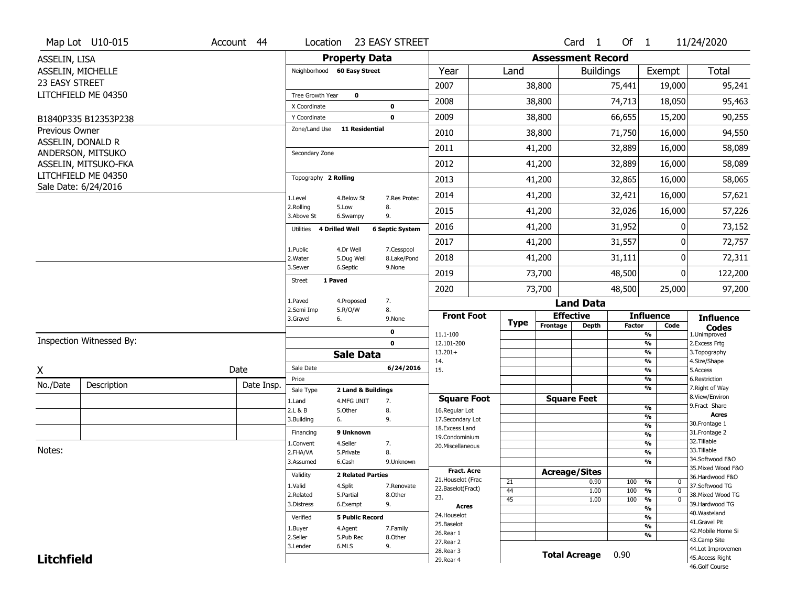|                       | Map Lot U10-015                        | Account 44 | Location                     |                          | 23 EASY STREET         |                                         |             |                          | Card 1               | Of $1$        |                                               | 11/24/2020                            |
|-----------------------|----------------------------------------|------------|------------------------------|--------------------------|------------------------|-----------------------------------------|-------------|--------------------------|----------------------|---------------|-----------------------------------------------|---------------------------------------|
| ASSELIN, LISA         |                                        |            |                              | <b>Property Data</b>     |                        |                                         |             | <b>Assessment Record</b> |                      |               |                                               |                                       |
|                       | ASSELIN, MICHELLE                      |            | Neighborhood 60 Easy Street  |                          |                        | Year                                    | Land        |                          | <b>Buildings</b>     |               | Exempt                                        | <b>Total</b>                          |
| 23 EASY STREET        |                                        |            |                              |                          |                        | 2007                                    |             | 38,800                   |                      | 75,441        | 19,000                                        | 95,241                                |
|                       | LITCHFIELD ME 04350                    |            | Tree Growth Year             | $\mathbf 0$              |                        |                                         |             |                          |                      |               |                                               |                                       |
|                       |                                        |            | X Coordinate                 |                          | 0                      | 2008                                    |             | 38,800                   |                      | 74,713        | 18,050                                        | 95,463                                |
|                       | B1840P335 B12353P238                   |            | Y Coordinate                 |                          | $\mathbf 0$            | 2009                                    |             | 38,800                   |                      | 66,655        | 15,200                                        | 90,255                                |
| <b>Previous Owner</b> |                                        |            | Zone/Land Use                | <b>11 Residential</b>    |                        | 2010                                    |             | 38,800                   |                      | 71,750        | 16,000                                        | 94,550                                |
|                       | ASSELIN, DONALD R<br>ANDERSON, MITSUKO |            | Secondary Zone               |                          |                        | 2011                                    |             | 41,200                   |                      | 32,889        | 16,000                                        | 58,089                                |
|                       | ASSELIN, MITSUKO-FKA                   |            |                              |                          |                        | 2012                                    |             | 41,200                   |                      | 32,889        | 16,000                                        | 58,089                                |
|                       | LITCHFIELD ME 04350                    |            | Topography 2 Rolling         |                          |                        | 2013                                    |             | 41,200                   |                      | 32,865        | 16,000                                        | 58,065                                |
|                       | Sale Date: 6/24/2016                   |            | 1.Level                      | 4.Below St               | 7.Res Protec           | 2014                                    |             | 41,200                   |                      | 32,421        | 16,000                                        | 57,621                                |
|                       |                                        |            | 2.Rolling<br>3.Above St      | 5.Low<br>6.Swampy        | 8.<br>9.               | 2015                                    |             | 41,200                   |                      | 32,026        | 16,000                                        | 57,226                                |
|                       |                                        |            | 4 Drilled Well<br>Utilities  |                          | <b>6 Septic System</b> | 2016                                    |             | 41,200                   |                      | 31,952        | 0                                             | 73,152                                |
|                       |                                        |            | 1.Public                     | 4.Dr Well                | 7.Cesspool             | 2017                                    |             | 41,200                   |                      | 31,557        | 0                                             | 72,757                                |
|                       |                                        |            | 2.Water                      | 5.Dug Well               | 8.Lake/Pond            | 2018                                    |             | 41,200                   |                      | 31,111        | 0                                             | 72,311                                |
|                       |                                        |            | 3.Sewer                      | 6.Septic                 | 9.None                 | 2019                                    |             | 73,700                   |                      | 48,500        | 0                                             | 122,200                               |
|                       |                                        |            | 1 Paved<br>Street            |                          |                        | 2020                                    |             | 73,700                   |                      | 48,500        | 25,000                                        | 97,200                                |
|                       |                                        |            | 1.Paved                      | 4.Proposed               | 7.                     |                                         |             |                          | <b>Land Data</b>     |               |                                               |                                       |
|                       |                                        |            | 2.Semi Imp<br>3.Gravel<br>6. | 5.R/O/W                  | 8.<br>9.None           | <b>Front Foot</b>                       | <b>Type</b> | <b>Effective</b>         |                      |               | <b>Influence</b>                              | <b>Influence</b>                      |
|                       |                                        |            |                              |                          | $\mathbf 0$            | 11.1-100                                |             | Frontage                 | <b>Depth</b>         | <b>Factor</b> | Code<br>%                                     | <b>Codes</b><br>1.Unimproved          |
|                       | Inspection Witnessed By:               |            |                              |                          | $\mathbf 0$            | 12.101-200                              |             |                          |                      |               | $\frac{9}{6}$                                 | 2.Excess Frtg                         |
|                       |                                        |            |                              | <b>Sale Data</b>         |                        | $13.201+$<br>14.                        |             |                          |                      |               | %<br>%                                        | 3. Topography<br>4.Size/Shape         |
| X                     |                                        | Date       | Sale Date                    |                          | 6/24/2016              | 15.                                     |             |                          |                      |               | $\frac{9}{6}$                                 | 5.Access                              |
| No./Date              | Description                            | Date Insp. | Price                        |                          |                        |                                         |             |                          |                      |               | %<br>%                                        | 6.Restriction<br>7. Right of Way      |
|                       |                                        |            | Sale Type                    | 2 Land & Buildings       |                        | <b>Square Foot</b>                      |             |                          | <b>Square Feet</b>   |               |                                               | 8.View/Environ                        |
|                       |                                        |            | 1.Land<br>2.L & B            | 4.MFG UNIT<br>5.Other    | 7.<br>8.               | 16.Regular Lot                          |             |                          |                      |               | $\frac{9}{6}$                                 | 9. Fract Share                        |
|                       |                                        |            | 3.Building<br>6.             |                          | 9.                     | 17.Secondary Lot                        |             |                          |                      |               | $\frac{9}{6}$                                 | <b>Acres</b><br>30. Frontage 1        |
|                       |                                        |            | Financing                    | 9 Unknown                |                        | 18. Excess Land                         |             |                          |                      |               | $\frac{9}{6}$<br>$\frac{9}{6}$                | 31. Frontage 2                        |
|                       |                                        |            | 1.Convent                    | 4.Seller                 | 7.                     | 19.Condominium<br>20.Miscellaneous      |             |                          |                      |               | $\frac{9}{6}$                                 | 32. Tillable                          |
| Notes:                |                                        |            | 2.FHA/VA                     | 5.Private                | 8.                     |                                         |             |                          |                      |               | $\frac{9}{6}$                                 | 33.Tillable                           |
|                       |                                        |            | 3.Assumed                    | 6.Cash                   | 9.Unknown              |                                         |             |                          |                      |               | $\overline{\frac{9}{6}}$                      | 34.Softwood F&O                       |
|                       |                                        |            | Validity                     | <b>2 Related Parties</b> |                        | <b>Fract. Acre</b>                      |             | <b>Acreage/Sites</b>     |                      |               |                                               | 35. Mixed Wood F&O<br>36.Hardwood F&O |
|                       |                                        |            | 1.Valid                      | 4.Split                  | 7.Renovate             | 21. Houselot (Frac<br>22.Baselot(Fract) | 21          |                          | 0.90                 | 100           | %<br>0                                        | 37.Softwood TG                        |
|                       |                                        |            | 2.Related                    | 5.Partial                | 8.Other                | 23.                                     | 44          |                          | 1.00                 | 100           | %<br>$\mathbf 0$                              | 38. Mixed Wood TG                     |
|                       |                                        |            | 3.Distress                   | 6.Exempt                 | 9.                     | <b>Acres</b>                            | 45          |                          | 1.00                 | 100           | $\frac{9}{6}$<br>$\mathbf 0$<br>$\frac{9}{6}$ | 39.Hardwood TG                        |
|                       |                                        |            |                              |                          |                        |                                         |             |                          |                      |               | $\frac{9}{6}$                                 | 40. Wasteland                         |
|                       |                                        |            |                              |                          |                        | 24. Houselot                            |             |                          |                      |               |                                               |                                       |
|                       |                                        |            | Verified                     | <b>5 Public Record</b>   |                        | 25.Baselot                              |             |                          |                      |               | $\frac{9}{6}$                                 | 41.Gravel Pit                         |
|                       |                                        |            | 1.Buyer                      | 4.Agent                  | 7.Family               | 26.Rear 1                               |             |                          |                      |               | $\frac{9}{6}$                                 | 42. Mobile Home Si                    |
|                       |                                        |            | 2.Seller<br>3.Lender         | 5.Pub Rec<br>6.MLS       | 8.Other<br>9.          | 27.Rear 2                               |             |                          |                      |               |                                               | 43.Camp Site                          |
| <b>Litchfield</b>     |                                        |            |                              |                          |                        | 28. Rear 3<br>29. Rear 4                |             |                          | <b>Total Acreage</b> | 0.90          |                                               | 44.Lot Improvemen<br>45.Access Right  |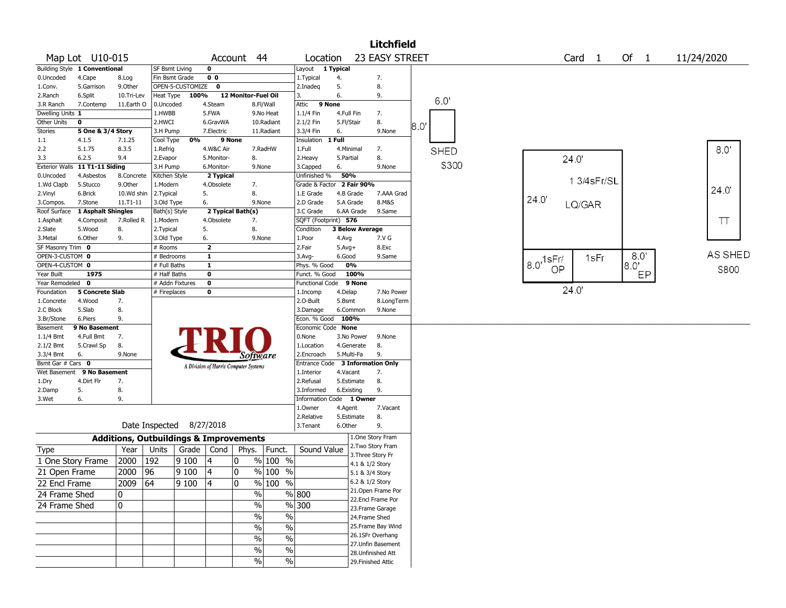|                       |                               |            |                                                   |                  |                |                                       |                          |                          |            |                        | <b>Litchfield</b>                     |     |             |                       |                   |        |            |
|-----------------------|-------------------------------|------------|---------------------------------------------------|------------------|----------------|---------------------------------------|--------------------------|--------------------------|------------|------------------------|---------------------------------------|-----|-------------|-----------------------|-------------------|--------|------------|
|                       | Map Lot U10-015               |            |                                                   |                  | Account        |                                       | 44                       | Location                 |            |                        | 23 EASY STREET                        |     |             |                       | Card <sub>1</sub> | Of $1$ | 11/24/2020 |
|                       | Building Style 1 Conventional |            | <b>SF Bsmt Living</b>                             |                  | 0              |                                       |                          | Layout 1 Typical         |            |                        |                                       |     |             |                       |                   |        |            |
| 0.Uncoded             | 4.Cape                        | 8.Log      | Fin Bsmt Grade                                    |                  | 0 <sub>0</sub> |                                       |                          | 1. Typical               | 4.         |                        | 7.                                    |     |             |                       |                   |        |            |
| 1.Conv.               | 5.Garrison                    | 9.0ther    |                                                   | OPEN-5-CUSTOMIZE | $\mathbf 0$    |                                       |                          | 2.Inadeq                 | 5.         |                        | 8.                                    |     |             |                       |                   |        |            |
| 2.Ranch               | 6.Split                       | 10.Tri-Lev | Heat Type                                         | 100%             |                | 12 Monitor-Fuel Oil                   |                          | 3.                       | 6.         |                        | 9.                                    |     |             |                       |                   |        |            |
| 3.R Ranch             | 7.Contemp                     | 11.Earth O | 0.Uncoded                                         |                  | 4.Steam        |                                       | 8.Fl/Wall                | Attic                    | 9 None     |                        |                                       |     | 60          |                       |                   |        |            |
| Dwelling Units 1      |                               |            | 1.HWBB                                            |                  | 5.FWA          |                                       | 9.No Heat                | 1.1/4 Fin                | 4.Full Fin |                        | 7.                                    |     |             |                       |                   |        |            |
| Other Units           | 0                             |            | 2.HWCI                                            |                  | 6.GravWA       |                                       | 10.Radiant               | 2.1/2 Fin                | 5.Fl/Stair |                        | 8.                                    | 8.0 |             |                       |                   |        |            |
| Stories               | 5 One & 3/4 Story             |            | 3.H Pump                                          |                  | 7.Electric     |                                       | 11.Radiant               | 3.3/4 Fin                | 6.         |                        | 9.None                                |     |             |                       |                   |        |            |
| 1.1                   | 4.1.5                         | 7.1.25     | Cool Type                                         | 0%               |                | 9 None                                |                          | Insulation               | 1 Full     |                        |                                       |     |             |                       |                   |        |            |
| 2.2                   | 5.1.75                        | 8.3.5      | 1.Refrig                                          |                  | 4.W&C Air      |                                       | 7.RadHW                  | 1.Full                   | 4.Minimal  |                        | 7.                                    |     | <b>SHED</b> |                       |                   |        | 8.0'       |
| 3.3                   | 6.2.5                         | 9.4        | 2.Evapor                                          |                  | 5.Monitor-     | 8.                                    |                          | 2.Heavy                  | 5.Partial  |                        | 8.                                    |     |             |                       | 24.0'             |        |            |
| <b>Exterior Walls</b> | 11 T1-11 Siding               |            | 3.H Pump                                          |                  | 6.Monitor-     |                                       | 9.None                   | 3.Capped                 | 6.         |                        | 9.None                                |     | \$300       |                       |                   |        |            |
| 0.Uncoded             | 4.Asbestos                    | 8.Concrete | Kitchen Style                                     |                  | 2 Typical      |                                       |                          | Unfinished %             | 50%        |                        |                                       |     |             |                       | 1 3/4 s Fr/SL     |        |            |
| 1.Wd Clapb            | 5.Stucco                      | 9.0ther    | 1.Modern                                          |                  | 4.Obsolete     | 7.                                    |                          | Grade & Factor           |            | 2 Fair 90%             |                                       |     |             |                       |                   |        | 24.0       |
| 2.Vinyl               | 6.Brick                       | 10.Wd shin | 2.Typical                                         |                  | 5.             | 8.                                    |                          | 1.E Grade                |            | 4.B Grade              | 7.AAA Grad                            |     |             | 24.0'                 |                   |        |            |
| 3.Compos.             | 7.Stone                       | 11.T1-11   | 3.Old Type                                        |                  | 6.             |                                       | 9.None                   | 2.D Grade                |            | 5.A Grade              | 8.M&S                                 |     |             |                       | LQ/GAR            |        |            |
| Roof Surface          | 1 Asphalt Shingles            |            | Bath(s) Style                                     |                  |                | 2 Typical Bath(s)                     |                          | 3.C Grade                |            | 6.AA Grade             | 9.Same                                |     |             |                       |                   |        |            |
| 1.Asphalt             | 4.Composit                    | 7.Rolled R | 1.Modern                                          |                  | 4.Obsolete     | 7.                                    |                          | SQFT (Footprint) 576     |            |                        |                                       |     |             |                       |                   |        | $\top$     |
| 2.Slate               | 5.Wood                        | 8.         | 2. Typical                                        |                  | 5.             | 8.                                    |                          | Condition                |            | <b>3 Below Average</b> |                                       |     |             |                       |                   |        |            |
| 3.Metal               | 6.Other                       | 9.         | 3.Old Type                                        |                  | 6.             |                                       | 9.None                   | 1.Poor                   | 4.Avg      |                        | 7.V G                                 |     |             |                       |                   |        |            |
| SF Masonry Trim 0     |                               |            | # Rooms                                           |                  | $\mathbf{2}$   |                                       |                          | 2.Fair                   | $5.Avg+$   |                        | 8.Exc                                 |     |             |                       |                   |        |            |
| OPEN-3-CUSTOM 0       |                               |            | # Bedrooms                                        |                  | $\mathbf{1}$   |                                       |                          | 3.Avg-                   | 6.Good     |                        | 9.Same                                |     |             |                       | 1sFr              | 80'    | AS SHED    |
| OPEN-4-CUSTOM 0       |                               |            | # Full Baths                                      |                  | $\mathbf{1}$   |                                       |                          | Phys. % Good             |            | 0%                     |                                       |     |             | $18.0^{15}$ Fr/<br>OP |                   | 8.0"   | S800       |
| Year Built            | 1975                          |            | # Half Baths                                      |                  | 0              |                                       |                          | Funct. % Good            |            | 100%                   |                                       |     |             |                       |                   | EP     |            |
| Year Remodeled 0      |                               |            |                                                   | # Addn Fixtures  | 0              |                                       |                          | <b>Functional Code</b>   |            | 9 None                 |                                       |     |             |                       |                   |        |            |
| Foundation            | 5 Concrete Slab               |            | # Fireplaces                                      |                  | 0              |                                       |                          | 1.Incomp                 | 4.Delap    |                        | 7.No Power                            |     |             |                       | 24.0'             |        |            |
| 1.Concrete            | 4.Wood                        | 7.         |                                                   |                  |                |                                       |                          | 2.0-Built                | 5.Bsmt     |                        | 8.LongTerm                            |     |             |                       |                   |        |            |
| 2.C Block             | 5.Slab                        | 8.         |                                                   |                  |                |                                       |                          | 3.Damage                 |            | 6.Common               | 9.None                                |     |             |                       |                   |        |            |
| 3.Br/Stone            | 6.Piers                       | 9.         |                                                   |                  |                |                                       |                          | Econ. % Good             | 100%       |                        |                                       |     |             |                       |                   |        |            |
| Basement              | 9 No Basement                 |            |                                                   |                  |                |                                       |                          | Economic Code None       |            |                        |                                       |     |             |                       |                   |        |            |
| 1.1/4 Bmt             | 4.Full Bmt                    | 7.         |                                                   |                  |                |                                       |                          | 0.None                   |            | 3.No Power             | 9.None                                |     |             |                       |                   |        |            |
| 2.1/2 Bmt             | 5.Crawl Sp                    | 8.         |                                                   |                  |                |                                       |                          | 1.Location               |            | 4.Generate             | 8.                                    |     |             |                       |                   |        |            |
| 3.3/4 Bmt             | 6.                            | 9.None     |                                                   |                  |                | Software                              |                          | 2.Encroach               |            | 5.Multi-Fa             | 9.                                    |     |             |                       |                   |        |            |
| Bsmt Gar # Cars 0     |                               |            |                                                   |                  |                | A Division of Harris Computer Systems |                          | Entrance Code            |            |                        | <b>3 Information Only</b>             |     |             |                       |                   |        |            |
| Wet Basement          | 9 No Basement                 |            |                                                   |                  |                |                                       |                          | 1.Interior               | 4.Vacant   |                        | 7.                                    |     |             |                       |                   |        |            |
| 1.Dry                 | 4.Dirt Flr                    | 7.         |                                                   |                  |                |                                       |                          | 2.Refusal                |            | 5.Estimate             | 8.                                    |     |             |                       |                   |        |            |
| 2.Damp                | 5.                            | 8.         |                                                   |                  |                |                                       |                          | 3.Informed               | 6.Existing |                        | 9.                                    |     |             |                       |                   |        |            |
| 3.Wet                 | 6.                            | 9.         |                                                   |                  |                |                                       |                          | Information Code 1 Owner |            |                        |                                       |     |             |                       |                   |        |            |
|                       |                               |            |                                                   |                  |                |                                       |                          | 1.0wner                  | 4.Agent    |                        | 7.Vacant                              |     |             |                       |                   |        |            |
|                       |                               |            | Date Inspected 8/27/2018                          |                  |                |                                       |                          | 2.Relative               |            | 5.Estimate             | 8.                                    |     |             |                       |                   |        |            |
|                       |                               |            |                                                   |                  |                |                                       |                          | 3.Tenant                 | 6.Other    |                        | 9.                                    |     |             |                       |                   |        |            |
|                       |                               |            | <b>Additions, Outbuildings &amp; Improvements</b> |                  |                |                                       |                          |                          |            |                        | 1.One Story Fram<br>2. Two Story Fram |     |             |                       |                   |        |            |
| Type                  |                               | Year       | Units                                             |                  | Grade   Cond   | Phys.                                 | Funct.                   | Sound Value              |            | 3. Three Story Fr      |                                       |     |             |                       |                   |        |            |
| 1 One Story Frame     |                               | 2000       | 192                                               | 9 100            | 4              | 0                                     | % 100 %                  |                          |            | 4.1 & 1/2 Story        |                                       |     |             |                       |                   |        |            |
| 21 Open Frame         |                               | 2000       | 96                                                | 9 100            | 4              | 0                                     | % 100 %                  |                          |            | 5.1 & 3/4 Story        |                                       |     |             |                       |                   |        |            |
|                       |                               |            |                                                   |                  | 14             |                                       | % 100 %                  |                          |            | 6.2 & 1/2 Story        |                                       |     |             |                       |                   |        |            |
| 22 Encl Frame         |                               | 2009       | 64                                                | 9100             |                | 0                                     |                          |                          |            |                        | 21. Open Frame Por                    |     |             |                       |                   |        |            |
| 24 Frame Shed         |                               | 0          |                                                   |                  |                | $\%$                                  |                          | % 800                    |            |                        | 22.Encl Frame Por                     |     |             |                       |                   |        |            |
| 24 Frame Shed         |                               | 0          |                                                   |                  |                | $\%$                                  | $\%$                     | 300                      |            | 23. Frame Garage       |                                       |     |             |                       |                   |        |            |
|                       |                               |            |                                                   |                  |                | $\frac{0}{0}$                         | $\overline{\frac{0}{0}}$ |                          |            | 24.Frame Shed          |                                       |     |             |                       |                   |        |            |
|                       |                               |            |                                                   |                  |                |                                       |                          |                          |            |                        | 25. Frame Bay Wind                    |     |             |                       |                   |        |            |
|                       |                               |            |                                                   |                  |                | $\frac{0}{0}$                         | $\overline{\frac{0}{0}}$ |                          |            |                        | 26.1SFr Overhang                      |     |             |                       |                   |        |            |
|                       |                               |            |                                                   |                  |                | $\%$                                  | $\frac{0}{0}$            |                          |            |                        | 27.Unfin Basement                     |     |             |                       |                   |        |            |
|                       |                               |            |                                                   |                  |                | $\%$                                  | $\%$                     |                          |            | 28. Unfinished Att     |                                       |     |             |                       |                   |        |            |
|                       |                               |            |                                                   |                  |                | $\frac{0}{0}$                         | $\frac{0}{0}$            |                          |            | 29. Finished Attic     |                                       |     |             |                       |                   |        |            |
|                       |                               |            |                                                   |                  |                |                                       |                          |                          |            |                        |                                       |     |             |                       |                   |        |            |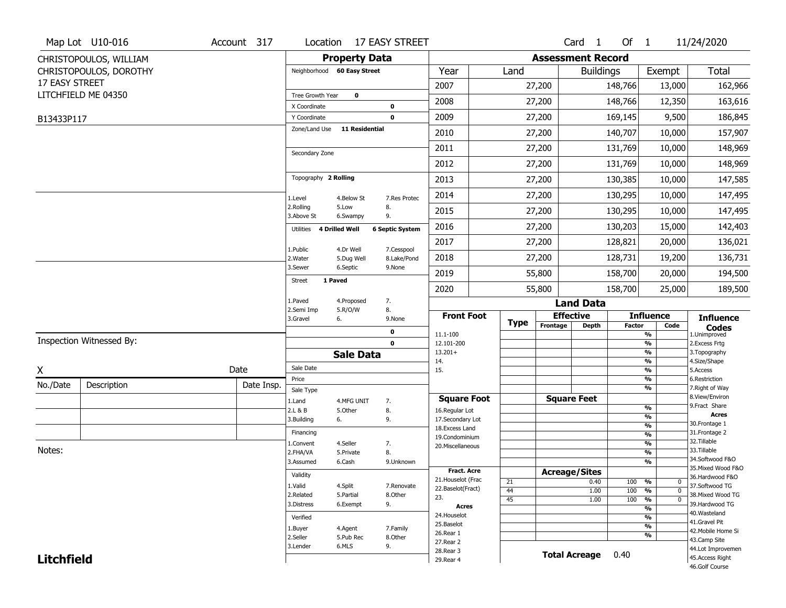|                   | Map Lot U10-016          | Account 317 |                               |                       | Location 17 EASY STREET |                                          |             |                          | Card <sub>1</sub>    | Of $1$        |                                   | 11/24/2020                          |
|-------------------|--------------------------|-------------|-------------------------------|-----------------------|-------------------------|------------------------------------------|-------------|--------------------------|----------------------|---------------|-----------------------------------|-------------------------------------|
|                   | CHRISTOPOULOS, WILLIAM   |             |                               | <b>Property Data</b>  |                         |                                          |             | <b>Assessment Record</b> |                      |               |                                   |                                     |
|                   | CHRISTOPOULOS, DOROTHY   |             | Neighborhood 60 Easy Street   |                       |                         | Year                                     | Land        |                          | <b>Buildings</b>     |               | Exempt                            | <b>Total</b>                        |
| 17 EASY STREET    |                          |             |                               |                       |                         | 2007                                     |             | 27,200                   |                      | 148,766       | 13,000                            | 162,966                             |
|                   | LITCHFIELD ME 04350      |             | Tree Growth Year              | $\mathbf 0$           |                         | 2008                                     |             | 27,200                   |                      | 148,766       | 12,350                            | 163,616                             |
|                   |                          |             | X Coordinate                  |                       | $\mathbf 0$             |                                          |             |                          |                      |               |                                   |                                     |
| B13433P117        |                          |             | Y Coordinate<br>Zone/Land Use | <b>11 Residential</b> | $\mathbf 0$             | 2009                                     |             | 27,200                   |                      | 169,145       | 9,500                             | 186,845                             |
|                   |                          |             |                               |                       |                         | 2010                                     |             | 27,200                   |                      | 140,707       | 10,000                            | 157,907                             |
|                   |                          |             | Secondary Zone                |                       |                         | 2011                                     |             | 27,200                   |                      | 131,769       | 10,000                            | 148,969                             |
|                   |                          |             |                               |                       |                         | 2012                                     |             | 27,200                   |                      | 131,769       | 10,000                            | 148,969                             |
|                   |                          |             | Topography 2 Rolling          |                       |                         | 2013                                     |             | 27,200                   |                      | 130,385       | 10,000                            | 147,585                             |
|                   |                          |             | 1.Level                       | 4.Below St            | 7.Res Protec            | 2014                                     |             | 27,200                   |                      | 130,295       | 10,000                            | 147,495                             |
|                   |                          |             | 2.Rolling<br>3.Above St       | 5.Low<br>6.Swampy     | 8.<br>9.                | 2015                                     |             | 27,200                   |                      | 130,295       | 10,000                            | 147,495                             |
|                   |                          |             | Utilities                     | <b>4 Drilled Well</b> | <b>6 Septic System</b>  | 2016                                     |             | 27,200                   |                      | 130,203       | 15,000                            | 142,403                             |
|                   |                          |             | 1.Public                      | 4.Dr Well             | 7.Cesspool              | 2017                                     |             | 27,200                   |                      | 128,821       | 20,000                            | 136,021                             |
|                   |                          |             | 2. Water                      | 5.Dug Well            | 8.Lake/Pond             | 2018                                     |             | 27,200                   |                      | 128,731       | 19,200                            | 136,731                             |
|                   |                          |             | 3.Sewer                       | 6.Septic              | 9.None                  | 2019                                     |             | 55,800                   |                      | 158,700       | 20,000                            | 194,500                             |
|                   |                          |             | <b>Street</b>                 | 1 Paved               |                         | 2020                                     |             | 55,800                   |                      | 158,700       | 25,000                            | 189,500                             |
|                   |                          |             | 1.Paved                       | 4.Proposed            | 7.                      |                                          |             |                          | <b>Land Data</b>     |               |                                   |                                     |
|                   |                          |             | 2.Semi Imp<br>3.Gravel        | 5.R/O/W<br>6.         | 8.<br>9.None            | <b>Front Foot</b>                        |             |                          | <b>Effective</b>     |               | <b>Influence</b>                  | <b>Influence</b>                    |
|                   |                          |             |                               |                       | $\mathbf 0$             | 11.1-100                                 | <b>Type</b> | Frontage                 | <b>Depth</b>         | <b>Factor</b> | Code<br>%                         | <b>Codes</b><br>1.Unimproved        |
|                   | Inspection Witnessed By: |             |                               |                       | $\mathbf 0$             | 12.101-200                               |             |                          |                      |               | $\frac{9}{6}$                     | 2.Excess Frtg                       |
|                   |                          |             |                               | <b>Sale Data</b>      |                         | $13.201+$<br>14.                         |             |                          |                      |               | %<br>%                            | 3. Topography<br>4.Size/Shape       |
| X                 |                          | Date        | Sale Date                     |                       |                         | 15.                                      |             |                          |                      |               | $\frac{9}{6}$                     | 5.Access                            |
| No./Date          | Description              | Date Insp.  | Price                         |                       |                         |                                          |             |                          |                      |               | %<br>%                            | 6.Restriction<br>7. Right of Way    |
|                   |                          |             | Sale Type<br>1.Land           | 4.MFG UNIT            | 7.                      | <b>Square Foot</b>                       |             |                          | <b>Square Feet</b>   |               |                                   | 8.View/Environ                      |
|                   |                          |             | 2.L & B                       | 5.Other               | 8.                      | 16.Regular Lot                           |             |                          |                      |               | $\frac{9}{6}$                     | 9.Fract Share                       |
|                   |                          |             | 3.Building                    | 6.                    | 9.                      | 17.Secondary Lot                         |             |                          |                      |               | $\frac{9}{6}$<br>$\frac{9}{6}$    | <b>Acres</b><br>30. Frontage 1      |
|                   |                          |             | Financing                     |                       |                         | 18.Excess Land<br>19.Condominium         |             |                          |                      |               | $\frac{9}{6}$                     | 31. Frontage 2                      |
|                   |                          |             | 1.Convent                     | 4.Seller              | 7.                      | 20.Miscellaneous                         |             |                          |                      |               | $\frac{9}{6}$                     | 32.Tillable                         |
| Notes:            |                          |             | 2.FHA/VA                      | 5.Private             | 8.                      |                                          |             |                          |                      |               | $\frac{9}{6}$                     | 33.Tillable<br>34.Softwood F&O      |
|                   |                          |             | 3.Assumed                     | 6.Cash                | 9.Unknown               |                                          |             |                          |                      |               | $\frac{9}{6}$                     | 35. Mixed Wood F&O                  |
|                   |                          |             | Validity                      |                       |                         | <b>Fract. Acre</b><br>21. Houselot (Frac |             |                          | <b>Acreage/Sites</b> |               |                                   | 36.Hardwood F&O                     |
|                   |                          |             | 1.Valid                       | 4.Split               | 7.Renovate              | 22.Baselot(Fract)                        | 21<br>44    |                          | 0.40<br>1.00         | 100           | %<br>0<br>$\mathbf 0$             | 37.Softwood TG                      |
|                   |                          |             | 2.Related                     | 5.Partial             | 8.Other                 | 23.                                      | 45          |                          | 1.00                 | 100<br>100    | %<br>$\frac{9}{6}$<br>$\mathbf 0$ | 38. Mixed Wood TG                   |
|                   |                          |             | 3.Distress                    | 6.Exempt              | 9.                      | <b>Acres</b>                             |             |                          |                      |               | $\frac{9}{6}$                     | 39.Hardwood TG                      |
|                   |                          |             | Verified                      |                       |                         | 24. Houselot                             |             |                          |                      |               | $\frac{9}{6}$                     | 40. Wasteland                       |
|                   |                          |             | 1.Buyer                       | 4.Agent               | 7.Family                | 25.Baselot                               |             |                          |                      |               | $\frac{9}{6}$                     | 41.Gravel Pit<br>42. Mobile Home Si |
|                   |                          |             | 2.Seller                      | 5.Pub Rec             | 8.0ther                 | 26.Rear 1                                |             |                          |                      |               | $\frac{9}{6}$                     | 43.Camp Site                        |
|                   |                          |             | 3.Lender                      | 6.MLS                 | 9.                      | 27.Rear 2<br>28. Rear 3                  |             |                          |                      |               |                                   | 44.Lot Improvemen                   |
| <b>Litchfield</b> |                          |             |                               |                       |                         | 29. Rear 4                               |             |                          | <b>Total Acreage</b> | 0.40          |                                   | 45.Access Right                     |
|                   |                          |             |                               |                       |                         |                                          |             |                          |                      |               |                                   | 46.Golf Course                      |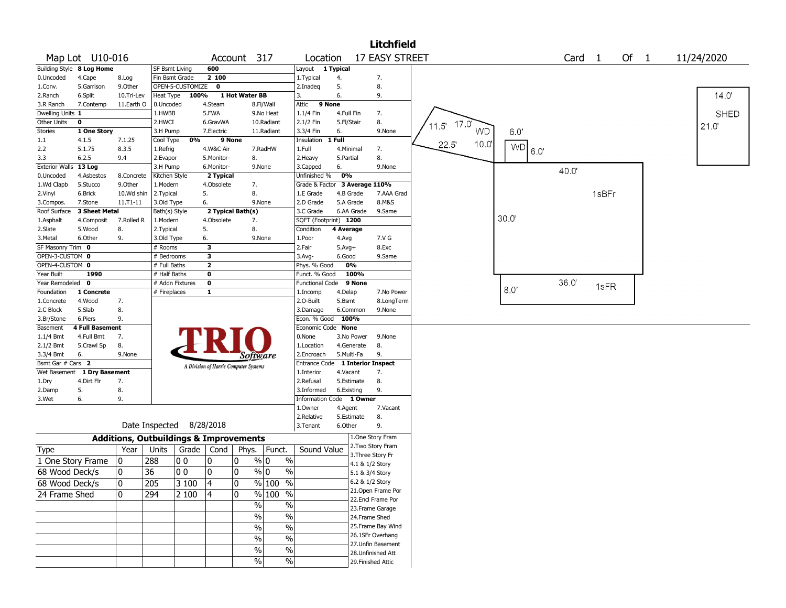|                        |                           |                                                   |                          |                  |                                       |                   |                    |                        |                                  | <b>Litchfield</b>                  |                         |           |                   |       |        |             |
|------------------------|---------------------------|---------------------------------------------------|--------------------------|------------------|---------------------------------------|-------------------|--------------------|------------------------|----------------------------------|------------------------------------|-------------------------|-----------|-------------------|-------|--------|-------------|
|                        | Map Lot U10-016           |                                                   |                          |                  |                                       | Account 317       |                    | Location               |                                  | <b>17 EASY STREET</b>              |                         |           | Card <sub>1</sub> |       | Of $1$ | 11/24/2020  |
|                        | Building Style 8 Log Home |                                                   | SF Bsmt Living           |                  | 600                                   |                   |                    | Layout                 | 1 Typical                        |                                    |                         |           |                   |       |        |             |
| 0.Uncoded              | 4.Cape                    | 8.Log                                             | Fin Bsmt Grade           |                  | 2 100                                 |                   |                    | 1. Typical             | 4.                               | 7.                                 |                         |           |                   |       |        |             |
| 1.Conv.                | 5.Garrison                | 9.0ther                                           |                          | OPEN-5-CUSTOMIZE | $\mathbf 0$                           |                   |                    | 2.Inadeg               | 5.                               | 8.                                 |                         |           |                   |       |        |             |
| 2.Ranch                | 6.Split                   | 10.Tri-Lev                                        |                          | Heat Type 100%   |                                       | 1 Hot Water BB    |                    | 3.                     | 6.                               | 9.                                 |                         |           |                   |       |        | 14.0        |
| 3.R Ranch              | 7.Contemp                 | 11.Earth O                                        | 0.Uncoded                |                  | 4.Steam                               |                   | 8.Fl/Wall          | Attic                  | 9 None                           |                                    |                         |           |                   |       |        |             |
| Dwelling Units 1       |                           |                                                   | 1.HWBB                   |                  | 5.FWA                                 |                   | 9.No Heat          | 1.1/4 Fin              | 4.Full Fin                       | 7.                                 |                         |           |                   |       |        | <b>SHED</b> |
| Other Units            | 0                         |                                                   | 2.HWCI                   |                  | 6.GravWA                              |                   | 10.Radiant         | 2.1/2 Fin              | 5.Fl/Stair                       | 8.                                 | $17.0^{\circ}$<br>11.5' |           |                   |       |        | 21.0        |
| Stories                | 1 One Story               |                                                   | 3.H Pump                 | 0%               | 7.Electric                            | 9 None            | 11.Radiant         | 3.3/4 Fin              | 6.<br>1 Full                     | 9.None                             | <b>WD</b>               | 6.0'      |                   |       |        |             |
| $1.1\,$<br>2.2         | 4.1.5<br>5.1.75           | 7.1.25<br>8.3.5                                   | Cool Type<br>1.Refrig    |                  | 4.W&C Air                             |                   | 7.RadHW            | Insulation<br>1.Full   | 4.Minimal                        | 7.                                 | 10.0<br>22.5            | <b>WD</b> |                   |       |        |             |
| 3.3                    | 6.2.5                     | 9.4                                               | 2.Evapor                 |                  | 5.Monitor-                            | 8.                |                    | 2. Heavy               | 5.Partial                        | 8.                                 |                         | 6.0       |                   |       |        |             |
| Exterior Walls 13 Log  |                           |                                                   | 3.H Pump                 |                  | 6.Monitor-                            |                   | 9.None             | 3.Capped               | 6.                               | 9.None                             |                         |           |                   |       |        |             |
| 0.Uncoded              | 4.Asbestos                | 8.Concrete                                        | Kitchen Style            |                  | 2 Typical                             |                   |                    | Unfinished %           | 0%                               |                                    |                         |           | 40.0              |       |        |             |
| 1.Wd Clapb             | 5.Stucco                  | 9.0ther                                           | 1.Modern                 |                  | 4.Obsolete                            | 7.                |                    |                        | Grade & Factor 3 Average 110%    |                                    |                         |           |                   |       |        |             |
| 2.Vinyl                | 6.Brick                   | 10.Wd shin                                        | 2.Typical                |                  | 5.                                    | 8.                |                    | 1.E Grade              | 4.B Grade                        | 7.AAA Grad                         |                         |           |                   | 1sBFr |        |             |
| 3.Compos.              | 7.Stone                   | 11.T1-11                                          | 3.Old Type               |                  | 6.                                    |                   | 9.None             | 2.D Grade              | 5.A Grade                        | 8.M&S                              |                         |           |                   |       |        |             |
| Roof Surface           | 3 Sheet Metal             |                                                   | Bath(s) Style            |                  |                                       | 2 Typical Bath(s) |                    | 3.C Grade              | 6.AA Grade                       | 9.Same                             |                         |           |                   |       |        |             |
| 1.Asphalt              | 4.Composit                | 7.Rolled R                                        | 1.Modern                 |                  | 4.Obsolete                            | 7.                |                    |                        | SQFT (Footprint) 1200            |                                    |                         | 30.0      |                   |       |        |             |
| 2.Slate                | 5.Wood                    | 8.                                                | 2.Typical                |                  | 5.                                    | 8.                |                    | Condition              | 4 Average                        |                                    |                         |           |                   |       |        |             |
| 3.Metal                | 6.Other                   | 9.                                                | 3.Old Type               |                  | 6.                                    |                   | 9.None             | 1.Poor                 | 4.Avg                            | 7.V G                              |                         |           |                   |       |        |             |
| SF Masonry Trim 0      |                           |                                                   | # Rooms                  |                  | 3                                     |                   |                    | 2.Fair                 | $5.Avg+$                         | 8.Exc                              |                         |           |                   |       |        |             |
| OPEN-3-CUSTOM 0        |                           |                                                   | # Bedrooms               |                  | 3                                     |                   |                    | 3.Avg-                 | 6.Good                           | 9.Same                             |                         |           |                   |       |        |             |
| OPEN-4-CUSTOM 0        |                           |                                                   | # Full Baths             |                  | $\overline{\mathbf{2}}$               |                   |                    | Phys. % Good           | 0%                               |                                    |                         |           |                   |       |        |             |
| Year Built             | 1990                      |                                                   | # Half Baths             |                  | $\mathbf 0$                           |                   |                    | Funct. % Good          | 100%                             |                                    |                         |           |                   |       |        |             |
| Year Remodeled 0       |                           |                                                   |                          | # Addn Fixtures  | $\mathbf 0$                           |                   |                    | <b>Functional Code</b> | 9 None                           |                                    |                         | 8.0       | 36.0'             | 1sFR  |        |             |
| Foundation             | 1 Concrete                |                                                   | # Fireplaces             |                  | 1                                     |                   |                    | 1.Incomp               | 4.Delap                          | 7.No Power                         |                         |           |                   |       |        |             |
| 1.Concrete             | 4.Wood                    | 7.                                                |                          |                  |                                       |                   |                    | 2.O-Built              | 5.Bsmt                           | 8.LongTerm                         |                         |           |                   |       |        |             |
| 2.C Block              | 5.Slab<br>6.Piers         | 8.<br>9.                                          |                          |                  |                                       |                   |                    | 3.Damage               | 6.Common<br>Econ. % Good 100%    | 9.None                             |                         |           |                   |       |        |             |
| 3.Br/Stone<br>Basement | 4 Full Basement           |                                                   |                          |                  |                                       |                   |                    | Economic Code None     |                                  |                                    |                         |           |                   |       |        |             |
| $1.1/4$ Bmt            | 4.Full Bmt                | 7.                                                |                          |                  |                                       |                   |                    | 0.None                 | 3.No Power                       | 9.None                             |                         |           |                   |       |        |             |
| 2.1/2 Bmt              | 5.Crawl Sp                | 8.                                                |                          |                  |                                       |                   |                    | 1.Location             | 4.Generate                       | 8.                                 |                         |           |                   |       |        |             |
| 3.3/4 Bmt              | 6.                        | 9.None                                            |                          |                  |                                       |                   | Software           | 2.Encroach             | 5.Multi-Fa                       | 9.                                 |                         |           |                   |       |        |             |
| Bsmt Gar # Cars 2      |                           |                                                   |                          |                  |                                       |                   |                    |                        | Entrance Code 1 Interior Inspect |                                    |                         |           |                   |       |        |             |
| Wet Basement           | 1 Dry Basement            |                                                   |                          |                  | A Division of Harris Computer Systems |                   |                    | 1.Interior             | 4.Vacant                         | 7.                                 |                         |           |                   |       |        |             |
| 1.Dry                  | 4.Dirt Flr                | 7.                                                |                          |                  |                                       |                   |                    | 2.Refusal              | 5.Estimate                       | 8.                                 |                         |           |                   |       |        |             |
| 2.Damp                 | 5.                        | 8.                                                |                          |                  |                                       |                   |                    | 3.Informed             | 6.Existing                       | 9.                                 |                         |           |                   |       |        |             |
| 3.Wet                  | 6.                        | 9.                                                |                          |                  |                                       |                   |                    |                        | Information Code 1 Owner         |                                    |                         |           |                   |       |        |             |
|                        |                           |                                                   |                          |                  |                                       |                   |                    | 1.0wner                | 4.Agent                          | 7.Vacant                           |                         |           |                   |       |        |             |
|                        |                           |                                                   |                          |                  |                                       |                   |                    | 2.Relative             | 5.Estimate                       | 8.                                 |                         |           |                   |       |        |             |
|                        |                           |                                                   | Date Inspected 8/28/2018 |                  |                                       |                   |                    | 3.Tenant               | 6.Other                          | 9.                                 |                         |           |                   |       |        |             |
|                        |                           | <b>Additions, Outbuildings &amp; Improvements</b> |                          |                  |                                       |                   |                    |                        |                                  | 1.One Story Fram                   |                         |           |                   |       |        |             |
| Type                   |                           | Year                                              | Units                    | Grade            | Cond                                  |                   | Phys.   Funct.     | Sound Value            |                                  | 2. Two Story Fram                  |                         |           |                   |       |        |             |
| 1 One Story Frame      |                           | 10                                                | 288                      | 00               | 10                                    | 0                 | $\%$<br>% 0        |                        |                                  | 3. Three Story Fr                  |                         |           |                   |       |        |             |
| 68 Wood Deck/s         |                           | 0                                                 | 36                       | l 0 0            | 10                                    | $\mathbf 0$       | $\%$ 0<br>$\%$     |                        |                                  | 4.1 & 1/2 Story                    |                         |           |                   |       |        |             |
|                        |                           |                                                   |                          |                  |                                       |                   |                    |                        |                                  | 5.1 & 3/4 Story<br>6.2 & 1/2 Story |                         |           |                   |       |        |             |
| 68 Wood Deck/s         |                           | 0                                                 | $ 205\rangle$            | $ 3100\rangle$   | $\sqrt{4}$                            | 0                 | % 100 %            |                        |                                  | 21. Open Frame Por                 |                         |           |                   |       |        |             |
| 24 Frame Shed          |                           | 0                                                 | 294                      | 2 100            | 4                                     | l 0               | % 100 %            |                        |                                  | 22.Encl Frame Por                  |                         |           |                   |       |        |             |
|                        |                           |                                                   |                          |                  |                                       |                   | %<br>$\frac{0}{0}$ |                        |                                  | 23. Frame Garage                   |                         |           |                   |       |        |             |
|                        |                           |                                                   |                          |                  |                                       |                   | %<br>%             |                        |                                  | 24.Frame Shed                      |                         |           |                   |       |        |             |
|                        |                           |                                                   |                          |                  |                                       |                   | $\sqrt{6}$<br>%    |                        |                                  | 25. Frame Bay Wind                 |                         |           |                   |       |        |             |
|                        |                           |                                                   |                          |                  |                                       |                   |                    |                        |                                  | 26.1SFr Overhang                   |                         |           |                   |       |        |             |
|                        |                           |                                                   |                          |                  |                                       |                   | $\%$<br>%          |                        |                                  | 27.Unfin Basement                  |                         |           |                   |       |        |             |
|                        |                           |                                                   |                          |                  |                                       |                   | $\sqrt{6}$<br>%    |                        |                                  | 28. Unfinished Att                 |                         |           |                   |       |        |             |
|                        |                           |                                                   |                          |                  |                                       |                   | $\sqrt{6}$<br>%    |                        |                                  | 29. Finished Attic                 |                         |           |                   |       |        |             |
|                        |                           |                                                   |                          |                  |                                       |                   |                    |                        |                                  |                                    |                         |           |                   |       |        |             |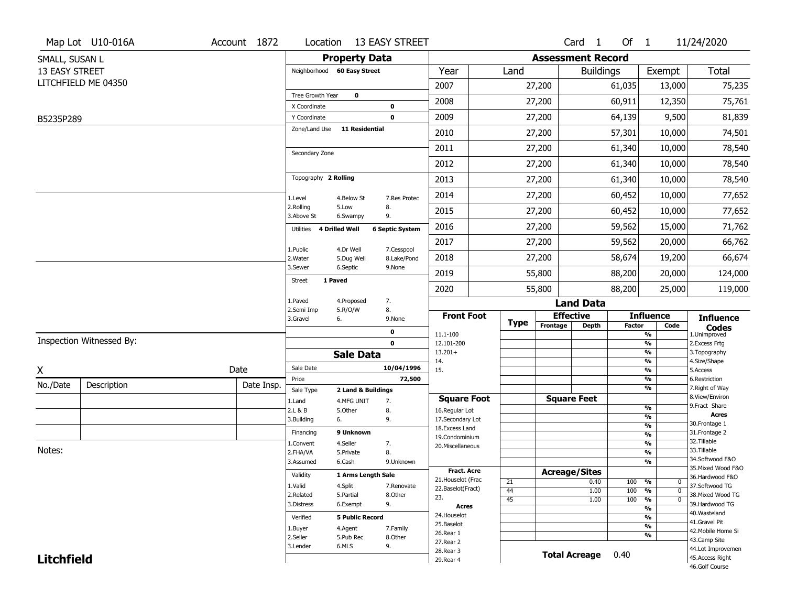| <b>Property Data</b><br><b>Assessment Record</b><br>SMALL, SUSAN L<br><b>Total</b><br>13 EASY STREET<br>Neighborhood 60 Easy Street<br>Year<br>Land<br><b>Buildings</b><br>Exempt<br>LITCHFIELD ME 04350<br>2007<br>27,200<br>61,035<br>13,000<br>75,235<br>Tree Growth Year<br>$\mathbf 0$<br>2008<br>60,911<br>12,350<br>75,761<br>27,200<br>X Coordinate<br>$\pmb{0}$<br>2009<br>64,139<br>81,839<br>27,200<br>9,500<br>$\mathbf 0$<br>Y Coordinate<br>B5235P289<br><b>11 Residential</b><br>Zone/Land Use<br>57,301<br>74,501<br>2010<br>27,200<br>10,000<br>2011<br>27,200<br>61,340<br>78,540<br>10,000<br>Secondary Zone<br>2012<br>27,200<br>61,340<br>78,540<br>10,000<br>Topography 2 Rolling<br>78,540<br>2013<br>27,200<br>61,340<br>10,000<br>2014<br>27,200<br>60,452<br>77,652<br>10,000<br>4.Below St<br>7.Res Protec<br>1.Level<br>2.Rolling<br>5.Low<br>8.<br>77,652<br>2015<br>27,200<br>60,452<br>10,000<br>3.Above St<br>9.<br>6.Swampy<br>71,762<br>2016<br>59,562<br>27,200<br>15,000<br>Utilities 4 Drilled Well<br><b>6 Septic System</b><br>2017<br>59,562<br>20,000<br>66,762<br>27,200<br>1.Public<br>4.Dr Well<br>7.Cesspool<br>2018<br>58,674<br>19,200<br>66,674<br>27,200<br>2. Water<br>5.Dug Well<br>8.Lake/Pond<br>3.Sewer<br>6.Septic<br>9.None<br>2019<br>88,200<br>55,800<br>20,000<br>124,000<br>1 Paved<br><b>Street</b><br>2020<br>55,800<br>88,200<br>25,000<br>119,000<br>1.Paved<br>4.Proposed<br>7.<br><b>Land Data</b><br>8.<br>2.Semi Imp<br>5.R/O/W<br><b>Front Foot</b><br><b>Effective</b><br><b>Influence</b><br><b>Influence</b><br>3.Gravel<br>6.<br>9.None<br><b>Type</b><br>Frontage<br><b>Depth</b><br><b>Factor</b><br>Code<br><b>Codes</b><br>0<br>11.1-100<br>%<br>1.Unimproved<br>Inspection Witnessed By:<br>$\mathbf 0$<br>12.101-200<br>%<br>2.Excess Frtg<br>$13.201+$<br>%<br>3. Topography<br><b>Sale Data</b><br>%<br>4.Size/Shape<br>14.<br>Sale Date<br>10/04/1996<br>Date<br>15.<br>%<br>5.Access<br>72,500<br>%<br>6.Restriction<br>Price<br>Description<br>Date Insp.<br>%<br>7. Right of Way<br>Sale Type<br>2 Land & Buildings<br>8.View/Environ<br><b>Square Feet</b><br><b>Square Foot</b><br>1.Land<br>4.MFG UNIT<br>7.<br>9.Fract Share<br>%<br>2.L & B<br>5.Other<br>8.<br>16.Regular Lot<br><b>Acres</b><br>%<br>3.Building<br>9.<br>17.Secondary Lot<br>6.<br>30.Frontage 1<br>$\frac{9}{6}$<br>18. Excess Land<br>9 Unknown<br>31. Frontage 2<br>Financing<br>%<br>19.Condominium<br>32. Tillable<br>$\frac{9}{6}$<br>4.Seller<br>1.Convent<br>7.<br>20.Miscellaneous<br>Notes:<br>33.Tillable<br>$\frac{9}{6}$<br>2.FHA/VA<br>8.<br>5.Private<br>34.Softwood F&O<br>%<br>3.Assumed<br>6.Cash<br>9.Unknown<br>35. Mixed Wood F&O<br><b>Fract. Acre</b><br><b>Acreage/Sites</b><br>Validity<br>1 Arms Length Sale<br>36.Hardwood F&O<br>21. Houselot (Frac<br>21<br>0.40<br>100<br>%<br>$\mathbf 0$<br>1.Valid<br>4.Split<br>37.Softwood TG<br>7.Renovate<br>22.Baselot(Fract)<br>100<br>44<br>1.00<br>%<br>$\mathbf 0$<br>2.Related<br>5.Partial<br>8.Other<br>38. Mixed Wood TG<br>23.<br>45<br>$\frac{9}{6}$<br>1.00<br>100<br>$\mathbf 0$<br>9.<br>39.Hardwood TG<br>3.Distress<br>6.Exempt<br><b>Acres</b><br>$\frac{9}{6}$<br>40. Wasteland<br>24. Houselot<br><b>5 Public Record</b><br>%<br>Verified<br>41.Gravel Pit<br>25.Baselot<br>$\frac{9}{6}$<br>4.Agent<br>7.Family<br>1.Buyer<br>42. Mobile Home Si<br>26.Rear 1<br>%<br>2.Seller<br>5.Pub Rec<br>8.Other<br>43.Camp Site<br>27.Rear 2<br>6.MLS<br>9.<br>3.Lender<br>44.Lot Improvemen<br>28. Rear 3<br><b>Total Acreage</b><br>0.40<br>45.Access Right<br><b>Litchfield</b><br>29. Rear 4 |          | Map Lot U10-016A | Account 1872 |  | Location 13 EASY STREET |  |  | Card 1 | Of $1$ | 11/24/2020 |
|----------------------------------------------------------------------------------------------------------------------------------------------------------------------------------------------------------------------------------------------------------------------------------------------------------------------------------------------------------------------------------------------------------------------------------------------------------------------------------------------------------------------------------------------------------------------------------------------------------------------------------------------------------------------------------------------------------------------------------------------------------------------------------------------------------------------------------------------------------------------------------------------------------------------------------------------------------------------------------------------------------------------------------------------------------------------------------------------------------------------------------------------------------------------------------------------------------------------------------------------------------------------------------------------------------------------------------------------------------------------------------------------------------------------------------------------------------------------------------------------------------------------------------------------------------------------------------------------------------------------------------------------------------------------------------------------------------------------------------------------------------------------------------------------------------------------------------------------------------------------------------------------------------------------------------------------------------------------------------------------------------------------------------------------------------------------------------------------------------------------------------------------------------------------------------------------------------------------------------------------------------------------------------------------------------------------------------------------------------------------------------------------------------------------------------------------------------------------------------------------------------------------------------------------------------------------------------------------------------------------------------------------------------------------------------------------------------------------------------------------------------------------------------------------------------------------------------------------------------------------------------------------------------------------------------------------------------------------------------------------------------------------------------------------------------------------------------------------------------------------------------------------------------------------------------------------------------------------------------------------------------------------------------------------------------------------------------------------------------------------------------------------------------------------------------------------------------------------------------------------------------------------------------------------------------------------------------------------------------------------------------------------|----------|------------------|--------------|--|-------------------------|--|--|--------|--------|------------|
|                                                                                                                                                                                                                                                                                                                                                                                                                                                                                                                                                                                                                                                                                                                                                                                                                                                                                                                                                                                                                                                                                                                                                                                                                                                                                                                                                                                                                                                                                                                                                                                                                                                                                                                                                                                                                                                                                                                                                                                                                                                                                                                                                                                                                                                                                                                                                                                                                                                                                                                                                                                                                                                                                                                                                                                                                                                                                                                                                                                                                                                                                                                                                                                                                                                                                                                                                                                                                                                                                                                                                                                                                                              |          |                  |              |  |                         |  |  |        |        |            |
|                                                                                                                                                                                                                                                                                                                                                                                                                                                                                                                                                                                                                                                                                                                                                                                                                                                                                                                                                                                                                                                                                                                                                                                                                                                                                                                                                                                                                                                                                                                                                                                                                                                                                                                                                                                                                                                                                                                                                                                                                                                                                                                                                                                                                                                                                                                                                                                                                                                                                                                                                                                                                                                                                                                                                                                                                                                                                                                                                                                                                                                                                                                                                                                                                                                                                                                                                                                                                                                                                                                                                                                                                                              |          |                  |              |  |                         |  |  |        |        |            |
|                                                                                                                                                                                                                                                                                                                                                                                                                                                                                                                                                                                                                                                                                                                                                                                                                                                                                                                                                                                                                                                                                                                                                                                                                                                                                                                                                                                                                                                                                                                                                                                                                                                                                                                                                                                                                                                                                                                                                                                                                                                                                                                                                                                                                                                                                                                                                                                                                                                                                                                                                                                                                                                                                                                                                                                                                                                                                                                                                                                                                                                                                                                                                                                                                                                                                                                                                                                                                                                                                                                                                                                                                                              |          |                  |              |  |                         |  |  |        |        |            |
|                                                                                                                                                                                                                                                                                                                                                                                                                                                                                                                                                                                                                                                                                                                                                                                                                                                                                                                                                                                                                                                                                                                                                                                                                                                                                                                                                                                                                                                                                                                                                                                                                                                                                                                                                                                                                                                                                                                                                                                                                                                                                                                                                                                                                                                                                                                                                                                                                                                                                                                                                                                                                                                                                                                                                                                                                                                                                                                                                                                                                                                                                                                                                                                                                                                                                                                                                                                                                                                                                                                                                                                                                                              |          |                  |              |  |                         |  |  |        |        |            |
|                                                                                                                                                                                                                                                                                                                                                                                                                                                                                                                                                                                                                                                                                                                                                                                                                                                                                                                                                                                                                                                                                                                                                                                                                                                                                                                                                                                                                                                                                                                                                                                                                                                                                                                                                                                                                                                                                                                                                                                                                                                                                                                                                                                                                                                                                                                                                                                                                                                                                                                                                                                                                                                                                                                                                                                                                                                                                                                                                                                                                                                                                                                                                                                                                                                                                                                                                                                                                                                                                                                                                                                                                                              |          |                  |              |  |                         |  |  |        |        |            |
|                                                                                                                                                                                                                                                                                                                                                                                                                                                                                                                                                                                                                                                                                                                                                                                                                                                                                                                                                                                                                                                                                                                                                                                                                                                                                                                                                                                                                                                                                                                                                                                                                                                                                                                                                                                                                                                                                                                                                                                                                                                                                                                                                                                                                                                                                                                                                                                                                                                                                                                                                                                                                                                                                                                                                                                                                                                                                                                                                                                                                                                                                                                                                                                                                                                                                                                                                                                                                                                                                                                                                                                                                                              |          |                  |              |  |                         |  |  |        |        |            |
|                                                                                                                                                                                                                                                                                                                                                                                                                                                                                                                                                                                                                                                                                                                                                                                                                                                                                                                                                                                                                                                                                                                                                                                                                                                                                                                                                                                                                                                                                                                                                                                                                                                                                                                                                                                                                                                                                                                                                                                                                                                                                                                                                                                                                                                                                                                                                                                                                                                                                                                                                                                                                                                                                                                                                                                                                                                                                                                                                                                                                                                                                                                                                                                                                                                                                                                                                                                                                                                                                                                                                                                                                                              |          |                  |              |  |                         |  |  |        |        |            |
|                                                                                                                                                                                                                                                                                                                                                                                                                                                                                                                                                                                                                                                                                                                                                                                                                                                                                                                                                                                                                                                                                                                                                                                                                                                                                                                                                                                                                                                                                                                                                                                                                                                                                                                                                                                                                                                                                                                                                                                                                                                                                                                                                                                                                                                                                                                                                                                                                                                                                                                                                                                                                                                                                                                                                                                                                                                                                                                                                                                                                                                                                                                                                                                                                                                                                                                                                                                                                                                                                                                                                                                                                                              |          |                  |              |  |                         |  |  |        |        |            |
|                                                                                                                                                                                                                                                                                                                                                                                                                                                                                                                                                                                                                                                                                                                                                                                                                                                                                                                                                                                                                                                                                                                                                                                                                                                                                                                                                                                                                                                                                                                                                                                                                                                                                                                                                                                                                                                                                                                                                                                                                                                                                                                                                                                                                                                                                                                                                                                                                                                                                                                                                                                                                                                                                                                                                                                                                                                                                                                                                                                                                                                                                                                                                                                                                                                                                                                                                                                                                                                                                                                                                                                                                                              |          |                  |              |  |                         |  |  |        |        |            |
|                                                                                                                                                                                                                                                                                                                                                                                                                                                                                                                                                                                                                                                                                                                                                                                                                                                                                                                                                                                                                                                                                                                                                                                                                                                                                                                                                                                                                                                                                                                                                                                                                                                                                                                                                                                                                                                                                                                                                                                                                                                                                                                                                                                                                                                                                                                                                                                                                                                                                                                                                                                                                                                                                                                                                                                                                                                                                                                                                                                                                                                                                                                                                                                                                                                                                                                                                                                                                                                                                                                                                                                                                                              |          |                  |              |  |                         |  |  |        |        |            |
|                                                                                                                                                                                                                                                                                                                                                                                                                                                                                                                                                                                                                                                                                                                                                                                                                                                                                                                                                                                                                                                                                                                                                                                                                                                                                                                                                                                                                                                                                                                                                                                                                                                                                                                                                                                                                                                                                                                                                                                                                                                                                                                                                                                                                                                                                                                                                                                                                                                                                                                                                                                                                                                                                                                                                                                                                                                                                                                                                                                                                                                                                                                                                                                                                                                                                                                                                                                                                                                                                                                                                                                                                                              |          |                  |              |  |                         |  |  |        |        |            |
|                                                                                                                                                                                                                                                                                                                                                                                                                                                                                                                                                                                                                                                                                                                                                                                                                                                                                                                                                                                                                                                                                                                                                                                                                                                                                                                                                                                                                                                                                                                                                                                                                                                                                                                                                                                                                                                                                                                                                                                                                                                                                                                                                                                                                                                                                                                                                                                                                                                                                                                                                                                                                                                                                                                                                                                                                                                                                                                                                                                                                                                                                                                                                                                                                                                                                                                                                                                                                                                                                                                                                                                                                                              |          |                  |              |  |                         |  |  |        |        |            |
|                                                                                                                                                                                                                                                                                                                                                                                                                                                                                                                                                                                                                                                                                                                                                                                                                                                                                                                                                                                                                                                                                                                                                                                                                                                                                                                                                                                                                                                                                                                                                                                                                                                                                                                                                                                                                                                                                                                                                                                                                                                                                                                                                                                                                                                                                                                                                                                                                                                                                                                                                                                                                                                                                                                                                                                                                                                                                                                                                                                                                                                                                                                                                                                                                                                                                                                                                                                                                                                                                                                                                                                                                                              |          |                  |              |  |                         |  |  |        |        |            |
|                                                                                                                                                                                                                                                                                                                                                                                                                                                                                                                                                                                                                                                                                                                                                                                                                                                                                                                                                                                                                                                                                                                                                                                                                                                                                                                                                                                                                                                                                                                                                                                                                                                                                                                                                                                                                                                                                                                                                                                                                                                                                                                                                                                                                                                                                                                                                                                                                                                                                                                                                                                                                                                                                                                                                                                                                                                                                                                                                                                                                                                                                                                                                                                                                                                                                                                                                                                                                                                                                                                                                                                                                                              |          |                  |              |  |                         |  |  |        |        |            |
|                                                                                                                                                                                                                                                                                                                                                                                                                                                                                                                                                                                                                                                                                                                                                                                                                                                                                                                                                                                                                                                                                                                                                                                                                                                                                                                                                                                                                                                                                                                                                                                                                                                                                                                                                                                                                                                                                                                                                                                                                                                                                                                                                                                                                                                                                                                                                                                                                                                                                                                                                                                                                                                                                                                                                                                                                                                                                                                                                                                                                                                                                                                                                                                                                                                                                                                                                                                                                                                                                                                                                                                                                                              |          |                  |              |  |                         |  |  |        |        |            |
|                                                                                                                                                                                                                                                                                                                                                                                                                                                                                                                                                                                                                                                                                                                                                                                                                                                                                                                                                                                                                                                                                                                                                                                                                                                                                                                                                                                                                                                                                                                                                                                                                                                                                                                                                                                                                                                                                                                                                                                                                                                                                                                                                                                                                                                                                                                                                                                                                                                                                                                                                                                                                                                                                                                                                                                                                                                                                                                                                                                                                                                                                                                                                                                                                                                                                                                                                                                                                                                                                                                                                                                                                                              |          |                  |              |  |                         |  |  |        |        |            |
|                                                                                                                                                                                                                                                                                                                                                                                                                                                                                                                                                                                                                                                                                                                                                                                                                                                                                                                                                                                                                                                                                                                                                                                                                                                                                                                                                                                                                                                                                                                                                                                                                                                                                                                                                                                                                                                                                                                                                                                                                                                                                                                                                                                                                                                                                                                                                                                                                                                                                                                                                                                                                                                                                                                                                                                                                                                                                                                                                                                                                                                                                                                                                                                                                                                                                                                                                                                                                                                                                                                                                                                                                                              |          |                  |              |  |                         |  |  |        |        |            |
|                                                                                                                                                                                                                                                                                                                                                                                                                                                                                                                                                                                                                                                                                                                                                                                                                                                                                                                                                                                                                                                                                                                                                                                                                                                                                                                                                                                                                                                                                                                                                                                                                                                                                                                                                                                                                                                                                                                                                                                                                                                                                                                                                                                                                                                                                                                                                                                                                                                                                                                                                                                                                                                                                                                                                                                                                                                                                                                                                                                                                                                                                                                                                                                                                                                                                                                                                                                                                                                                                                                                                                                                                                              |          |                  |              |  |                         |  |  |        |        |            |
|                                                                                                                                                                                                                                                                                                                                                                                                                                                                                                                                                                                                                                                                                                                                                                                                                                                                                                                                                                                                                                                                                                                                                                                                                                                                                                                                                                                                                                                                                                                                                                                                                                                                                                                                                                                                                                                                                                                                                                                                                                                                                                                                                                                                                                                                                                                                                                                                                                                                                                                                                                                                                                                                                                                                                                                                                                                                                                                                                                                                                                                                                                                                                                                                                                                                                                                                                                                                                                                                                                                                                                                                                                              |          |                  |              |  |                         |  |  |        |        |            |
|                                                                                                                                                                                                                                                                                                                                                                                                                                                                                                                                                                                                                                                                                                                                                                                                                                                                                                                                                                                                                                                                                                                                                                                                                                                                                                                                                                                                                                                                                                                                                                                                                                                                                                                                                                                                                                                                                                                                                                                                                                                                                                                                                                                                                                                                                                                                                                                                                                                                                                                                                                                                                                                                                                                                                                                                                                                                                                                                                                                                                                                                                                                                                                                                                                                                                                                                                                                                                                                                                                                                                                                                                                              |          |                  |              |  |                         |  |  |        |        |            |
|                                                                                                                                                                                                                                                                                                                                                                                                                                                                                                                                                                                                                                                                                                                                                                                                                                                                                                                                                                                                                                                                                                                                                                                                                                                                                                                                                                                                                                                                                                                                                                                                                                                                                                                                                                                                                                                                                                                                                                                                                                                                                                                                                                                                                                                                                                                                                                                                                                                                                                                                                                                                                                                                                                                                                                                                                                                                                                                                                                                                                                                                                                                                                                                                                                                                                                                                                                                                                                                                                                                                                                                                                                              |          |                  |              |  |                         |  |  |        |        |            |
|                                                                                                                                                                                                                                                                                                                                                                                                                                                                                                                                                                                                                                                                                                                                                                                                                                                                                                                                                                                                                                                                                                                                                                                                                                                                                                                                                                                                                                                                                                                                                                                                                                                                                                                                                                                                                                                                                                                                                                                                                                                                                                                                                                                                                                                                                                                                                                                                                                                                                                                                                                                                                                                                                                                                                                                                                                                                                                                                                                                                                                                                                                                                                                                                                                                                                                                                                                                                                                                                                                                                                                                                                                              |          |                  |              |  |                         |  |  |        |        |            |
|                                                                                                                                                                                                                                                                                                                                                                                                                                                                                                                                                                                                                                                                                                                                                                                                                                                                                                                                                                                                                                                                                                                                                                                                                                                                                                                                                                                                                                                                                                                                                                                                                                                                                                                                                                                                                                                                                                                                                                                                                                                                                                                                                                                                                                                                                                                                                                                                                                                                                                                                                                                                                                                                                                                                                                                                                                                                                                                                                                                                                                                                                                                                                                                                                                                                                                                                                                                                                                                                                                                                                                                                                                              | X        |                  |              |  |                         |  |  |        |        |            |
|                                                                                                                                                                                                                                                                                                                                                                                                                                                                                                                                                                                                                                                                                                                                                                                                                                                                                                                                                                                                                                                                                                                                                                                                                                                                                                                                                                                                                                                                                                                                                                                                                                                                                                                                                                                                                                                                                                                                                                                                                                                                                                                                                                                                                                                                                                                                                                                                                                                                                                                                                                                                                                                                                                                                                                                                                                                                                                                                                                                                                                                                                                                                                                                                                                                                                                                                                                                                                                                                                                                                                                                                                                              | No./Date |                  |              |  |                         |  |  |        |        |            |
|                                                                                                                                                                                                                                                                                                                                                                                                                                                                                                                                                                                                                                                                                                                                                                                                                                                                                                                                                                                                                                                                                                                                                                                                                                                                                                                                                                                                                                                                                                                                                                                                                                                                                                                                                                                                                                                                                                                                                                                                                                                                                                                                                                                                                                                                                                                                                                                                                                                                                                                                                                                                                                                                                                                                                                                                                                                                                                                                                                                                                                                                                                                                                                                                                                                                                                                                                                                                                                                                                                                                                                                                                                              |          |                  |              |  |                         |  |  |        |        |            |
|                                                                                                                                                                                                                                                                                                                                                                                                                                                                                                                                                                                                                                                                                                                                                                                                                                                                                                                                                                                                                                                                                                                                                                                                                                                                                                                                                                                                                                                                                                                                                                                                                                                                                                                                                                                                                                                                                                                                                                                                                                                                                                                                                                                                                                                                                                                                                                                                                                                                                                                                                                                                                                                                                                                                                                                                                                                                                                                                                                                                                                                                                                                                                                                                                                                                                                                                                                                                                                                                                                                                                                                                                                              |          |                  |              |  |                         |  |  |        |        |            |
|                                                                                                                                                                                                                                                                                                                                                                                                                                                                                                                                                                                                                                                                                                                                                                                                                                                                                                                                                                                                                                                                                                                                                                                                                                                                                                                                                                                                                                                                                                                                                                                                                                                                                                                                                                                                                                                                                                                                                                                                                                                                                                                                                                                                                                                                                                                                                                                                                                                                                                                                                                                                                                                                                                                                                                                                                                                                                                                                                                                                                                                                                                                                                                                                                                                                                                                                                                                                                                                                                                                                                                                                                                              |          |                  |              |  |                         |  |  |        |        |            |
|                                                                                                                                                                                                                                                                                                                                                                                                                                                                                                                                                                                                                                                                                                                                                                                                                                                                                                                                                                                                                                                                                                                                                                                                                                                                                                                                                                                                                                                                                                                                                                                                                                                                                                                                                                                                                                                                                                                                                                                                                                                                                                                                                                                                                                                                                                                                                                                                                                                                                                                                                                                                                                                                                                                                                                                                                                                                                                                                                                                                                                                                                                                                                                                                                                                                                                                                                                                                                                                                                                                                                                                                                                              |          |                  |              |  |                         |  |  |        |        |            |
|                                                                                                                                                                                                                                                                                                                                                                                                                                                                                                                                                                                                                                                                                                                                                                                                                                                                                                                                                                                                                                                                                                                                                                                                                                                                                                                                                                                                                                                                                                                                                                                                                                                                                                                                                                                                                                                                                                                                                                                                                                                                                                                                                                                                                                                                                                                                                                                                                                                                                                                                                                                                                                                                                                                                                                                                                                                                                                                                                                                                                                                                                                                                                                                                                                                                                                                                                                                                                                                                                                                                                                                                                                              |          |                  |              |  |                         |  |  |        |        |            |
|                                                                                                                                                                                                                                                                                                                                                                                                                                                                                                                                                                                                                                                                                                                                                                                                                                                                                                                                                                                                                                                                                                                                                                                                                                                                                                                                                                                                                                                                                                                                                                                                                                                                                                                                                                                                                                                                                                                                                                                                                                                                                                                                                                                                                                                                                                                                                                                                                                                                                                                                                                                                                                                                                                                                                                                                                                                                                                                                                                                                                                                                                                                                                                                                                                                                                                                                                                                                                                                                                                                                                                                                                                              |          |                  |              |  |                         |  |  |        |        |            |
|                                                                                                                                                                                                                                                                                                                                                                                                                                                                                                                                                                                                                                                                                                                                                                                                                                                                                                                                                                                                                                                                                                                                                                                                                                                                                                                                                                                                                                                                                                                                                                                                                                                                                                                                                                                                                                                                                                                                                                                                                                                                                                                                                                                                                                                                                                                                                                                                                                                                                                                                                                                                                                                                                                                                                                                                                                                                                                                                                                                                                                                                                                                                                                                                                                                                                                                                                                                                                                                                                                                                                                                                                                              |          |                  |              |  |                         |  |  |        |        |            |
|                                                                                                                                                                                                                                                                                                                                                                                                                                                                                                                                                                                                                                                                                                                                                                                                                                                                                                                                                                                                                                                                                                                                                                                                                                                                                                                                                                                                                                                                                                                                                                                                                                                                                                                                                                                                                                                                                                                                                                                                                                                                                                                                                                                                                                                                                                                                                                                                                                                                                                                                                                                                                                                                                                                                                                                                                                                                                                                                                                                                                                                                                                                                                                                                                                                                                                                                                                                                                                                                                                                                                                                                                                              |          |                  |              |  |                         |  |  |        |        |            |
|                                                                                                                                                                                                                                                                                                                                                                                                                                                                                                                                                                                                                                                                                                                                                                                                                                                                                                                                                                                                                                                                                                                                                                                                                                                                                                                                                                                                                                                                                                                                                                                                                                                                                                                                                                                                                                                                                                                                                                                                                                                                                                                                                                                                                                                                                                                                                                                                                                                                                                                                                                                                                                                                                                                                                                                                                                                                                                                                                                                                                                                                                                                                                                                                                                                                                                                                                                                                                                                                                                                                                                                                                                              |          |                  |              |  |                         |  |  |        |        |            |
|                                                                                                                                                                                                                                                                                                                                                                                                                                                                                                                                                                                                                                                                                                                                                                                                                                                                                                                                                                                                                                                                                                                                                                                                                                                                                                                                                                                                                                                                                                                                                                                                                                                                                                                                                                                                                                                                                                                                                                                                                                                                                                                                                                                                                                                                                                                                                                                                                                                                                                                                                                                                                                                                                                                                                                                                                                                                                                                                                                                                                                                                                                                                                                                                                                                                                                                                                                                                                                                                                                                                                                                                                                              |          |                  |              |  |                         |  |  |        |        |            |
|                                                                                                                                                                                                                                                                                                                                                                                                                                                                                                                                                                                                                                                                                                                                                                                                                                                                                                                                                                                                                                                                                                                                                                                                                                                                                                                                                                                                                                                                                                                                                                                                                                                                                                                                                                                                                                                                                                                                                                                                                                                                                                                                                                                                                                                                                                                                                                                                                                                                                                                                                                                                                                                                                                                                                                                                                                                                                                                                                                                                                                                                                                                                                                                                                                                                                                                                                                                                                                                                                                                                                                                                                                              |          |                  |              |  |                         |  |  |        |        |            |
|                                                                                                                                                                                                                                                                                                                                                                                                                                                                                                                                                                                                                                                                                                                                                                                                                                                                                                                                                                                                                                                                                                                                                                                                                                                                                                                                                                                                                                                                                                                                                                                                                                                                                                                                                                                                                                                                                                                                                                                                                                                                                                                                                                                                                                                                                                                                                                                                                                                                                                                                                                                                                                                                                                                                                                                                                                                                                                                                                                                                                                                                                                                                                                                                                                                                                                                                                                                                                                                                                                                                                                                                                                              |          |                  |              |  |                         |  |  |        |        |            |
|                                                                                                                                                                                                                                                                                                                                                                                                                                                                                                                                                                                                                                                                                                                                                                                                                                                                                                                                                                                                                                                                                                                                                                                                                                                                                                                                                                                                                                                                                                                                                                                                                                                                                                                                                                                                                                                                                                                                                                                                                                                                                                                                                                                                                                                                                                                                                                                                                                                                                                                                                                                                                                                                                                                                                                                                                                                                                                                                                                                                                                                                                                                                                                                                                                                                                                                                                                                                                                                                                                                                                                                                                                              |          |                  |              |  |                         |  |  |        |        |            |
|                                                                                                                                                                                                                                                                                                                                                                                                                                                                                                                                                                                                                                                                                                                                                                                                                                                                                                                                                                                                                                                                                                                                                                                                                                                                                                                                                                                                                                                                                                                                                                                                                                                                                                                                                                                                                                                                                                                                                                                                                                                                                                                                                                                                                                                                                                                                                                                                                                                                                                                                                                                                                                                                                                                                                                                                                                                                                                                                                                                                                                                                                                                                                                                                                                                                                                                                                                                                                                                                                                                                                                                                                                              |          |                  |              |  |                         |  |  |        |        |            |
|                                                                                                                                                                                                                                                                                                                                                                                                                                                                                                                                                                                                                                                                                                                                                                                                                                                                                                                                                                                                                                                                                                                                                                                                                                                                                                                                                                                                                                                                                                                                                                                                                                                                                                                                                                                                                                                                                                                                                                                                                                                                                                                                                                                                                                                                                                                                                                                                                                                                                                                                                                                                                                                                                                                                                                                                                                                                                                                                                                                                                                                                                                                                                                                                                                                                                                                                                                                                                                                                                                                                                                                                                                              |          |                  |              |  |                         |  |  |        |        |            |
| 46.Golf Course                                                                                                                                                                                                                                                                                                                                                                                                                                                                                                                                                                                                                                                                                                                                                                                                                                                                                                                                                                                                                                                                                                                                                                                                                                                                                                                                                                                                                                                                                                                                                                                                                                                                                                                                                                                                                                                                                                                                                                                                                                                                                                                                                                                                                                                                                                                                                                                                                                                                                                                                                                                                                                                                                                                                                                                                                                                                                                                                                                                                                                                                                                                                                                                                                                                                                                                                                                                                                                                                                                                                                                                                                               |          |                  |              |  |                         |  |  |        |        |            |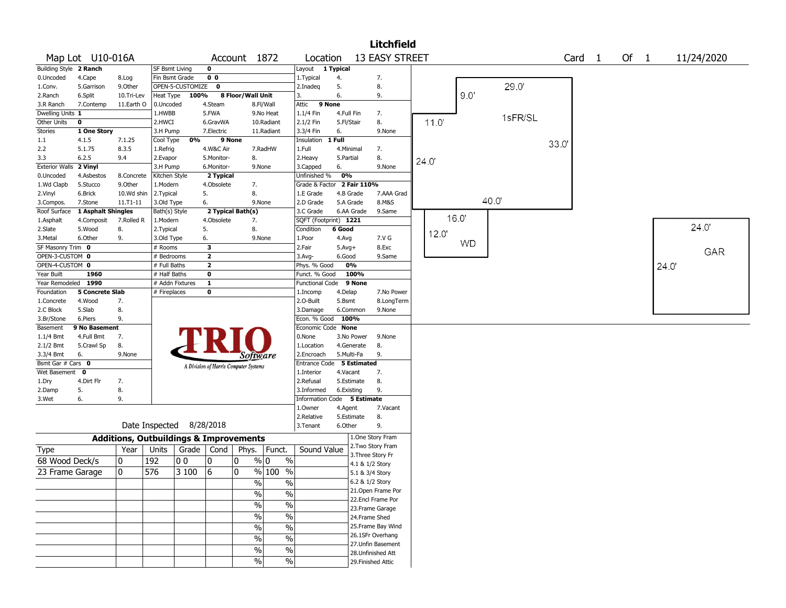|                           |                               |                                                   |                             |                          |                         |                                       |               |                             |                         |                                      | <b>Litchfield</b> |       |       |           |         |      |                   |      |       |            |  |
|---------------------------|-------------------------------|---------------------------------------------------|-----------------------------|--------------------------|-------------------------|---------------------------------------|---------------|-----------------------------|-------------------------|--------------------------------------|-------------------|-------|-------|-----------|---------|------|-------------------|------|-------|------------|--|
|                           | Map Lot U10-016A              |                                                   |                             |                          |                         | Account 1872                          |               | Location                    |                         | <b>13 EASY STREET</b>                |                   |       |       |           |         |      | Card <sub>1</sub> | Of 1 |       | 11/24/2020 |  |
| Building Style 2 Ranch    |                               |                                                   | SF Bsmt Living              |                          | $\mathbf 0$             |                                       |               | Layout                      | 1 Typical               |                                      |                   |       |       |           |         |      |                   |      |       |            |  |
| 0.Uncoded                 | 4.Cape                        | 8.Log                                             | Fin Bsmt Grade              |                          | 0 <sub>0</sub>          |                                       |               | 1. Typical                  | 4.                      | 7.                                   |                   |       |       |           |         |      |                   |      |       |            |  |
| 1.Conv.                   | 5.Garrison                    | 9.0ther                                           |                             | OPEN-5-CUSTOMIZE         | 0                       |                                       |               | 2.Inadeg                    | 5.                      | 8.                                   |                   |       |       |           | 29.0'   |      |                   |      |       |            |  |
| 2.Ranch                   | 6.Split                       | 10.Tri-Lev                                        | Heat Type                   | 100%                     |                         | 8 Floor/Wall Unit                     |               | 3.                          | 6.                      | 9.                                   |                   |       |       | 9.0'      |         |      |                   |      |       |            |  |
| 3.R Ranch                 | 7.Contemp                     | 11.Earth O                                        | 0.Uncoded                   |                          | 4.Steam                 |                                       | 8.Fl/Wall     | Attic                       | 9 None                  |                                      |                   |       |       |           |         |      |                   |      |       |            |  |
| Dwelling Units 1          |                               |                                                   | 1.HWBB                      |                          | 5.FWA                   |                                       | 9.No Heat     | 1.1/4 Fin                   | 4.Full Fin              | 7.                                   |                   |       |       |           | 1sFR/SL |      |                   |      |       |            |  |
| Other Units               | $\mathbf 0$                   |                                                   | 2.HWCI                      |                          | 6.GravWA                |                                       | 10.Radiant    | 2.1/2 Fin                   | 5.Fl/Stair              | 8.                                   |                   |       | 11.0  |           |         |      |                   |      |       |            |  |
| Stories                   | 1 One Story                   |                                                   | 3.H Pump                    |                          | 7.Electric              |                                       | 11.Radiant    | 3.3/4 Fin                   | 6.                      | 9.None                               |                   |       |       |           |         |      |                   |      |       |            |  |
| 1.1                       | 4.1.5                         | 7.1.25                                            | Cool Type                   | 0%                       |                         | 9 None                                |               | Insulation                  | 1 Full                  |                                      |                   |       |       |           |         | 33.0 |                   |      |       |            |  |
| 2.2                       | 5.1.75                        | 8.3.5                                             | 1.Refrig                    |                          | 4.W&C Air               |                                       | 7.RadHW       | 1.Full                      | 4.Minimal               | 7.                                   |                   |       |       |           |         |      |                   |      |       |            |  |
| 3.3                       | 6.2.5                         | 9.4                                               | 2.Evapor                    |                          | 5.Monitor-              | 8.                                    |               | 2. Heavy                    | 5.Partial               | 8.                                   |                   | 24.0' |       |           |         |      |                   |      |       |            |  |
| <b>Exterior Walls</b>     | 2 Vinyl                       |                                                   | 3.H Pump                    |                          | 6.Monitor-              |                                       | 9.None        | 3.Capped                    | 6.                      | 9.None                               |                   |       |       |           |         |      |                   |      |       |            |  |
| 0.Uncoded                 | 4.Asbestos                    | 8.Concrete                                        | Kitchen Style               |                          | 2 Typical               |                                       |               | Unfinished %                | 0%                      |                                      |                   |       |       |           |         |      |                   |      |       |            |  |
| 1.Wd Clapb                | 5.Stucco                      | 9.0ther                                           | 1.Modern                    |                          | 4.Obsolete              | 7.                                    |               | Grade & Factor 2 Fair 110%  |                         |                                      |                   |       |       |           |         |      |                   |      |       |            |  |
| 2.Vinyl                   | 6.Brick                       | 10.Wd shin                                        | 2.Typical                   |                          | 5.                      | 8.                                    |               | 1.E Grade                   | 4.B Grade               |                                      | 7.AAA Grad        |       |       |           | 40.0    |      |                   |      |       |            |  |
| 3.Compos.<br>Roof Surface | 7.Stone<br>1 Asphalt Shingles | 11.T1-11                                          | 3.Old Type<br>Bath(s) Style |                          | 6.                      | 2 Typical Bath(s)                     | 9.None        | 2.D Grade<br>3.C Grade      | 5.A Grade<br>6.AA Grade | 8.M&S<br>9.Same                      |                   |       |       |           |         |      |                   |      |       |            |  |
| 1.Asphalt                 | 4.Composit                    | 7.Rolled R                                        | 1.Modern                    |                          | 4.Obsolete              | 7.                                    |               | SQFT (Footprint) 1221       |                         |                                      |                   |       | 16.0' |           |         |      |                   |      |       |            |  |
| 2.Slate                   | 5.Wood                        | 8.                                                | 2.Typical                   |                          | 5.                      | 8.                                    |               | Condition                   | 6 Good                  |                                      |                   |       |       |           |         |      |                   |      |       | 24.0       |  |
| 3.Metal                   | 6.Other                       | 9.                                                | 3.Old Type                  |                          | 6.                      |                                       | 9.None        | 1.Poor                      | 4.Avg                   | 7.V G                                |                   |       | 12.0  |           |         |      |                   |      |       |            |  |
| SF Masonry Trim 0         |                               |                                                   | # Rooms                     |                          | 3                       |                                       |               | 2.Fair                      | $5.Avg+$                | 8.Exc                                |                   |       |       | <b>WD</b> |         |      |                   |      |       |            |  |
| OPEN-3-CUSTOM 0           |                               |                                                   | # Bedrooms                  |                          | $\overline{\mathbf{2}}$ |                                       |               | 3.Avg-                      | 6.Good                  | 9.Same                               |                   |       |       |           |         |      |                   |      |       | GAR        |  |
| OPEN-4-CUSTOM 0           |                               |                                                   | # Full Baths                |                          | $\overline{2}$          |                                       |               | Phys. % Good                | 0%                      |                                      |                   |       |       |           |         |      |                   |      | 24.0' |            |  |
| Year Built                | 1960                          |                                                   | # Half Baths                |                          | $\mathbf 0$             |                                       |               | Funct. % Good               | 100%                    |                                      |                   |       |       |           |         |      |                   |      |       |            |  |
| Year Remodeled 1990       |                               |                                                   |                             | # Addn Fixtures          | $\mathbf{1}$            |                                       |               | Functional Code 9 None      |                         |                                      |                   |       |       |           |         |      |                   |      |       |            |  |
| Foundation                | 5 Concrete Slab               |                                                   | # Fireplaces                |                          | 0                       |                                       |               | 1.Incomp                    | 4.Delap                 |                                      | 7.No Power        |       |       |           |         |      |                   |      |       |            |  |
| 1.Concrete                | 4.Wood                        | 7.                                                |                             |                          |                         |                                       |               | 2.O-Built                   | 5.Bsmt                  |                                      | 8.LongTerm        |       |       |           |         |      |                   |      |       |            |  |
| 2.C Block                 | 5.Slab                        | 8.                                                |                             |                          |                         |                                       |               | 3.Damage                    | 6.Common                | 9.None                               |                   |       |       |           |         |      |                   |      |       |            |  |
| 3.Br/Stone                | 6.Piers                       | 9.                                                |                             |                          |                         |                                       |               | Econ. % Good 100%           |                         |                                      |                   |       |       |           |         |      |                   |      |       |            |  |
| Basement                  | 9 No Basement                 |                                                   |                             |                          |                         |                                       |               | Economic Code None          |                         |                                      |                   |       |       |           |         |      |                   |      |       |            |  |
| $1.1/4$ Bmt               | 4.Full Bmt                    | 7.                                                |                             |                          |                         |                                       |               | 0.None                      | 3.No Power              | 9.None                               |                   |       |       |           |         |      |                   |      |       |            |  |
| 2.1/2 Bmt                 | 5.Crawl Sp                    | 8.                                                |                             |                          |                         |                                       |               | 1.Location                  | 4.Generate              | 8.                                   |                   |       |       |           |         |      |                   |      |       |            |  |
| 3.3/4 Bmt                 | 6.                            | 9.None                                            |                             |                          |                         | Software                              |               | 2.Encroach                  | 5.Multi-Fa              | 9.                                   |                   |       |       |           |         |      |                   |      |       |            |  |
| Bsmt Gar # Cars 0         |                               |                                                   |                             |                          |                         | A Division of Harris Computer Systems |               | Entrance Code 5 Estimated   |                         |                                      |                   |       |       |           |         |      |                   |      |       |            |  |
| Wet Basement              | 0                             |                                                   |                             |                          |                         |                                       |               | 1.Interior                  | 4.Vacant                | 7.                                   |                   |       |       |           |         |      |                   |      |       |            |  |
| 1.Dry                     | 4.Dirt Flr                    | 7.                                                |                             |                          |                         |                                       |               | 2.Refusal                   | 5.Estimate              | 8.                                   |                   |       |       |           |         |      |                   |      |       |            |  |
| 2.Damp                    | 5.                            | 8.                                                |                             |                          |                         |                                       |               | 3.Informed                  | 6.Existing              | 9.                                   |                   |       |       |           |         |      |                   |      |       |            |  |
| 3.Wet                     | 6.                            | 9.                                                |                             |                          |                         |                                       |               | Information Code 5 Estimate |                         |                                      |                   |       |       |           |         |      |                   |      |       |            |  |
|                           |                               |                                                   |                             |                          |                         |                                       |               | 1.0wner                     | 4.Agent                 | 7.Vacant                             |                   |       |       |           |         |      |                   |      |       |            |  |
|                           |                               |                                                   |                             | Date Inspected 8/28/2018 |                         |                                       |               | 2.Relative                  | 5.Estimate              | 8.                                   |                   |       |       |           |         |      |                   |      |       |            |  |
|                           |                               |                                                   |                             |                          |                         |                                       |               | 3.Tenant                    | 6.Other                 | 9.                                   |                   |       |       |           |         |      |                   |      |       |            |  |
|                           |                               | <b>Additions, Outbuildings &amp; Improvements</b> |                             |                          |                         |                                       |               |                             |                         | 1.One Story Fram                     |                   |       |       |           |         |      |                   |      |       |            |  |
| Type                      |                               | Year                                              | Units                       | Grade                    | Cond                    | Phys.                                 | Funct.        | Sound Value                 |                         | 2. Two Story Fram                    |                   |       |       |           |         |      |                   |      |       |            |  |
| 68 Wood Deck/s            |                               | 0                                                 | 192                         | 0 <sub>0</sub>           | 10                      | 0                                     | $\%$<br>% 0   |                             |                         | 3. Three Story Fr<br>4.1 & 1/2 Story |                   |       |       |           |         |      |                   |      |       |            |  |
| 23 Frame Garage           |                               | 0                                                 | 576                         | 3 100                    | 6                       | 0                                     | $%100$ %      |                             |                         | 5.1 & 3/4 Story                      |                   |       |       |           |         |      |                   |      |       |            |  |
|                           |                               |                                                   |                             |                          |                         | %                                     | $\frac{0}{6}$ |                             |                         | 6.2 & 1/2 Story                      |                   |       |       |           |         |      |                   |      |       |            |  |
|                           |                               |                                                   |                             |                          |                         |                                       |               |                             |                         | 21. Open Frame Por                   |                   |       |       |           |         |      |                   |      |       |            |  |
|                           |                               |                                                   |                             |                          |                         | $\sqrt{6}$                            | $\%$          |                             |                         | 22.Encl Frame Por                    |                   |       |       |           |         |      |                   |      |       |            |  |
|                           |                               |                                                   |                             |                          |                         | $\sqrt{6}$                            | $\sqrt{6}$    |                             |                         | 23. Frame Garage                     |                   |       |       |           |         |      |                   |      |       |            |  |
|                           |                               |                                                   |                             |                          |                         | $\sqrt{6}$                            | $\%$          |                             |                         | 24.Frame Shed                        |                   |       |       |           |         |      |                   |      |       |            |  |
|                           |                               |                                                   |                             |                          |                         | $\frac{0}{0}$                         | $\%$          |                             |                         | 25.Frame Bay Wind                    |                   |       |       |           |         |      |                   |      |       |            |  |
|                           |                               |                                                   |                             |                          |                         |                                       |               |                             |                         | 26.1SFr Overhang                     |                   |       |       |           |         |      |                   |      |       |            |  |
|                           |                               |                                                   |                             |                          |                         | %                                     | $\%$          |                             |                         | 27.Unfin Basement                    |                   |       |       |           |         |      |                   |      |       |            |  |
|                           |                               |                                                   |                             |                          |                         | %                                     | %             |                             |                         | 28. Unfinished Att                   |                   |       |       |           |         |      |                   |      |       |            |  |
|                           |                               |                                                   |                             |                          |                         | $\sqrt{6}$                            | %             |                             |                         | 29. Finished Attic                   |                   |       |       |           |         |      |                   |      |       |            |  |
|                           |                               |                                                   |                             |                          |                         |                                       |               |                             |                         |                                      |                   |       |       |           |         |      |                   |      |       |            |  |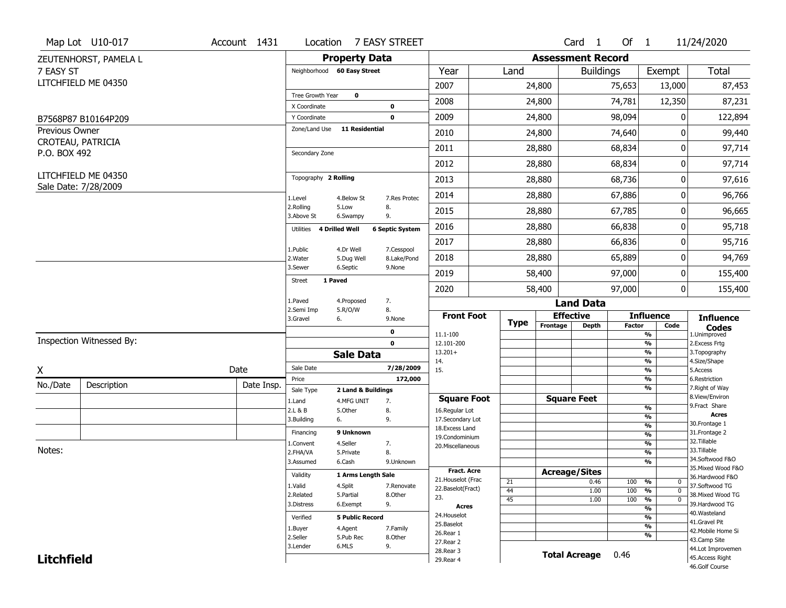|                   | Map Lot U10-017          | Account 1431 |                                  | Location 7 EASY STREET  |                           |                                    |             |                          | Card <sub>1</sub>    | Of 1          |                                           | 11/24/2020                            |
|-------------------|--------------------------|--------------|----------------------------------|-------------------------|---------------------------|------------------------------------|-------------|--------------------------|----------------------|---------------|-------------------------------------------|---------------------------------------|
|                   | ZEUTENHORST, PAMELA L    |              |                                  | <b>Property Data</b>    |                           |                                    |             | <b>Assessment Record</b> |                      |               |                                           |                                       |
| 7 EASY ST         |                          |              | Neighborhood 60 Easy Street      |                         |                           | Year                               | Land        |                          | <b>Buildings</b>     |               | Exempt                                    | <b>Total</b>                          |
|                   | LITCHFIELD ME 04350      |              |                                  |                         |                           | 2007                               |             | 24,800                   |                      | 75,653        | 13,000                                    | 87,453                                |
|                   |                          |              | Tree Growth Year                 | $\mathbf 0$             |                           | 2008                               |             | 24,800                   |                      | 74,781        | 12,350                                    | 87,231                                |
|                   |                          |              | X Coordinate                     | 0                       |                           |                                    |             |                          |                      |               |                                           |                                       |
|                   | B7568P87 B10164P209      |              | Y Coordinate                     | $\mathbf 0$             |                           | 2009                               |             | 24,800                   |                      | 98,094        | 0                                         | 122,894                               |
| Previous Owner    |                          |              | Zone/Land Use                    | 11 Residential          |                           | 2010                               |             | 24,800                   |                      | 74,640        | 0                                         | 99,440                                |
| P.O. BOX 492      | CROTEAU, PATRICIA        |              | Secondary Zone                   |                         |                           | 2011                               |             | 28,880                   |                      | 68,834        | 0                                         | 97,714                                |
|                   |                          |              |                                  |                         |                           | 2012                               |             | 28,880                   |                      | 68,834        | 0                                         | 97,714                                |
|                   | LITCHFIELD ME 04350      |              | Topography 2 Rolling             |                         |                           | 2013                               |             | 28,880                   |                      | 68,736        | 0                                         | 97,616                                |
|                   | Sale Date: 7/28/2009     |              | 1.Level                          | 4.Below St              | 7.Res Protec              | 2014                               |             | 28,880                   |                      | 67,886        | 0                                         | 96,766                                |
|                   |                          |              | 2.Rolling<br>5.Low<br>3.Above St | 8.<br>9.<br>6.Swampy    |                           | 2015                               |             | 28,880                   |                      | 67,785        | 0                                         | 96,665                                |
|                   |                          |              | 4 Drilled Well<br>Utilities      | <b>6 Septic System</b>  |                           | 2016                               |             | 28,880                   |                      | 66,838        | 0                                         | 95,718                                |
|                   |                          |              |                                  |                         |                           | 2017                               |             | 28,880                   |                      | 66,836        | 0                                         | 95,716                                |
|                   |                          |              | 1.Public<br>2. Water             | 4.Dr Well<br>5.Dug Well | 7.Cesspool<br>8.Lake/Pond | 2018                               |             | 28,880                   |                      | 65,889        | 0                                         | 94,769                                |
|                   |                          |              | 3.Sewer                          | 6.Septic<br>9.None      |                           | 2019                               |             | 58,400                   |                      | 97,000        | 0                                         | 155,400                               |
|                   |                          |              | 1 Paved<br>Street                |                         |                           | 2020                               |             | 58,400                   |                      | 97,000        | 0                                         | 155,400                               |
|                   |                          |              | 1.Paved                          | 7.<br>4.Proposed        |                           |                                    |             |                          | <b>Land Data</b>     |               |                                           |                                       |
|                   |                          |              | 2.Semi Imp<br>3.Gravel<br>6.     | 8.<br>5.R/O/W<br>9.None |                           | <b>Front Foot</b>                  |             | <b>Effective</b>         |                      |               | <b>Influence</b>                          | <b>Influence</b>                      |
|                   |                          |              |                                  | 0                       |                           | 11.1-100                           | <b>Type</b> | Frontage                 | <b>Depth</b>         | <b>Factor</b> | Code<br>%                                 | <b>Codes</b><br>1.Unimproved          |
|                   | Inspection Witnessed By: |              |                                  | $\mathbf 0$             |                           | 12.101-200                         |             |                          |                      |               | $\frac{9}{6}$                             | 2.Excess Frtg                         |
|                   |                          |              |                                  | <b>Sale Data</b>        |                           | $13.201+$                          |             |                          |                      |               | $\frac{9}{6}$                             | 3. Topography                         |
| X                 |                          | Date         | Sale Date                        |                         | 7/28/2009                 | 14.<br>15.                         |             |                          |                      |               | $\frac{9}{6}$<br>$\frac{9}{6}$            | 4.Size/Shape<br>5.Access              |
| No./Date          | Description              | Date Insp.   | Price                            |                         | 172,000                   |                                    |             |                          |                      |               | %                                         | 6.Restriction                         |
|                   |                          |              | Sale Type                        | 2 Land & Buildings      |                           |                                    |             |                          |                      |               | %                                         | 7. Right of Way<br>8.View/Environ     |
|                   |                          |              | 1.Land                           | 4.MFG UNIT<br>7.        |                           | <b>Square Foot</b>                 |             | <b>Square Feet</b>       |                      |               | $\frac{9}{6}$                             | 9. Fract Share                        |
|                   |                          |              | 2.L & B<br>3.Building<br>6.      | 5.Other<br>8.<br>9.     |                           | 16.Regular Lot<br>17.Secondary Lot |             |                          |                      |               | $\frac{9}{6}$                             | <b>Acres</b>                          |
|                   |                          |              |                                  |                         |                           | 18. Excess Land                    |             |                          |                      |               | $\frac{9}{6}$                             | 30. Frontage 1                        |
|                   |                          |              | Financing                        | 9 Unknown               |                           | 19.Condominium                     |             |                          |                      |               | $\overline{\frac{9}{6}}$                  | 31. Frontage 2<br>32. Tillable        |
| Notes:            |                          |              | 1.Convent                        | 4.Seller<br>7.          |                           | 20.Miscellaneous                   |             |                          |                      |               | $\frac{9}{6}$                             | 33.Tillable                           |
|                   |                          |              | 2.FHA/VA                         | 8.<br>5.Private         |                           |                                    |             |                          |                      |               | $\frac{9}{6}$<br>$\overline{\frac{9}{6}}$ | 34.Softwood F&O                       |
|                   |                          |              |                                  |                         |                           |                                    |             |                          |                      |               |                                           |                                       |
|                   |                          |              | 3.Assumed                        | 6.Cash<br>9.Unknown     |                           |                                    |             |                          |                      |               |                                           | 35. Mixed Wood F&O                    |
|                   |                          |              | Validity                         | 1 Arms Length Sale      |                           | <b>Fract, Acre</b>                 |             | <b>Acreage/Sites</b>     |                      |               |                                           | 36.Hardwood F&O                       |
|                   |                          |              | 1.Valid                          | 4.Split                 | 7.Renovate                | 21. Houselot (Frac                 | 21          |                          | 0.46                 | 100           | %<br>0                                    | 37.Softwood TG                        |
|                   |                          |              | 2.Related                        | 5.Partial<br>8.Other    |                           | 22.Baselot(Fract)<br>23.           | 44          |                          | 1.00                 | 100           | %<br>$\mathbf{0}$                         | 38. Mixed Wood TG                     |
|                   |                          |              | 3.Distress                       | 9.<br>6.Exempt          |                           | <b>Acres</b>                       | 45          |                          | 1.00                 | 100           | $\frac{9}{6}$<br>$\overline{0}$           | 39.Hardwood TG                        |
|                   |                          |              |                                  |                         |                           | 24. Houselot                       |             |                          |                      |               | $\frac{9}{6}$<br>$\frac{9}{6}$            | 40. Wasteland                         |
|                   |                          |              | Verified                         | <b>5 Public Record</b>  |                           | 25.Baselot                         |             |                          |                      |               | $\frac{9}{6}$                             | 41.Gravel Pit                         |
|                   |                          |              | 1.Buyer                          | 4.Agent<br>7.Family     |                           | 26.Rear 1                          |             |                          |                      |               | $\frac{9}{6}$                             | 42. Mobile Home Si                    |
|                   |                          |              | 2.Seller                         | 5.Pub Rec<br>8.Other    |                           | 27.Rear 2                          |             |                          |                      |               |                                           | 43.Camp Site                          |
| <b>Litchfield</b> |                          |              | 3.Lender                         | 6.MLS<br>9.             |                           | 28. Rear 3<br>29. Rear 4           |             |                          | <b>Total Acreage</b> | 0.46          |                                           | 44.Lot Improvemen<br>45. Access Right |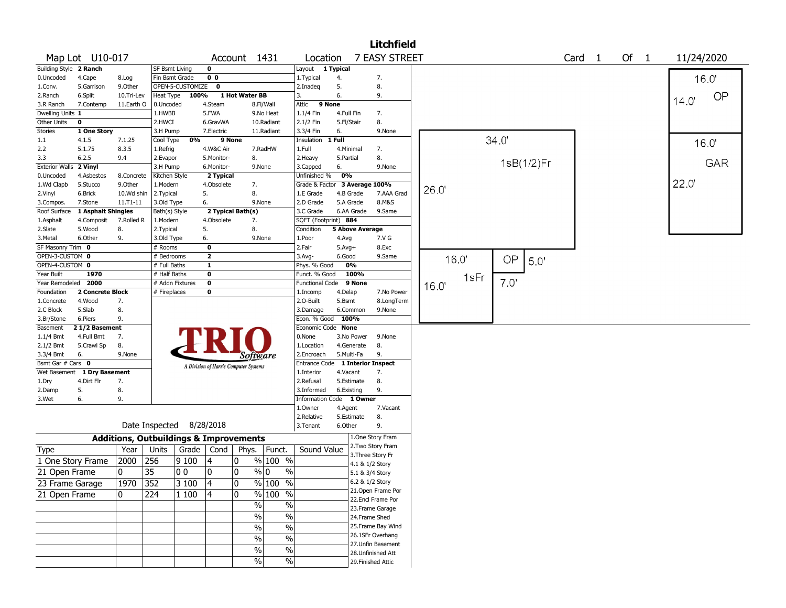|                       |                    |              |                                                   |       |                                       |                |                                  |                               |              |                        | <b>Litchfield</b>  |       |      |            |                   |        |             |
|-----------------------|--------------------|--------------|---------------------------------------------------|-------|---------------------------------------|----------------|----------------------------------|-------------------------------|--------------|------------------------|--------------------|-------|------|------------|-------------------|--------|-------------|
|                       | Map Lot U10-017    |              |                                                   |       |                                       |                | Account 1431                     | Location                      |              |                        | 7 EASY STREET      |       |      |            | Card <sub>1</sub> | Of $1$ | 11/24/2020  |
| <b>Building Style</b> | 2 Ranch            |              | <b>SF Bsmt Living</b>                             |       | 0                                     |                |                                  | Layout 1 Typical              |              |                        |                    |       |      |            |                   |        |             |
| 0.Uncoded             | 4.Cape             | 8.Log        | Fin Bsmt Grade                                    |       | 0 <sub>0</sub>                        |                |                                  | 1. Typical                    | 4.           |                        | 7.                 |       |      |            |                   |        | 16.0'       |
| 1.Conv.               | 5.Garrison         | 9.Other      | OPEN-5-CUSTOMIZE                                  |       | $\mathbf 0$                           |                |                                  | 2.Inadeg                      | 5.           |                        | 8.                 |       |      |            |                   |        |             |
| 2.Ranch               | 6.Split            | 10.Tri-Lev   | Heat Type                                         | 100%  |                                       | 1 Hot Water BB |                                  | 3.                            | 6.           |                        | 9.                 |       |      |            |                   |        | OP<br>14.0' |
| 3.R Ranch             | 7.Contemp          | 11.Earth O   | 0.Uncoded                                         |       | 4.Steam                               |                | 8.Fl/Wall                        | Attic                         | 9 None       |                        |                    |       |      |            |                   |        |             |
| Dwelling Units 1      |                    |              | 1.HWBB                                            |       | 5.FWA                                 |                | 9.No Heat                        | 1.1/4 Fin                     | 4.Full Fin   |                        | 7.                 |       |      |            |                   |        |             |
| Other Units           | 0                  |              | 2.HWCI                                            |       | 6.GravWA                              |                | 10.Radiant                       | 2.1/2 Fin                     | 5.Fl/Stair   |                        | 8.                 |       |      |            |                   |        |             |
| Stories               | 1 One Story        |              | 3.H Pump                                          |       | 7.Electric                            |                | 11.Radiant                       | 3.3/4 Fin                     | 6.           |                        | 9.None             |       |      |            |                   |        |             |
| $1.1\,$               | 4.1.5              | 7.1.25       | Cool Type                                         | 0%    | 9 None                                |                |                                  | Insulation                    | 1 Full       |                        |                    |       | 34.0 |            |                   |        | 16.0'       |
| 2.2                   | 5.1.75             | 8.3.5        | 1.Refrig                                          |       | 4.W&C Air                             |                | 7.RadHW                          | 1.Full                        | 4.Minimal    |                        | 7.                 |       |      |            |                   |        |             |
| 3.3                   | 6.2.5              | 9.4          | 2.Evapor                                          |       | 5.Monitor-                            |                | 8.                               | 2.Heavy                       | 5.Partial    |                        | 8.                 |       |      | 1sB(1/2)Fr |                   |        | GAR         |
| <b>Exterior Walls</b> | 2 Vinyl            |              | 3.H Pump                                          |       | 6.Monitor-                            |                | 9.None                           | 3.Capped                      | 6.           |                        | 9.None             |       |      |            |                   |        |             |
| 0.Uncoded             | 4.Asbestos         | 8.Concrete   | Kitchen Style                                     |       | 2 Typical                             |                |                                  | Unfinished %                  | 0%           |                        |                    |       |      |            |                   |        |             |
| 1.Wd Clapb            | 5.Stucco           | 9.0ther      | 1.Modern                                          |       | 4.Obsolete                            |                | 7.                               | Grade & Factor 3 Average 100% |              |                        |                    | 26.0' |      |            |                   |        | 22.0        |
| 2.Vinyl               | 6.Brick            | 10.Wd shin   | 2.Typical                                         | 5.    |                                       |                | 8.                               | 1.E Grade                     |              | 4.B Grade              | 7.AAA Grad         |       |      |            |                   |        |             |
| 3.Compos.             | 7.Stone            | $11.71 - 11$ | 3.Old Type                                        | 6.    |                                       |                | 9.None                           | 2.D Grade                     |              | 5.A Grade              | 8.M&S              |       |      |            |                   |        |             |
| Roof Surface          | 1 Asphalt Shingles |              | Bath(s) Style                                     |       | 2 Typical Bath(s)                     |                |                                  | 3.C Grade                     |              | 6.AA Grade             | 9.Same             |       |      |            |                   |        |             |
| 1.Asphalt             | 4.Composit         | 7.Rolled R   | 1.Modern                                          |       | 4.Obsolete                            |                | 7.                               | SQFT (Footprint) 884          |              |                        |                    |       |      |            |                   |        |             |
| 2.Slate               | 5.Wood             | 8.           | 2.Typical                                         | 5.    |                                       |                | 8.                               | Condition                     |              | <b>5 Above Average</b> |                    |       |      |            |                   |        |             |
| 3. Metal              | 6.Other            | 9.           | 3.Old Type                                        | 6.    |                                       |                | 9.None                           | 1.Poor                        | 4.Avg        |                        | 7.V G              |       |      |            |                   |        |             |
| SF Masonry Trim 0     |                    |              | $#$ Rooms                                         |       | 0                                     |                |                                  | 2.Fair                        | $5.$ Avg $+$ |                        | 8.Exc              |       |      |            |                   |        |             |
| OPEN-3-CUSTOM 0       |                    |              | # Bedrooms                                        |       | $\overline{\mathbf{2}}$               |                |                                  | 3.Avg-                        | 6.Good       |                        | 9.Same             | 16.0  | OP   |            |                   |        |             |
| OPEN-4-CUSTOM 0       |                    |              | # Full Baths                                      |       | $\mathbf{1}$                          |                |                                  | Phys. % Good                  |              | 0%                     |                    |       |      | 5.0        |                   |        |             |
| Year Built            | 1970               |              | # Half Baths                                      |       | 0                                     |                |                                  | Funct. % Good                 |              | 100%                   |                    | 1sFr  |      |            |                   |        |             |
| Year Remodeled        | 2000               |              | # Addn Fixtures                                   |       | 0                                     |                |                                  | <b>Functional Code</b>        |              | 9 None                 |                    | 16.0' | 7.0  |            |                   |        |             |
| Foundation            | 2 Concrete Block   |              | # Fireplaces                                      |       | 0                                     |                |                                  | 1.Incomp                      | 4.Delap      |                        | 7.No Power         |       |      |            |                   |        |             |
| 1.Concrete            | 4.Wood             | 7.           |                                                   |       |                                       |                |                                  | 2.O-Built                     | 5.Bsmt       |                        | 8.LongTerm         |       |      |            |                   |        |             |
| 2.C Block             | 5.Slab             | 8.           |                                                   |       |                                       |                |                                  | 3.Damage                      |              | 6.Common               | 9.None             |       |      |            |                   |        |             |
| 3.Br/Stone            | 6.Piers            | 9.           |                                                   |       |                                       |                |                                  | Econ. % Good                  | 100%         |                        |                    |       |      |            |                   |        |             |
| Basement              | 21/2 Basement      |              |                                                   |       |                                       |                |                                  | Economic Code None            |              |                        |                    |       |      |            |                   |        |             |
| 1.1/4 Bmt             | 4.Full Bmt         | 7.           |                                                   |       |                                       |                |                                  | 0.None                        |              | 3.No Power             | 9.None             |       |      |            |                   |        |             |
| 2.1/2 Bmt             | 5.Crawl Sp         | 8.           |                                                   |       |                                       |                |                                  | 1.Location                    |              | 4.Generate             | 8.                 |       |      |            |                   |        |             |
| 3.3/4 Bmt             | 6.                 | 9.None       |                                                   |       |                                       |                | Software                         | 2.Encroach                    |              | 5.Multi-Fa             | 9.                 |       |      |            |                   |        |             |
| Bsmt Gar # Cars 0     |                    |              |                                                   |       | A Division of Harris Computer Systems |                |                                  | Entrance Code                 |              |                        | 1 Interior Inspect |       |      |            |                   |        |             |
| Wet Basement          | 1 Dry Basement     |              |                                                   |       |                                       |                |                                  | 1.Interior                    | 4.Vacant     |                        | 7.                 |       |      |            |                   |        |             |
| 1.Dry                 | 4.Dirt Flr         | 7.           |                                                   |       |                                       |                |                                  | 2.Refusal                     |              | 5.Estimate             | 8.                 |       |      |            |                   |        |             |
| 2.Damp                | 5.                 | 8.           |                                                   |       |                                       |                |                                  | 3.Informed                    | 6.Existing   |                        | 9.                 |       |      |            |                   |        |             |
| 3.Wet                 | 6.                 | 9.           |                                                   |       |                                       |                |                                  | Information Code 1 Owner      |              |                        |                    |       |      |            |                   |        |             |
|                       |                    |              |                                                   |       |                                       |                |                                  | 1.Owner                       | 4.Agent      |                        | 7.Vacant           |       |      |            |                   |        |             |
|                       |                    |              |                                                   |       |                                       |                |                                  | 2.Relative                    |              | 5.Estimate             | 8.                 |       |      |            |                   |        |             |
|                       |                    |              | Date Inspected 8/28/2018                          |       |                                       |                |                                  | 3. Tenant                     | 6.Other      |                        | 9.                 |       |      |            |                   |        |             |
|                       |                    |              | <b>Additions, Outbuildings &amp; Improvements</b> |       |                                       |                |                                  |                               |              |                        | 1.One Story Fram   |       |      |            |                   |        |             |
| <b>Type</b>           |                    | Year         | Units                                             | Grade | Cond                                  |                | Phys.   Funct.                   | Sound Value                   |              |                        | 2. Two Story Fram  |       |      |            |                   |        |             |
| 1 One Story Frame     |                    | 2000         | 256                                               | 9100  | 4                                     | 10             | % 100 %                          |                               |              | 4.1 & 1/2 Story        | 3. Three Story Fr  |       |      |            |                   |        |             |
| 21 Open Frame         |                    | 0            | 35<br>00                                          |       | 10                                    | 0              | % 0<br>%                         |                               |              | 5.1 & 3/4 Story        |                    |       |      |            |                   |        |             |
| 23 Frame Garage       |                    | 1970         | 352                                               | 3 100 | 14                                    | 0              | % 100 %                          |                               |              | 6.2 & 1/2 Story        |                    |       |      |            |                   |        |             |
|                       |                    |              |                                                   |       |                                       |                |                                  |                               |              |                        | 21.Open Frame Por  |       |      |            |                   |        |             |
| 21 Open Frame         |                    | 0            | 224                                               | 1 100 | 4                                     | 10             | $%100$ %                         |                               |              |                        | 22.Encl Frame Por  |       |      |            |                   |        |             |
|                       |                    |              |                                                   |       |                                       |                | $\overline{\frac{0}{6}}$<br>$\%$ |                               |              |                        | 23. Frame Garage   |       |      |            |                   |        |             |
|                       |                    |              |                                                   |       |                                       |                | $\%$<br>$\%$                     |                               |              | 24.Frame Shed          |                    |       |      |            |                   |        |             |
|                       |                    |              |                                                   |       |                                       |                | $\%$                             |                               |              |                        | 25.Frame Bay Wind  |       |      |            |                   |        |             |
|                       |                    |              |                                                   |       |                                       |                | $\%$                             |                               |              |                        | 26.1SFr Overhang   |       |      |            |                   |        |             |
|                       |                    |              |                                                   |       |                                       |                | $\%$<br>$\%$                     |                               |              |                        | 27.Unfin Basement  |       |      |            |                   |        |             |
|                       |                    |              |                                                   |       |                                       |                | $\%$<br>$\%$                     |                               |              |                        | 28. Unfinished Att |       |      |            |                   |        |             |
|                       |                    |              |                                                   |       |                                       |                | $\%$<br>$\%$                     |                               |              |                        | 29. Finished Attic |       |      |            |                   |        |             |
|                       |                    |              |                                                   |       |                                       |                |                                  |                               |              |                        |                    |       |      |            |                   |        |             |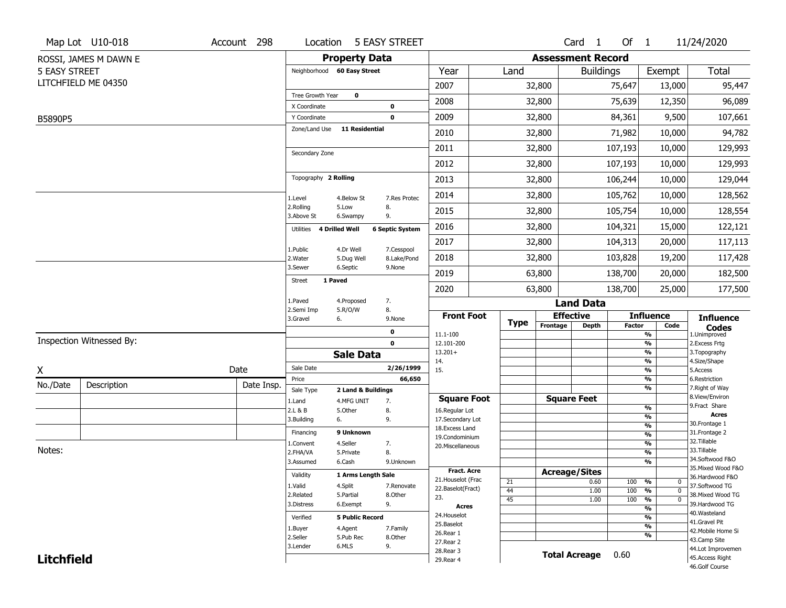|                      | Map Lot U10-018          | Account 298 | Location                            |                        | <b>5 EASY STREET</b>   |                                    |             |                          | Card 1           | Of $1$        |                                       | 11/24/2020                          |
|----------------------|--------------------------|-------------|-------------------------------------|------------------------|------------------------|------------------------------------|-------------|--------------------------|------------------|---------------|---------------------------------------|-------------------------------------|
|                      | ROSSI, JAMES M DAWN E    |             |                                     | <b>Property Data</b>   |                        |                                    |             | <b>Assessment Record</b> |                  |               |                                       |                                     |
| <b>5 EASY STREET</b> |                          |             | Neighborhood 60 Easy Street         |                        |                        | Year                               | Land        |                          | <b>Buildings</b> |               | Exempt                                | Total                               |
|                      | LITCHFIELD ME 04350      |             |                                     |                        |                        | 2007                               |             | 32,800                   |                  | 75,647        | 13,000                                | 95,447                              |
|                      |                          |             | Tree Growth Year                    | $\mathbf 0$            |                        | 2008                               |             | 32,800                   |                  | 75,639        | 12,350                                | 96,089                              |
|                      |                          |             | X Coordinate                        |                        | 0                      |                                    |             |                          |                  |               |                                       |                                     |
| B5890P5              |                          |             | Y Coordinate<br>Zone/Land Use       | <b>11 Residential</b>  | $\mathbf 0$            | 2009                               |             | 32,800                   |                  | 84,361        | 9,500                                 | 107,661                             |
|                      |                          |             |                                     |                        |                        | 2010                               |             | 32,800                   |                  | 71,982        | 10,000                                | 94,782                              |
|                      |                          |             | Secondary Zone                      |                        |                        | 2011                               |             | 32,800                   |                  | 107,193       | 10,000                                | 129,993                             |
|                      |                          |             |                                     |                        |                        | 2012                               |             | 32,800                   |                  | 107,193       | 10,000                                | 129,993                             |
|                      |                          |             | Topography 2 Rolling                |                        |                        | 2013                               |             | 32,800                   |                  | 106,244       | 10,000                                | 129,044                             |
|                      |                          |             | 1.Level                             | 4.Below St             | 7.Res Protec           | 2014                               |             | 32,800                   |                  | 105,762       | 10,000                                | 128,562                             |
|                      |                          |             | 2.Rolling<br>3.Above St             | 5.Low<br>6.Swampy      | 8.<br>9.               | 2015                               |             | 32,800                   |                  | 105,754       | 10,000                                | 128,554                             |
|                      |                          |             | 4 Drilled Well<br>Utilities         |                        | <b>6 Septic System</b> | 2016                               |             | 32,800                   |                  | 104,321       | 15,000                                | 122,121                             |
|                      |                          |             | 1.Public                            | 4.Dr Well              | 7.Cesspool             | 2017                               |             | 32,800                   |                  | 104,313       | 20,000                                | 117,113                             |
|                      |                          |             | 2. Water                            | 5.Dug Well             | 8.Lake/Pond            | 2018                               |             | 32,800                   |                  | 103,828       | 19,200                                | 117,428                             |
|                      |                          |             | 3.Sewer<br>1 Paved<br><b>Street</b> | 6.Septic               | 9.None                 | 2019                               |             | 63,800                   |                  | 138,700       | 20,000                                | 182,500                             |
|                      |                          |             |                                     |                        |                        | 2020                               |             | 63,800                   |                  | 138,700       | 25,000                                | 177,500                             |
|                      |                          |             | 1.Paved<br>2.Semi Imp               | 4.Proposed<br>5.R/O/W  | 7.<br>8.               |                                    |             |                          | <b>Land Data</b> |               |                                       |                                     |
|                      |                          |             | 3.Gravel<br>6.                      |                        | 9.None                 | <b>Front Foot</b>                  | <b>Type</b> | <b>Effective</b>         |                  |               | <b>Influence</b>                      | <b>Influence</b>                    |
|                      |                          |             |                                     |                        | 0                      | 11.1-100                           |             | Frontage                 | <b>Depth</b>     | <b>Factor</b> | Code<br>%                             | <b>Codes</b><br>1.Unimproved        |
|                      | Inspection Witnessed By: |             |                                     |                        | $\mathbf 0$            | 12.101-200                         |             |                          |                  |               | $\frac{9}{6}$<br>%                    | 2. Excess Frtg                      |
|                      |                          |             |                                     | <b>Sale Data</b>       |                        | $13.201+$<br>14.                   |             |                          |                  |               | %                                     | 3. Topography<br>4.Size/Shape       |
| X                    |                          | Date        | Sale Date                           |                        | 2/26/1999              | 15.                                |             |                          |                  |               | %                                     | 5.Access                            |
| No./Date             | Description              | Date Insp.  | Price<br>Sale Type                  | 2 Land & Buildings     | 66,650                 |                                    |             |                          |                  |               | %<br>%                                | 6.Restriction<br>7. Right of Way    |
|                      |                          |             | 1.Land                              | 4.MFG UNIT             | 7.                     | <b>Square Foot</b>                 |             | <b>Square Feet</b>       |                  |               |                                       | 8.View/Environ                      |
|                      |                          |             | 2.L & B                             | 5.Other                | 8.                     | 16.Regular Lot                     |             |                          |                  |               | %<br>$\frac{9}{6}$                    | 9.Fract Share<br><b>Acres</b>       |
|                      |                          |             | 3.Building<br>6.                    |                        | 9.                     | 17.Secondary Lot<br>18.Excess Land |             |                          |                  |               | $\frac{9}{6}$                         | 30.Frontage 1                       |
|                      |                          |             | Financing                           | 9 Unknown              |                        | 19.Condominium                     |             |                          |                  |               | $\frac{9}{6}$                         | 31. Frontage 2                      |
|                      |                          |             | 1.Convent                           | 4.Seller               | 7.                     | 20.Miscellaneous                   |             |                          |                  |               | $\frac{9}{6}$                         | 32.Tillable                         |
| Notes:               |                          |             | 2.FHA/VA                            | 5.Private              | 8.                     |                                    |             |                          |                  |               | $\frac{9}{6}$                         | 33.Tillable<br>34.Softwood F&O      |
|                      |                          |             | 3.Assumed                           | 6.Cash                 | 9.Unknown              |                                    |             |                          |                  |               | %                                     | 35. Mixed Wood F&O                  |
|                      |                          |             | Validity                            | 1 Arms Length Sale     |                        | Fract. Acre<br>21. Houselot (Frac  |             | <b>Acreage/Sites</b>     |                  |               |                                       | 36.Hardwood F&O                     |
|                      |                          |             | 1.Valid                             | 4.Split                | 7.Renovate             | 22.Baselot(Fract)                  | 21<br>44    |                          | 0.60<br>1.00     | 100<br>100    | %<br>$\mathbf 0$<br>%<br>$\mathbf{0}$ | 37.Softwood TG                      |
|                      |                          |             | 2.Related                           | 5.Partial              | 8.Other                | 23.                                | 45          |                          | 1.00             | 100           | $\frac{9}{6}$<br>$\mathbf 0$          | 38. Mixed Wood TG                   |
|                      |                          |             | 3.Distress                          | 6.Exempt               | 9.                     | <b>Acres</b>                       |             |                          |                  |               | $\frac{9}{6}$                         | 39.Hardwood TG                      |
|                      |                          |             | Verified                            | <b>5 Public Record</b> |                        | 24. Houselot                       |             |                          |                  |               | %                                     | 40. Wasteland                       |
|                      |                          |             | 1.Buyer                             | 4.Agent                | 7.Family               | 25.Baselot                         |             |                          |                  |               | $\frac{9}{6}$                         | 41.Gravel Pit<br>42. Mobile Home Si |
|                      |                          |             | 2.Seller                            | 5.Pub Rec              | 8.Other                | 26.Rear 1<br>27.Rear 2             |             |                          |                  |               | %                                     | 43.Camp Site                        |
|                      |                          |             | 3.Lender                            | 6.MLS                  | 9.                     | 28. Rear 3                         |             |                          |                  |               |                                       | 44.Lot Improvemen                   |
| <b>Litchfield</b>    |                          |             |                                     |                        |                        | 29. Rear 4                         |             | <b>Total Acreage</b>     |                  | 0.60          |                                       | 45.Access Right<br>46.Golf Course   |
|                      |                          |             |                                     |                        |                        |                                    |             |                          |                  |               |                                       |                                     |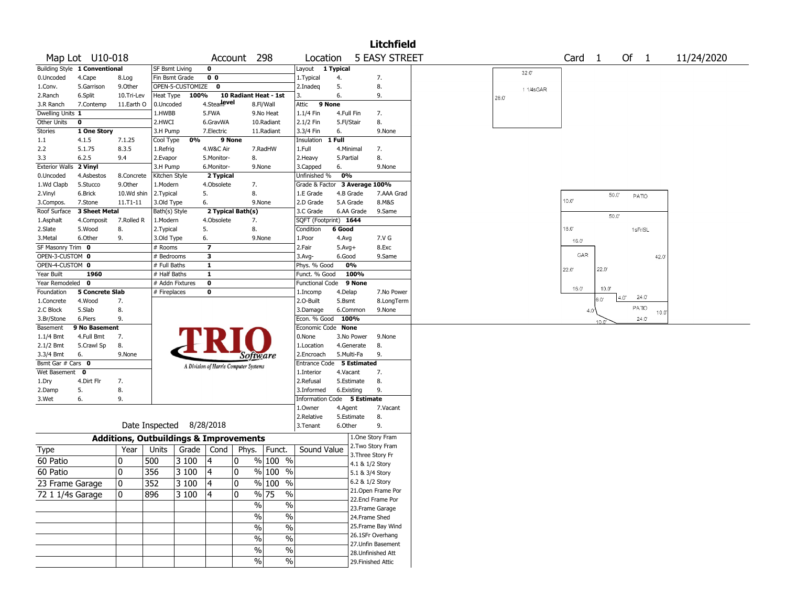|                        |                               |            |                       |                          |                |                                                   |                       |                             |              |                    | <b>Litchfield</b>    |                                |
|------------------------|-------------------------------|------------|-----------------------|--------------------------|----------------|---------------------------------------------------|-----------------------|-----------------------------|--------------|--------------------|----------------------|--------------------------------|
|                        | Map Lot U10-018               |            |                       |                          |                | Account 298                                       |                       | Location                    |              |                    | <b>5 EASY STREET</b> | Of $1$<br>Card 1<br>11/24/2020 |
|                        | Building Style 1 Conventional |            | <b>SF Bsmt Living</b> |                          | $\mathbf 0$    |                                                   |                       | Layout                      | 1 Typical    |                    |                      | 32.0                           |
| 0.Uncoded              | 4.Cape                        | 8.Log      | Fin Bsmt Grade        |                          | 0 <sub>0</sub> |                                                   |                       | 1.Typical                   | 4.           |                    | 7.                   |                                |
| 1.Conv.                | 5.Garrison                    | 9.0ther    |                       | OPEN-5-CUSTOMIZE 0       |                |                                                   |                       | 2.Inadeq                    | 5.           |                    | 8.                   | 11/4sGAR                       |
| 2.Ranch                | 6.Split                       | 10.Tri-Lev | Heat Type             | 100%                     |                | 10 Radiant Heat - 1st                             |                       | 3.                          | 6.           |                    | 9.                   | 28.0'                          |
| 3.R Ranch              | 7.Contemp                     | 11.Earth O | 0.Uncoded             |                          | 4.Stearlevel   |                                                   | 8.Fl/Wall             | 9 None<br>Attic             |              |                    |                      |                                |
| Dwelling Units 1       |                               |            | 1.HWBB                |                          | 5.FWA          |                                                   | 9.No Heat             | 1.1/4 Fin                   | 4.Full Fin   |                    | 7.                   |                                |
| Other Units            | 0                             |            | 2.HWCI                |                          | 6.GravWA       |                                                   | 10.Radiant            | 2.1/2 Fin                   | 5.Fl/Stair   |                    | 8.                   |                                |
| <b>Stories</b>         | 1 One Story                   |            | 3.H Pump              |                          | 7.Electric     |                                                   | 11.Radiant            | 3.3/4 Fin                   | 6.           |                    | 9.None               |                                |
| 1.1                    | 4.1.5                         | 7.1.25     | Cool Type             | 0%                       |                | 9 None                                            |                       | Insulation                  | 1 Full       |                    |                      |                                |
| 2.2                    | 5.1.75                        | 8.3.5      | 1.Refrig              |                          | 4.W&C Air      |                                                   | 7.RadHW               | 1.Full                      | 4.Minimal    |                    | 7.                   |                                |
| 3.3                    | 6.2.5                         | 9.4        | 2.Evapor              |                          | 5.Monitor-     | 8.                                                |                       | 2. Heavy                    | 5.Partial    |                    | 8.                   |                                |
| Exterior Walls 2 Vinyl |                               |            | 3.H Pump              |                          | 6.Monitor-     | 9.None                                            |                       | 3.Capped                    | 6.           |                    | 9.None               |                                |
| 0.Uncoded              | 4.Asbestos                    | 8.Concrete | Kitchen Style         |                          | 2 Typical      |                                                   |                       | Unfinished %                | 0%           |                    |                      |                                |
| 1.Wd Clapb             | 5.Stucco                      | 9.0ther    | 1.Modern              |                          | 4.Obsolete     | 7.                                                |                       | Grade & Factor              |              | 3 Average 100%     |                      |                                |
| 2.Vinyl                | 6.Brick                       | 10.Wd shin | 2.Typical             |                          | 5.             | 8.                                                |                       | 1.E Grade                   | 4.B Grade    |                    | 7.AAA Grad           | 50.0<br>PATIO                  |
| 3.Compos.              | 7.Stone                       | 11.T1-11   | 3.Old Type            |                          | 6.             | 9.None                                            |                       | 2.D Grade                   | 5.A Grade    |                    | 8.M&S                | 10.0"                          |
| Roof Surface           | 3 Sheet Metal                 |            | Bath(s) Style         |                          |                | 2 Typical Bath(s)                                 |                       | 3.C Grade                   |              | 6.AA Grade         | 9.Same               | $50.0^\circ$                   |
| 1.Asphalt              | 4.Composit                    | 7.Rolled R | 1.Modern              |                          | 4.Obsolete     | 7.                                                |                       | SQFT (Footprint) 1644       |              |                    |                      |                                |
| 2.Slate                | 5.Wood                        | 8.         | 2. Typical            |                          | 5.             | 8.                                                |                       | Condition                   | 6 Good       |                    |                      | 16.0'<br>1sFr/SL               |
| 3.Metal                | 6.Other                       | 9.         | 3.Old Type            |                          | 6.             | 9.None                                            |                       | 1.Poor                      | 4.Avg        |                    | 7.V G                | 16.0                           |
| SF Masonry Trim 0      |                               |            | # Rooms               |                          | 7              |                                                   |                       | 2.Fair                      | $5.$ Avg $+$ |                    | 8.Exc                |                                |
| OPEN-3-CUSTOM 0        |                               |            | # Bedrooms            |                          | 3              |                                                   |                       | 3.Avg-                      | 6.Good       |                    | 9.Same               | GAR<br>42.0                    |
| OPEN-4-CUSTOM 0        |                               |            | # Full Baths          |                          | $\mathbf{1}$   |                                                   |                       | Phys. % Good                | 0%           |                    |                      | 22.0<br>22.0'                  |
| Year Built             | 1960                          |            | # Half Baths          |                          | $\mathbf{1}$   |                                                   |                       | Funct. % Good               |              | 100%               |                      |                                |
| Year Remodeled 0       |                               |            |                       | # Addn Fixtures          | 0              |                                                   |                       | Functional Code 9 None      |              |                    |                      |                                |
| Foundation             | 5 Concrete Slab               |            | # Fireplaces          |                          | 0              |                                                   |                       | 1.Incomp                    | 4.Delap      |                    | 7.No Power           | $16.0^{\circ}$<br>10.0'        |
| 1.Concrete             | 4.Wood                        | 7.         |                       |                          |                |                                                   |                       | 2.O-Built                   | 5.Bsmt       |                    | 8.LongTerm           | 24.0<br>4.0"<br>0.6            |
| 2.C Block              | 5.Slab                        | 8.         |                       |                          |                |                                                   |                       | 3.Damage                    | 6.Common     |                    | 9.None               | PATIO<br>4.0"<br>10.0          |
| 3.Br/Stone             | 6.Piers                       | 9.         |                       |                          |                |                                                   |                       | Econ. % Good                | 100%         |                    |                      | 24.0                           |
| Basement               | 9 No Basement                 |            |                       |                          |                |                                                   |                       | Economic Code None          |              |                    |                      |                                |
| $1.1/4$ Bmt            | 4.Full Bmt                    | 7.         |                       |                          |                |                                                   |                       | 0.None                      |              | 3.No Power         | 9.None               |                                |
| 2.1/2 Bmt              | 5.Crawl Sp                    | 8.         |                       |                          |                |                                                   |                       | 1.Location                  | 4.Generate   |                    | 8.                   |                                |
| 3.3/4 Bmt              | 6.                            | 9.None     |                       |                          |                | Software                                          |                       | 2.Encroach                  | 5.Multi-Fa   |                    | 9.                   |                                |
| Bsmt Gar # Cars 0      |                               |            |                       |                          |                | A Division of Harris Computer Systems             |                       | Entrance Code 5 Estimated   |              |                    |                      |                                |
| Wet Basement           | $\bf{0}$                      |            |                       |                          |                |                                                   |                       | 1.Interior                  | 4.Vacant     |                    | 7.                   |                                |
| 1.Dry                  | 4.Dirt Flr                    | 7.         |                       |                          |                |                                                   |                       | 2.Refusal                   |              | 5.Estimate         | 8.                   |                                |
| 2.Damp                 | 5.                            | 8.         |                       |                          |                |                                                   |                       | 3.Informed                  | 6.Existing   |                    | 9.                   |                                |
| 3.Wet                  | 6.                            | 9.         |                       |                          |                |                                                   |                       | Information Code 5 Estimate |              |                    |                      |                                |
|                        |                               |            |                       |                          |                |                                                   |                       | 1.Owner                     | 4.Agent      |                    | 7.Vacant             |                                |
|                        |                               |            |                       |                          |                |                                                   |                       | 2.Relative                  | 5.Estimate   |                    | 8.                   |                                |
|                        |                               |            |                       | Date Inspected 8/28/2018 |                |                                                   |                       | 3.Tenant                    | 6.Other      |                    | 9.                   |                                |
|                        |                               |            |                       |                          |                | <b>Additions, Outbuildings &amp; Improvements</b> |                       |                             |              |                    | 1.One Story Fram     |                                |
| Type                   |                               | Year       | Units                 | Grade                    | Cond           | Phys. Funct.                                      |                       | Sound Value                 |              |                    | 2.Two Story Fram     |                                |
| 60 Patio               |                               | 0          | 500                   | 3 100                    | 14             | 0                                                 | % 100 %               |                             |              | 3. Three Story Fr  |                      |                                |
|                        |                               |            |                       |                          |                |                                                   |                       |                             |              | 4.1 & 1/2 Story    |                      |                                |
| 60 Patio               |                               | 0          | 356                   | 3 100                    | 4              | 0                                                 | % 100 %               |                             |              | 5.1 & 3/4 Story    |                      |                                |
| 23 Frame Garage        |                               | 0          | 352                   | $ 3100\rangle$           | 4              | 0                                                 | $\frac{9}{6}$ 100 %   |                             |              | 6.2 & 1/2 Story    |                      |                                |
| 72 1 1/4s Garage       |                               | 0          | 896                   | 3 100                    | 4              | 0                                                 | % 75<br>$\%$          |                             |              |                    | 21.Open Frame Por    |                                |
|                        |                               |            |                       |                          |                | $\sqrt{6}$                                        | $\%$                  |                             |              |                    | 22.Encl Frame Por    |                                |
|                        |                               |            |                       |                          |                |                                                   |                       |                             |              |                    | 23.Frame Garage      |                                |
|                        |                               |            |                       |                          |                | $\frac{9}{6}$                                     | $\frac{1}{2}$         |                             |              | 24.Frame Shed      |                      |                                |
|                        |                               |            |                       |                          |                | $\sqrt{6}$                                        | $\frac{0}{6}$         |                             |              |                    | 25. Frame Bay Wind   |                                |
|                        |                               |            |                       |                          |                |                                                   |                       |                             |              |                    |                      |                                |
|                        |                               |            |                       |                          |                |                                                   |                       |                             |              |                    | 26.1SFr Overhang     |                                |
|                        |                               |            |                       |                          |                | $\sqrt{6}$                                        | $\frac{1}{2}$         |                             |              |                    | 27.Unfin Basement    |                                |
|                        |                               |            |                       |                          |                | $\sqrt{6}$<br>$\%$                                | $\frac{1}{2}$<br>$\%$ |                             |              | 29. Finished Attic | 28. Unfinished Att   |                                |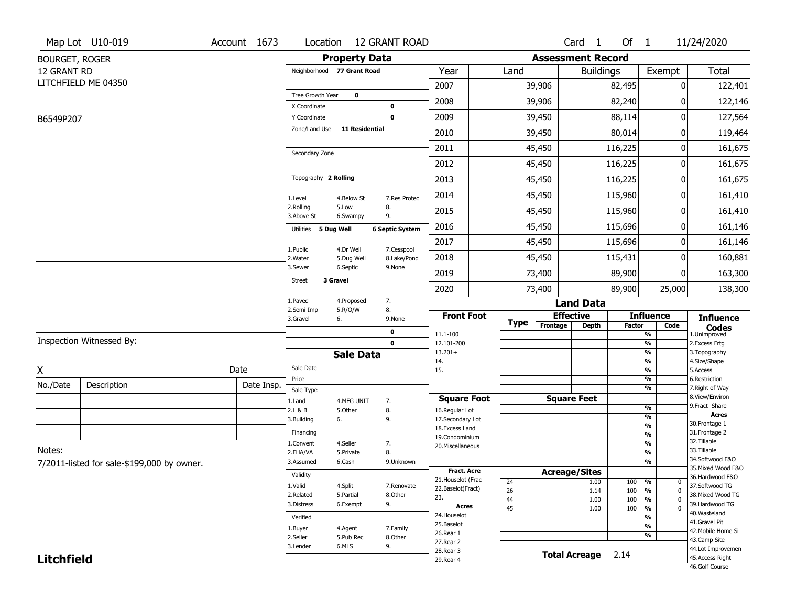|                       | Map Lot U10-019                            | Account 1673 | Location                     |                       | <b>12 GRANT ROAD</b>   |                                    |                 |                          | Card <sub>1</sub>    | Of $1$        |                                                      | 11/24/2020                          |
|-----------------------|--------------------------------------------|--------------|------------------------------|-----------------------|------------------------|------------------------------------|-----------------|--------------------------|----------------------|---------------|------------------------------------------------------|-------------------------------------|
| <b>BOURGET, ROGER</b> |                                            |              |                              | <b>Property Data</b>  |                        |                                    |                 | <b>Assessment Record</b> |                      |               |                                                      |                                     |
| 12 GRANT RD           |                                            |              | Neighborhood 77 Grant Road   |                       |                        | Year                               | Land            |                          | <b>Buildings</b>     |               | Exempt                                               | Total                               |
|                       | LITCHFIELD ME 04350                        |              |                              |                       |                        | 2007                               |                 | 39,906                   |                      | 82,495        | 0                                                    | 122,401                             |
|                       |                                            |              | Tree Growth Year             | $\mathbf 0$           |                        | 2008                               |                 | 39,906                   |                      | 82,240        | O                                                    | 122,146                             |
|                       |                                            |              | X Coordinate<br>Y Coordinate |                       | 0<br>$\mathbf 0$       | 2009                               |                 | 39,450                   |                      | 88,114        | 0                                                    |                                     |
| B6549P207             |                                            |              | Zone/Land Use                | <b>11 Residential</b> |                        |                                    |                 |                          |                      |               |                                                      | 127,564                             |
|                       |                                            |              |                              |                       |                        | 2010                               |                 | 39,450                   |                      | 80,014        | 0                                                    | 119,464                             |
|                       |                                            |              | Secondary Zone               |                       |                        | 2011                               |                 | 45,450                   |                      | 116,225       | 0                                                    | 161,675                             |
|                       |                                            |              |                              |                       |                        | 2012                               |                 | 45,450                   |                      | 116,225       | 0                                                    | 161,675                             |
|                       |                                            |              | Topography 2 Rolling         |                       |                        | 2013                               |                 | 45,450                   |                      | 116,225       | 0                                                    | 161,675                             |
|                       |                                            |              | 1.Level                      | 4.Below St            | 7.Res Protec           | 2014                               |                 | 45,450                   |                      | 115,960       | 0                                                    | 161,410                             |
|                       |                                            |              | 2.Rolling<br>3.Above St      | 5.Low<br>6.Swampy     | 8.<br>9.               | 2015                               |                 | 45,450                   |                      | 115,960       | 0                                                    | 161,410                             |
|                       |                                            |              | 5 Dug Well<br>Utilities      |                       | <b>6 Septic System</b> | 2016                               |                 | 45,450                   |                      | 115,696       | 0                                                    | 161,146                             |
|                       |                                            |              | 1.Public                     | 4.Dr Well             | 7.Cesspool             | 2017                               |                 | 45,450                   |                      | 115,696       | 0                                                    | 161,146                             |
|                       |                                            |              | 2. Water                     | 5.Dug Well            | 8.Lake/Pond            | 2018                               |                 | 45,450                   |                      | 115,431       | 0                                                    | 160,881                             |
|                       |                                            |              | 3.Sewer                      | 6.Septic              | 9.None                 | 2019                               |                 | 73,400                   |                      | 89,900        | 0                                                    | 163,300                             |
|                       |                                            |              | Street<br>3 Gravel           |                       |                        | 2020                               |                 | 73,400                   |                      | 89,900        | 25,000                                               | 138,300                             |
|                       |                                            |              | 1.Paved                      | 4.Proposed            | 7.                     |                                    |                 |                          | <b>Land Data</b>     |               |                                                      |                                     |
|                       |                                            |              | 2.Semi Imp<br>3.Gravel       | 5.R/O/W<br>6.         | 8.<br>9.None           | <b>Front Foot</b>                  |                 |                          | <b>Effective</b>     |               | <b>Influence</b>                                     | <b>Influence</b>                    |
|                       |                                            |              |                              |                       | 0                      | 11.1-100                           | <b>Type</b>     | Frontage                 | Depth                | <b>Factor</b> | Code<br>$\overline{\frac{9}{6}}$                     | <b>Codes</b><br>1.Unimproved        |
|                       | Inspection Witnessed By:                   |              |                              |                       | $\mathbf 0$            | 12.101-200                         |                 |                          |                      |               | $\overline{\frac{9}{6}}$                             | 2.Excess Frtg                       |
|                       |                                            |              |                              | <b>Sale Data</b>      |                        | $13.201+$<br>14.                   |                 |                          |                      |               | $\overline{\frac{9}{6}}$<br>$\overline{\frac{9}{6}}$ | 3. Topography<br>4.Size/Shape       |
| X                     |                                            | Date         | Sale Date                    |                       |                        | 15.                                |                 |                          |                      |               | $\overline{\frac{9}{6}}$                             | 5.Access                            |
| No./Date              | Description                                | Date Insp.   | Price<br>Sale Type           |                       |                        |                                    |                 |                          |                      |               | %<br>%                                               | 6.Restriction<br>7. Right of Way    |
|                       |                                            |              | 1.Land                       | 4.MFG UNIT            | 7.                     | <b>Square Foot</b>                 |                 |                          | <b>Square Feet</b>   |               |                                                      | 8.View/Environ                      |
|                       |                                            |              | 2.L & B                      | 5.Other               | 8.                     | 16.Regular Lot                     |                 |                          |                      |               | $\frac{9}{6}$<br>%                                   | 9.Fract Share<br><b>Acres</b>       |
|                       |                                            |              | 3.Building                   | 6.                    | 9.                     | 17.Secondary Lot<br>18.Excess Land |                 |                          |                      |               | $\frac{9}{6}$                                        | 30. Frontage 1                      |
|                       |                                            |              | Financing                    |                       |                        | 19.Condominium                     |                 |                          |                      |               | $\overline{\frac{9}{6}}$                             | 31. Frontage 2<br>32.Tillable       |
| Notes:                |                                            |              | 1.Convent<br>2.FHA/VA        | 4.Seller              | 7.<br>8.               | 20.Miscellaneous                   |                 |                          |                      |               | $\frac{9}{6}$<br>$\overline{\frac{9}{6}}$            | 33.Tillable                         |
|                       | 7/2011-listed for sale-\$199,000 by owner. |              | 3.Assumed                    | 5.Private<br>6.Cash   | 9.Unknown              |                                    |                 |                          |                      |               | %                                                    | 34.Softwood F&O                     |
|                       |                                            |              | Validity                     |                       |                        | <b>Fract. Acre</b>                 |                 |                          | <b>Acreage/Sites</b> |               |                                                      | 35. Mixed Wood F&O                  |
|                       |                                            |              |                              |                       |                        | 21. Houselot (Frac                 | 24              |                          | 1.00                 | 100           | %<br>0                                               | 36.Hardwood F&O                     |
|                       |                                            |              | 1.Valid<br>2.Related         | 4.Split<br>5.Partial  | 7.Renovate<br>8.Other  | 22.Baselot(Fract)                  | $\overline{26}$ |                          | 1.14                 | 100           | $\overline{\mathfrak{o}}$<br>%                       | 37.Softwood TG<br>38. Mixed Wood TG |
|                       |                                            |              | 3.Distress                   | 6.Exempt              | 9.                     | 23.<br>Acres                       | 44              |                          | 1.00                 | 100           | $\frac{9}{6}$<br>$\overline{0}$                      | 39.Hardwood TG                      |
|                       |                                            |              | Verified                     |                       |                        | 24. Houselot                       | $\overline{45}$ |                          | 1.00                 | 100           | $\overline{\mathfrak{o}}$<br>$\frac{9}{6}$<br>%      | 40. Wasteland                       |
|                       |                                            |              |                              |                       | 7.Family               | 25.Baselot                         |                 |                          |                      |               | $\overline{\frac{9}{6}}$                             | 41.Gravel Pit                       |
|                       |                                            |              | 1.Buyer<br>2.Seller          | 4.Agent<br>5.Pub Rec  | 8.Other                | 26.Rear 1                          |                 |                          |                      |               | %                                                    | 42. Mobile Home Si                  |
|                       |                                            |              | 3.Lender                     | 6.MLS                 | 9.                     | 27. Rear 2                         |                 |                          |                      |               |                                                      | 43.Camp Site<br>44.Lot Improvemen   |
| <b>Litchfield</b>     |                                            |              |                              |                       |                        | 28.Rear 3<br>29. Rear 4            |                 |                          | <b>Total Acreage</b> | 2.14          |                                                      | 45.Access Right                     |
|                       |                                            |              |                              |                       |                        |                                    |                 |                          |                      |               |                                                      | 46.Golf Course                      |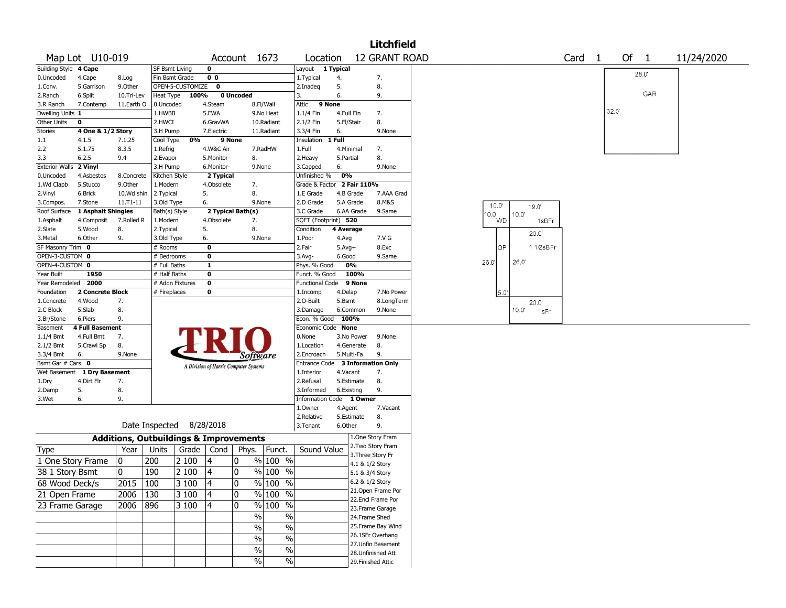|                       |                        |              |                                                   |                  |                                       |              |                                  |                        |              |             | Litchfield                           |                                           |
|-----------------------|------------------------|--------------|---------------------------------------------------|------------------|---------------------------------------|--------------|----------------------------------|------------------------|--------------|-------------|--------------------------------------|-------------------------------------------|
|                       | Map Lot U10-019        |              |                                                   |                  |                                       | Account 1673 |                                  | Location               |              |             | <b>12 GRANT ROAD</b>                 | Of $1$<br>Card <sub>1</sub><br>11/24/2020 |
| Building Style 4 Cape |                        |              | <b>SF Bsmt Living</b>                             |                  | 0                                     |              |                                  | Layout                 | 1 Typical    |             |                                      | 28.0                                      |
| 0.Uncoded             | 4.Cape                 | 8.Log        | Fin Bsmt Grade                                    |                  | 0 <sub>0</sub>                        |              |                                  | 1. Typical             | 4.           |             | 7.                                   |                                           |
| 1.Conv.               | 5.Garrison             | 9.0ther      |                                                   | OPEN-5-CUSTOMIZE | 0                                     |              |                                  | 2.Inadeg               | 5.           |             | 8.                                   |                                           |
| 2.Ranch               | 6.Split                | 10.Tri-Lev   | Heat Type                                         | 100%             |                                       | 0 Uncoded    |                                  | 3.                     | 6.           |             | 9.                                   | GAR                                       |
| 3.R Ranch             | 7.Contemp              | 11.Earth O   | 0.Uncoded                                         |                  | 4.Steam                               |              | 8.Fl/Wall                        | Attic                  | 9 None       |             |                                      |                                           |
| Dwelling Units 1      |                        |              | 1.HWBB                                            |                  | 5.FWA                                 |              | 9.No Heat                        | 1.1/4 Fin              | 4.Full Fin   |             | 7.                                   | 32.0                                      |
| Other Units           | 0                      |              | 2.HWCI                                            |                  | 6.GravWA                              |              | 10.Radiant                       | 2.1/2 Fin              | 5.Fl/Stair   |             | 8.                                   |                                           |
| Stories               | 4 One & 1/2 Story      |              | 3.H Pump                                          |                  | 7.Electric                            |              | 11.Radiant                       | 3.3/4 Fin              | 6.           |             | 9.None                               |                                           |
| 1.1                   | 4.1.5                  | 7.1.25       | Cool Type                                         | 0%               | 9 None                                |              |                                  | Insulation             | 1 Full       |             |                                      |                                           |
| 2.2                   | 5.1.75                 | 8.3.5        | 1.Refrig                                          |                  | 4.W&C Air                             |              | 7.RadHW                          | 1.Full                 | 4.Minimal    |             | 7.                                   |                                           |
| 3.3                   | 6.2.5                  | 9.4          | 2.Evapor                                          |                  | 5.Monitor-                            | 8.           |                                  | 2. Heavy               | 5.Partial    |             | 8.                                   |                                           |
| <b>Exterior Walls</b> | 2 Vinyl                |              | 3.H Pump                                          |                  | 6.Monitor-                            |              | 9.None                           | 3.Capped               | 6.           |             | 9.None                               |                                           |
| 0.Uncoded             | 4.Asbestos             | 8.Concrete   | Kitchen Style                                     |                  | 2 Typical                             |              |                                  | Unfinished %           | 0%           |             |                                      |                                           |
| 1.Wd Clapb            | 5.Stucco               | 9.Other      | 1.Modern                                          |                  | 4.Obsolete                            | 7.           |                                  | Grade & Factor         |              | 2 Fair 110% |                                      |                                           |
| 2.Vinyl               | 6.Brick                | 10.Wd shin   | 2. Typical                                        |                  | 5.                                    | 8.           |                                  | 1.E Grade              | 4.B Grade    |             | 7.AAA Grad                           |                                           |
| 3.Compos.             | 7.Stone                | $11.71 - 11$ | 3.Old Type                                        |                  | 6.                                    |              | 9.None                           | 2.D Grade              | 5.A Grade    |             | 8.M&S                                | $10.0^{\circ}$<br>19.0                    |
| Roof Surface          | 1 Asphalt Shingles     |              | Bath(s) Style                                     |                  | 2 Typical Bath(s)                     |              |                                  | 3.C Grade              |              | 6.AA Grade  | 9.Same                               | $10.0^{\circ}$<br>10.0'                   |
| 1.Asphalt             | 4.Composit             | 7.Rolled R   | 1.Modern                                          |                  | 4.Obsolete                            | 7.           |                                  | SQFT (Footprint) 520   |              |             |                                      | WD<br>1sBFr                               |
| 2.Slate               | 5.Wood                 | 8.           | 2. Typical                                        |                  | 5.                                    | 8.           |                                  | Condition              | 4 Average    |             |                                      | 20.0'                                     |
| 3.Metal               | 6.Other                | 9.           | 3.Old Type                                        |                  | 6.                                    |              | 9.None                           | 1.Poor                 | 4.Avg        |             | 7.V G                                |                                           |
| SF Masonry Trim 0     |                        |              | # Rooms                                           |                  | $\mathbf 0$                           |              |                                  | 2.Fair                 | $5.Avg+$     |             | 8.Exc                                | OP.<br>11/2sBFr                           |
| OPEN-3-CUSTOM 0       |                        |              | # Bedrooms                                        |                  | $\mathbf 0$                           |              |                                  | 3.Avg-                 | 6.Good       |             | 9.Same                               |                                           |
| OPEN-4-CUSTOM 0       |                        |              | # Full Baths                                      |                  | $\mathbf{1}$                          |              |                                  | Phys. % Good           | 0%           |             |                                      | 26.0<br>26.0                              |
| Year Built            | 1950                   |              | # Half Baths                                      |                  | $\mathbf 0$                           |              |                                  | Funct. % Good          |              | 100%        |                                      |                                           |
| Year Remodeled        | 2000                   |              | # Addn Fixtures                                   |                  | $\mathbf 0$                           |              |                                  | <b>Functional Code</b> |              | 9 None      |                                      |                                           |
| Foundation            | 2 Concrete Block       |              | # Fireplaces                                      |                  | 0                                     |              |                                  | 1.Incomp               | 4.Delap      |             | 7.No Power                           | 5.0'                                      |
| 1.Concrete            | 4.Wood                 | 7.           |                                                   |                  |                                       |              |                                  | 2.O-Built              | 5.Bsmt       |             | 8.LongTerm                           | 20.0'                                     |
| 2.C Block             | 5.Slab                 | 8.           |                                                   |                  |                                       |              |                                  | 3.Damage               | 6.Common     |             | 9.None                               | $10.0^{\circ}$<br>1sFr                    |
| 3.Br/Stone            | 6.Piers                | 9.           |                                                   |                  |                                       |              |                                  | Econ. % Good           | 100%         |             |                                      |                                           |
| Basement              | <b>4 Full Basement</b> |              |                                                   |                  |                                       |              |                                  | Economic Code None     |              |             |                                      |                                           |
| 1.1/4 Bmt             | 4.Full Bmt             | 7.           |                                                   |                  |                                       |              |                                  | 0.None                 |              | 3.No Power  | 9.None                               |                                           |
| 2.1/2 Bmt             | 5.Crawl Sp             | 8.           |                                                   |                  |                                       |              |                                  | 1.Location             |              | 4.Generate  | 8.                                   |                                           |
| 3.3/4 Bmt             | 6.                     | 9.None       |                                                   |                  |                                       |              | Software                         | 2.Encroach             | 5.Multi-Fa   |             | 9.                                   |                                           |
| Bsmt Gar # Cars 0     |                        |              |                                                   |                  | A Division of Harris Computer Systems |              |                                  | Entrance Code          |              |             | <b>3 Information Only</b>            |                                           |
| Wet Basement          | 1 Dry Basement         |              |                                                   |                  |                                       |              |                                  | 1.Interior             | 4.Vacant     |             | 7.                                   |                                           |
| 1.Dry                 | 4.Dirt Flr             | 7.           |                                                   |                  |                                       |              |                                  | 2.Refusal              | 5.Estimate   |             | 8.                                   |                                           |
| 2.Damp                | 5.                     | 8.           |                                                   |                  |                                       |              |                                  | 3.Informed             | 6.Existing   |             | 9.                                   |                                           |
| 3.Wet                 | 6.                     | 9.           |                                                   |                  |                                       |              |                                  | Information            | Code 1 Owner |             |                                      |                                           |
|                       |                        |              |                                                   |                  |                                       |              |                                  | 1.Owner                | 4.Agent      |             | 7.Vacant                             |                                           |
|                       |                        |              |                                                   |                  |                                       |              |                                  | 2.Relative             | 5.Estimate   |             | 8.                                   |                                           |
|                       |                        |              | Date Inspected 8/28/2018                          |                  |                                       |              |                                  | 3. Tenant              | 6.Other      |             | 9.                                   |                                           |
|                       |                        |              | <b>Additions, Outbuildings &amp; Improvements</b> |                  |                                       |              |                                  |                        |              |             | 1.One Story Fram                     |                                           |
| <b>Type</b>           |                        | Year         | Units                                             | Grade $ $        | Cond                                  | Phys.        | Funct.                           | Sound Value            |              |             | 2. Two Story Fram                    |                                           |
| 1 One Story Frame     |                        | 0            | 200                                               | 2 100            | 4                                     | 10           | % 100 %                          |                        |              |             | 3. Three Story Fr<br>4.1 & 1/2 Story |                                           |
| 38 1 Story Bsmt       |                        | 0            | 190                                               | 2 100            | 4                                     | 10           | % 100 %                          |                        |              |             | 5.1 & 3/4 Story                      |                                           |
| 68 Wood Deck/s        |                        | 2015         | 100                                               | 3 100            | 14                                    | ١o           | $\frac{9}{6}$ 100 %              |                        |              |             | 6.2 & 1/2 Story                      |                                           |
| 21 Open Frame         |                        | 2006         | 130                                               | 3 100            | 4                                     | 10           | % 100 %                          |                        |              |             | 21.Open Frame Por                    |                                           |
|                       |                        |              |                                                   |                  |                                       |              |                                  |                        |              |             | 22.Encl Frame Por                    |                                           |
| 23 Frame Garage       |                        | 2006         | 896                                               | 3 100            | 4                                     | 10           | 100 %<br>$\%$                    |                        |              |             | 23.Frame Garage                      |                                           |
|                       |                        |              |                                                   |                  |                                       |              | $\%$<br>$\overline{\frac{0}{0}}$ |                        |              |             | 24.Frame Shed                        |                                           |
|                       |                        |              |                                                   |                  |                                       |              | $\overline{\frac{0}{0}}$<br>$\%$ |                        |              |             | 25.Frame Bay Wind                    |                                           |
|                       |                        |              |                                                   |                  |                                       |              | $\overline{\frac{0}{0}}$<br>$\%$ |                        |              |             | 26.1SFr Overhang                     |                                           |
|                       |                        |              |                                                   |                  |                                       |              | $\overline{\frac{0}{0}}$<br>$\%$ |                        |              |             | 27.Unfin Basement                    |                                           |
|                       |                        |              |                                                   |                  |                                       |              |                                  |                        |              |             | 28.Unfinished Att                    |                                           |
|                       |                        |              |                                                   |                  |                                       |              | $\sqrt{6}$<br>$\%$               |                        |              |             | 29. Finished Attic                   |                                           |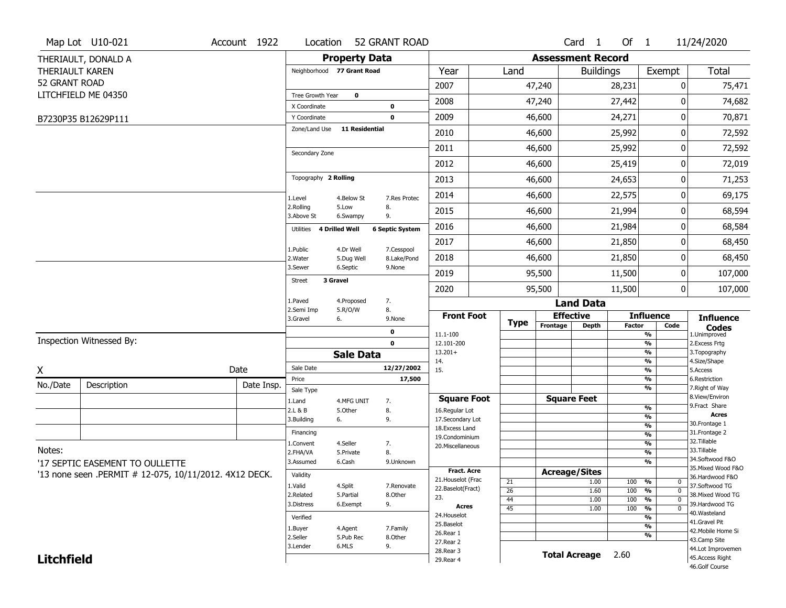|                   | Map Lot U10-021                                        | Account 1922 | Location                           |                       | 52 GRANT ROAD          |                                    |                 |                          | Card <sub>1</sub> | Of $1$        |                                                       | 11/24/2020                         |
|-------------------|--------------------------------------------------------|--------------|------------------------------------|-----------------------|------------------------|------------------------------------|-----------------|--------------------------|-------------------|---------------|-------------------------------------------------------|------------------------------------|
|                   | THERIAULT, DONALD A                                    |              |                                    | <b>Property Data</b>  |                        |                                    |                 | <b>Assessment Record</b> |                   |               |                                                       |                                    |
| THERIAULT KAREN   |                                                        |              | Neighborhood 77 Grant Road         |                       |                        | Year                               | Land            |                          | <b>Buildings</b>  |               | Exempt                                                | Total                              |
| 52 GRANT ROAD     |                                                        |              |                                    |                       |                        | 2007                               |                 | 47,240                   |                   | 28,231        | 0                                                     | 75,471                             |
|                   | LITCHFIELD ME 04350                                    |              | Tree Growth Year                   | 0                     |                        | 2008                               |                 | 47,240                   |                   | 27,442        | O                                                     | 74,682                             |
|                   |                                                        |              | X Coordinate                       |                       | 0                      |                                    |                 |                          |                   |               |                                                       |                                    |
|                   | B7230P35 B12629P111                                    |              | Y Coordinate<br>Zone/Land Use      | <b>11 Residential</b> | $\mathbf 0$            | 2009                               |                 | 46,600                   |                   | 24,271        | 0                                                     | 70,871                             |
|                   |                                                        |              |                                    |                       |                        | 2010                               |                 | 46,600                   |                   | 25,992        | 0                                                     | 72,592                             |
|                   |                                                        |              | Secondary Zone                     |                       |                        | 2011                               |                 | 46,600                   |                   | 25,992        | 0                                                     | 72,592                             |
|                   |                                                        |              |                                    |                       |                        | 2012                               |                 | 46,600                   |                   | 25,419        | 0                                                     | 72,019                             |
|                   |                                                        |              | Topography 2 Rolling               |                       |                        | 2013                               |                 | 46,600                   |                   | 24,653        | 0                                                     | 71,253                             |
|                   |                                                        |              | 1.Level                            | 4.Below St            | 7.Res Protec           | 2014                               |                 | 46,600                   |                   | 22,575        | 0                                                     | 69,175                             |
|                   |                                                        |              | 2.Rolling<br>3.Above St            | 5.Low<br>6.Swampy     | 8.<br>9.               | 2015                               |                 | 46,600                   |                   | 21,994        | 0                                                     | 68,594                             |
|                   |                                                        |              | <b>4 Drilled Well</b><br>Utilities |                       | <b>6 Septic System</b> | 2016                               |                 | 46,600                   |                   | 21,984        | 0                                                     | 68,584                             |
|                   |                                                        |              | 1.Public                           | 4.Dr Well             | 7.Cesspool             | 2017                               |                 | 46,600                   |                   | 21,850        | 0                                                     | 68,450                             |
|                   |                                                        |              | 2. Water                           | 5.Dug Well            | 8.Lake/Pond            | 2018                               |                 | 46,600                   |                   | 21,850        | 0                                                     | 68,450                             |
|                   |                                                        |              | 3.Sewer                            | 6.Septic              | 9.None                 | 2019                               |                 | 95,500                   |                   | 11,500        | 0                                                     | 107,000                            |
|                   |                                                        |              | 3 Gravel<br><b>Street</b>          |                       |                        | 2020                               |                 | 95,500                   |                   | 11,500        | 0                                                     | 107,000                            |
|                   |                                                        |              | 1.Paved<br>2.Semi Imp              | 4.Proposed<br>5.R/O/W | 7.<br>8.               |                                    |                 |                          | <b>Land Data</b>  |               |                                                       |                                    |
|                   |                                                        |              | 3.Gravel<br>6.                     |                       | 9.None                 | <b>Front Foot</b>                  | <b>Type</b>     | <b>Effective</b>         |                   |               | <b>Influence</b>                                      | <b>Influence</b>                   |
|                   |                                                        |              |                                    |                       | 0                      | 11.1-100                           |                 | Frontage                 | <b>Depth</b>      | <b>Factor</b> | Code<br>%                                             | <b>Codes</b><br>1.Unimproved       |
|                   | Inspection Witnessed By:                               |              |                                    |                       | $\mathbf 0$            | 12.101-200                         |                 |                          |                   |               | $\frac{9}{6}$<br>$\frac{9}{6}$                        | 2. Excess Frtg                     |
|                   |                                                        |              |                                    | <b>Sale Data</b>      |                        | $13.201+$<br>14.                   |                 |                          |                   |               | $\frac{9}{6}$                                         | 3. Topography<br>4.Size/Shape      |
| X                 |                                                        | Date         | Sale Date                          |                       | 12/27/2002             | 15.                                |                 |                          |                   |               | $\frac{9}{6}$                                         | 5.Access                           |
| No./Date          | Description                                            | Date Insp.   | Price<br>Sale Type                 |                       | 17,500                 |                                    |                 |                          |                   |               | $\frac{9}{6}$<br>%                                    | 6.Restriction<br>7. Right of Way   |
|                   |                                                        |              | 1.Land                             | 4.MFG UNIT            | 7.                     | <b>Square Foot</b>                 |                 | <b>Square Feet</b>       |                   |               |                                                       | 8.View/Environ                     |
|                   |                                                        |              | 2.L & B                            | 5.Other               | 8.                     | 16.Regular Lot                     |                 |                          |                   |               | $\frac{9}{6}$<br>%                                    | 9.Fract Share<br><b>Acres</b>      |
|                   |                                                        |              | 3.Building<br>6.                   |                       | 9.                     | 17.Secondary Lot<br>18.Excess Land |                 |                          |                   |               | $\frac{9}{6}$                                         | 30. Frontage 1                     |
|                   |                                                        |              | Financing                          |                       |                        | 19.Condominium                     |                 |                          |                   |               | $\frac{9}{6}$                                         | 31. Frontage 2<br>32.Tillable      |
| Notes:            |                                                        |              | 1.Convent<br>2.FHA/VA              | 4.Seller<br>5.Private | 7.<br>8.               | 20.Miscellaneous                   |                 |                          |                   |               | $\frac{9}{6}$<br>$\frac{9}{6}$                        | 33.Tillable                        |
|                   | '17 SEPTIC EASEMENT TO OULLETTE                        |              | 3.Assumed                          | 6.Cash                | 9.Unknown              |                                    |                 |                          |                   |               | $\overline{\frac{9}{6}}$                              | 34.Softwood F&O                    |
|                   | '13 none seen .PERMIT # 12-075, 10/11/2012. 4X12 DECK. |              | Validity                           |                       |                        | Fract. Acre                        |                 | <b>Acreage/Sites</b>     |                   |               |                                                       | 35. Mixed Wood F&O                 |
|                   |                                                        |              | 1.Valid                            | 4.Split               | 7.Renovate             | 21. Houselot (Frac                 | 21              |                          | 1.00              | 100           | %<br>0                                                | 36.Hardwood F&O<br>37.Softwood TG  |
|                   |                                                        |              | 2.Related                          | 5.Partial             | 8.Other                | 22.Baselot(Fract)<br>23.           | $\overline{26}$ |                          | 1.60              | 100           | %<br>0                                                | 38. Mixed Wood TG                  |
|                   |                                                        |              | 3.Distress                         | 6.Exempt              | 9.                     | <b>Acres</b>                       | 44<br>45        |                          | 1.00<br>1.00      | 100<br>100    | $\frac{9}{6}$<br>0<br>$\frac{9}{6}$<br>$\overline{0}$ | 39.Hardwood TG                     |
|                   |                                                        |              | Verified                           |                       |                        | 24. Houselot                       |                 |                          |                   |               | %                                                     | 40. Wasteland                      |
|                   |                                                        |              | 1.Buyer                            | 4.Agent               | 7.Family               | 25.Baselot                         |                 |                          |                   |               | $\overline{\frac{9}{6}}$                              | 41.Gravel Pit                      |
|                   |                                                        |              | 2.Seller                           | 5.Pub Rec             | 8.Other                | 26.Rear 1                          |                 |                          |                   |               | $\overline{\frac{9}{6}}$                              | 42. Mobile Home Si<br>43.Camp Site |
|                   |                                                        |              | 3.Lender                           | 6.MLS                 | 9.                     | 27. Rear 2                         |                 |                          |                   |               |                                                       |                                    |
|                   |                                                        |              |                                    |                       |                        |                                    |                 |                          |                   |               |                                                       | 44.Lot Improvemen                  |
| <b>Litchfield</b> |                                                        |              |                                    |                       |                        | 28. Rear 3<br>29. Rear 4           |                 | <b>Total Acreage</b>     |                   | 2.60          |                                                       | 45.Access Right<br>46.Golf Course  |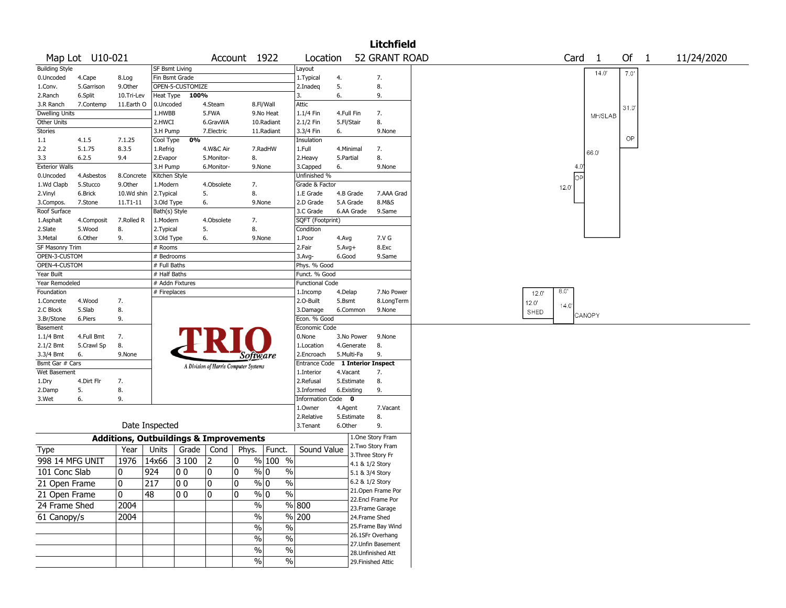|                              |                 |            |                |                                                   |                |                                       |                             |                        |                          |                   | <b>Litchfield</b>                     |                                                       |  |
|------------------------------|-----------------|------------|----------------|---------------------------------------------------|----------------|---------------------------------------|-----------------------------|------------------------|--------------------------|-------------------|---------------------------------------|-------------------------------------------------------|--|
|                              | Map Lot U10-021 |            |                |                                                   |                | Account 1922                          |                             | Location               |                          |                   | 52 GRANT ROAD                         | Card <sub>1</sub><br>Of<br>$\mathbf{1}$<br>11/24/2020 |  |
| <b>Building Style</b>        |                 |            | SF Bsmt Living |                                                   |                |                                       |                             | Layout                 |                          |                   |                                       |                                                       |  |
| 0.Uncoded                    | 4.Cape          | 8.Log      |                | Fin Bsmt Grade                                    |                |                                       |                             | 1. Typical             | 4.                       |                   | 7.                                    | 14.0<br>7.0'                                          |  |
| 1.Conv.                      | 5.Garrison      | 9.Other    |                | OPEN-5-CUSTOMIZE                                  |                |                                       |                             | 2.Inadeq               | 5.                       |                   | 8.                                    |                                                       |  |
| 2.Ranch                      | 6.Split         | 10.Tri-Lev | Heat Type      | 100%                                              |                |                                       |                             | 3.                     | 6.                       |                   | 9.                                    |                                                       |  |
| 3.R Ranch                    | 7.Contemp       | 11.Earth O | 0.Uncoded      |                                                   | 4.Steam        |                                       | 8.Fl/Wall                   | Attic                  |                          |                   |                                       | 31.0'                                                 |  |
| <b>Dwelling Units</b>        |                 |            | 1.HWBB         |                                                   | 5.FWA          |                                       | 9.No Heat                   | 1.1/4 Fin              | 4.Full Fin               |                   | 7.                                    | MH/SLAB                                               |  |
| Other Units                  |                 |            | 2.HWCI         |                                                   | 6.GravWA       |                                       | 10.Radiant                  | 2.1/2 Fin              | 5.Fl/Stair               |                   | 8.                                    |                                                       |  |
| Stories                      |                 |            | 3.H Pump       |                                                   | 7.Electric     |                                       | 11.Radiant                  | 3.3/4 Fin              | 6.                       |                   | 9.None                                |                                                       |  |
| 1.1                          | 4.1.5           | 7.1.25     | Cool Type      | 0%                                                |                |                                       |                             | Insulation             |                          |                   |                                       | OP                                                    |  |
| 2.2                          | 5.1.75          | 8.3.5      | 1.Refrig       |                                                   | 4.W&C Air      |                                       | 7.RadHW                     | 1.Full                 | 4.Minimal                |                   | 7.                                    |                                                       |  |
| 3.3                          | 6.2.5           | 9.4        | 2.Evapor       |                                                   | 5.Monitor-     | 8.                                    |                             | 2. Heavy               | 5.Partial                |                   | 8.                                    | 66.0                                                  |  |
| <b>Exterior Walls</b>        |                 |            | 3.H Pump       |                                                   | 6.Monitor-     |                                       | 9.None                      | 3.Capped               | 6.                       |                   | 9.None                                | 4.0                                                   |  |
| 0.Uncoded                    | 4.Asbestos      | 8.Concrete | Kitchen Style  |                                                   |                |                                       |                             | Unfinished %           |                          |                   |                                       | lоь                                                   |  |
| 1.Wd Clapb                   | 5.Stucco        | 9.0ther    | 1.Modern       |                                                   | 4.Obsolete     | 7.                                    |                             | Grade & Factor         |                          |                   |                                       |                                                       |  |
| 2.Vinyl                      | 6.Brick         | 10.Wd shin | 2. Typical     |                                                   | 5.             | 8.                                    |                             | 1.E Grade              | 4.B Grade                |                   | 7.AAA Grad                            | 12.0                                                  |  |
| 3.Compos.                    | 7.Stone         | 11.T1-11   | 3.Old Type     |                                                   | 6.             |                                       | 9.None                      | 2.D Grade              | 5.A Grade                |                   | 8.M&S                                 |                                                       |  |
| Roof Surface                 |                 |            | Bath(s) Style  |                                                   |                |                                       |                             | 3.C Grade              | 6.AA Grade               |                   | 9.Same                                |                                                       |  |
| 1.Asphalt                    | 4.Composit      | 7.Rolled R | 1.Modern       |                                                   | 4.Obsolete     | 7.                                    |                             | SQFT (Footprint)       |                          |                   |                                       |                                                       |  |
| 2.Slate                      | 5.Wood          | 8.         | 2.Typical      |                                                   | 5.             | 8.                                    |                             | Condition              |                          |                   |                                       |                                                       |  |
| 3.Metal                      | 6.Other         | 9.         | 3.Old Type     |                                                   | 6.             |                                       | 9.None                      | 1.Poor                 | 4.Avg                    |                   | 7.V G                                 |                                                       |  |
| SF Masonry Trim              |                 |            | # Rooms        |                                                   |                |                                       |                             | 2.Fair                 | $5.Avg+$                 |                   | 8.Exc                                 |                                                       |  |
| OPEN-3-CUSTOM                |                 |            | # Bedrooms     |                                                   |                |                                       |                             | 3.Avg-                 | 6.Good                   |                   | 9.Same                                |                                                       |  |
| OPEN-4-CUSTOM                |                 |            | # Full Baths   |                                                   |                |                                       |                             | Phys. % Good           |                          |                   |                                       |                                                       |  |
| Year Built                   |                 |            | # Half Baths   |                                                   |                |                                       |                             | Funct. % Good          |                          |                   |                                       |                                                       |  |
| Year Remodeled               |                 |            |                | # Addn Fixtures                                   |                |                                       |                             | <b>Functional Code</b> |                          |                   |                                       |                                                       |  |
| Foundation                   |                 |            | # Fireplaces   |                                                   |                |                                       |                             | 1.Incomp               | 4.Delap                  |                   | 7.No Power                            | 8.0                                                   |  |
| 1.Concrete                   | 4.Wood          | 7.         |                |                                                   |                |                                       |                             | 2.O-Built              | 5.Bsmt                   |                   | 8.LongTerm                            | 12.0                                                  |  |
| 2.C Block                    | 5.Slab          | 8.         |                |                                                   |                |                                       |                             | 3.Damage               | 6.Common                 |                   | 9.None                                | 12.0'<br>14.0                                         |  |
| 3.Br/Stone                   | 6.Piers         | 9.         |                |                                                   |                |                                       |                             | Econ. % Good           |                          |                   |                                       | SHED<br>CANOPY                                        |  |
| Basement                     |                 |            |                |                                                   |                |                                       |                             | Economic Code          |                          |                   |                                       |                                                       |  |
|                              | 4.Full Bmt      | 7.         |                |                                                   |                |                                       |                             | 0.None                 | 3.No Power               |                   | 9.None                                |                                                       |  |
| 1.1/4 Bmt                    |                 |            |                |                                                   |                |                                       |                             |                        |                          |                   |                                       |                                                       |  |
| 2.1/2 Bmt                    | 5.Crawl Sp      | 8.         |                |                                                   |                |                                       |                             | 1.Location             | 4.Generate<br>5.Multi-Fa |                   | 8.<br>9.                              |                                                       |  |
| 3.3/4 Bmt<br>Bsmt Gar # Cars | 6.              | 9.None     |                |                                                   |                | Software                              |                             | 2.Encroach             |                          |                   |                                       |                                                       |  |
|                              |                 |            |                |                                                   |                | A Division of Harris Computer Systems |                             | Entrance Code          |                          |                   | 1 Interior Inspect                    |                                                       |  |
| Wet Basement                 |                 |            |                |                                                   |                |                                       |                             | 1.Interior             | 4.Vacant                 |                   | 7.                                    |                                                       |  |
| 1.Dry                        | 4.Dirt Flr      | 7.         |                |                                                   |                |                                       |                             | 2.Refusal              | 5.Estimate               |                   | 8.                                    |                                                       |  |
| 2.Damp                       | 5.              | 8.         |                |                                                   |                |                                       |                             | 3.Informed             | 6.Existing               |                   | 9.                                    |                                                       |  |
| 3.Wet                        | 6.              | 9.         |                |                                                   |                |                                       |                             | Information Code 0     |                          |                   |                                       |                                                       |  |
|                              |                 |            |                |                                                   |                |                                       |                             | 1.Owner                | 4.Agent                  |                   | 7.Vacant                              |                                                       |  |
|                              |                 |            | Date Inspected |                                                   |                |                                       |                             | 2.Relative             | 5.Estimate               |                   | 8.                                    |                                                       |  |
|                              |                 |            |                |                                                   |                |                                       |                             | 3. Tenant              | 6.Other                  |                   | 9.                                    |                                                       |  |
|                              |                 |            |                | <b>Additions, Outbuildings &amp; Improvements</b> |                |                                       |                             |                        |                          |                   | 1.One Story Fram<br>2. Two Story Fram |                                                       |  |
| Type                         |                 | Year       | Units          | Grade                                             | Cond           | Phys.                                 | Funct.                      | Sound Value            |                          | 3. Three Story Fr |                                       |                                                       |  |
| 998 14 MFG UNIT              |                 | 1976       | 14x66          | 3 100                                             | $\overline{2}$ | 0                                     | % 100 %                     |                        |                          | 4.1 & 1/2 Story   |                                       |                                                       |  |
| 101 Conc Slab                |                 | 0          | 924            | 0 <sub>0</sub>                                    | 0              | 0                                     | $\%$ 0<br>$\%$              |                        |                          | 5.1 & 3/4 Story   |                                       |                                                       |  |
|                              |                 |            |                |                                                   |                | 0                                     | $\sqrt{0}$<br>$\frac{9}{6}$ |                        |                          | 6.2 & 1/2 Story   |                                       |                                                       |  |
| 21 Open Frame                |                 | 0          | 217            | 00                                                | $\overline{0}$ |                                       |                             |                        |                          |                   | 21. Open Frame Por                    |                                                       |  |
| 21 Open Frame                |                 | 0          | 48             | 00                                                | 0              | 0                                     | $\sqrt[6]{0}$<br>$\sqrt{6}$ |                        |                          |                   | 22.Encl Frame Por                     |                                                       |  |
| 24 Frame Shed                |                 | 2004       |                |                                                   |                | $\frac{1}{2}$                         |                             | $\sqrt{800}$           |                          |                   | 23.Frame Garage                       |                                                       |  |
| 61 Canopy/s                  |                 | 2004       |                |                                                   |                | $\%$                                  |                             | $\sqrt{8}$ 200         |                          | 24.Frame Shed     |                                       |                                                       |  |
|                              |                 |            |                |                                                   |                |                                       |                             |                        |                          |                   | 25. Frame Bay Wind                    |                                                       |  |
|                              |                 |            |                |                                                   |                | $\%$                                  | $\frac{0}{6}$               |                        |                          |                   | 26.1SFr Overhang                      |                                                       |  |
|                              |                 |            |                |                                                   |                | $\%$                                  | $\frac{1}{2}$               |                        |                          |                   | 27.Unfin Basement                     |                                                       |  |
|                              |                 |            |                |                                                   |                | $\%$                                  | $\sqrt{2}$                  |                        |                          |                   |                                       |                                                       |  |
|                              |                 |            |                |                                                   |                | $\sqrt{6}$                            | $\sqrt[6]{\ }$              |                        |                          |                   | 28.Unfinished Att                     |                                                       |  |
|                              |                 |            |                |                                                   |                |                                       |                             |                        |                          |                   | 29. Finished Attic                    |                                                       |  |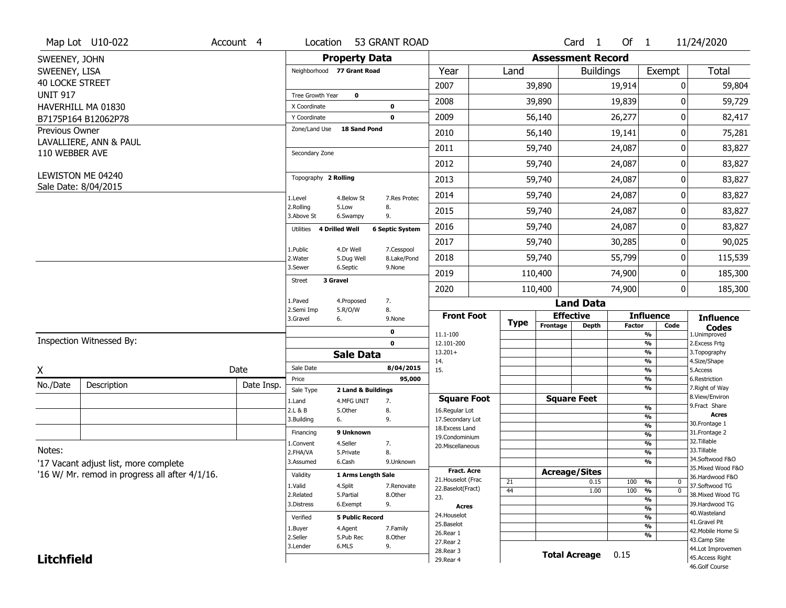|                        | Map Lot U10-022                                | Account 4  | Location                           | 53 GRANT ROAD                          |                                  |             |                          | Card <sub>1</sub>    | Of $1$     |                                                      | 11/24/2020                           |
|------------------------|------------------------------------------------|------------|------------------------------------|----------------------------------------|----------------------------------|-------------|--------------------------|----------------------|------------|------------------------------------------------------|--------------------------------------|
| SWEENEY, JOHN          |                                                |            |                                    | <b>Property Data</b>                   |                                  |             | <b>Assessment Record</b> |                      |            |                                                      |                                      |
| SWEENEY, LISA          |                                                |            | Neighborhood 77 Grant Road         |                                        | Year                             | Land        |                          | <b>Buildings</b>     |            | Exempt                                               | Total                                |
| <b>40 LOCKE STREET</b> |                                                |            |                                    |                                        | 2007                             |             | 39,890                   |                      | 19,914     | 0                                                    | 59,804                               |
| <b>UNIT 917</b>        |                                                |            | Tree Growth Year                   | 0                                      | 2008                             |             | 39,890                   |                      | 19,839     | O                                                    | 59,729                               |
|                        | HAVERHILL MA 01830                             |            | X Coordinate                       | 0                                      | 2009                             |             |                          |                      |            | 0                                                    |                                      |
|                        | B7175P164 B12062P78                            |            | Y Coordinate<br>Zone/Land Use      | $\mathbf 0$<br>18 Sand Pond            |                                  |             | 56,140                   |                      | 26,277     |                                                      | 82,417                               |
| <b>Previous Owner</b>  | LAVALLIERE, ANN & PAUL                         |            |                                    |                                        | 2010                             |             | 56,140                   |                      | 19,141     | 0                                                    | 75,281                               |
| 110 WEBBER AVE         |                                                |            | Secondary Zone                     |                                        | 2011                             |             | 59,740                   |                      | 24,087     | 0                                                    | 83,827                               |
|                        |                                                |            |                                    |                                        | 2012                             |             | 59,740                   |                      | 24,087     | 0                                                    | 83,827                               |
|                        | LEWISTON ME 04240                              |            | Topography 2 Rolling               |                                        | 2013                             |             | 59,740                   |                      | 24,087     | 0                                                    | 83,827                               |
|                        | Sale Date: 8/04/2015                           |            | 1.Level                            | 4.Below St<br>7.Res Protec             | 2014                             |             | 59,740                   |                      | 24,087     | 0                                                    | 83,827                               |
|                        |                                                |            | 2.Rolling<br>3.Above St            | 8.<br>5.Low<br>9.<br>6.Swampy          | 2015                             |             | 59,740                   |                      | 24,087     | 0                                                    | 83,827                               |
|                        |                                                |            | <b>4 Drilled Well</b><br>Utilities | <b>6 Septic System</b>                 | 2016                             |             | 59,740                   |                      | 24,087     | 0                                                    | 83,827                               |
|                        |                                                |            | 1.Public                           | 4.Dr Well<br>7.Cesspool                | 2017                             |             | 59,740                   |                      | 30,285     | 0                                                    | 90,025                               |
|                        |                                                |            | 2. Water                           | 8.Lake/Pond<br>5.Dug Well              | 2018                             |             | 59,740                   |                      | 55,799     | 0                                                    | 115,539                              |
|                        |                                                |            | 3.Sewer                            | 6.Septic<br>9.None                     | 2019                             |             | 110,400                  |                      | 74,900     | 0                                                    | 185,300                              |
|                        |                                                |            | 3 Gravel<br><b>Street</b>          |                                        | 2020                             |             | 110,400                  |                      | 74,900     | 0                                                    | 185,300                              |
|                        |                                                |            | 1.Paved                            | 7.<br>4.Proposed                       |                                  |             |                          | <b>Land Data</b>     |            |                                                      |                                      |
|                        |                                                |            | 2.Semi Imp<br>3.Gravel<br>6.       | 5.R/O/W<br>8.<br>9.None                | <b>Front Foot</b>                | <b>Type</b> | <b>Effective</b>         |                      |            | <b>Influence</b>                                     | <b>Influence</b>                     |
|                        |                                                |            |                                    | 0                                      | 11.1-100                         |             | Frontage                 | <b>Depth</b>         | Factor     | Code<br>$\overline{\frac{9}{6}}$                     | <b>Codes</b><br>1.Unimproved         |
|                        | Inspection Witnessed By:                       |            |                                    | $\mathbf 0$                            | 12.101-200                       |             |                          |                      |            | $\frac{9}{6}$                                        | 2. Excess Frtg                       |
|                        |                                                |            |                                    | <b>Sale Data</b>                       | $13.201+$<br>14.                 |             |                          |                      |            | $\overline{\frac{9}{6}}$<br>$\overline{\frac{9}{6}}$ | 3. Topography<br>4.Size/Shape        |
| X                      |                                                | Date       | Sale Date                          | 8/04/2015                              | 15.                              |             |                          |                      |            | $\overline{\frac{9}{6}}$                             | 5.Access                             |
| No./Date               | Description                                    | Date Insp. | Price                              | 95,000                                 |                                  |             |                          |                      |            |                                                      | 6.Restriction                        |
|                        |                                                |            |                                    |                                        |                                  |             |                          |                      |            | %<br>%                                               | 7. Right of Way                      |
|                        |                                                |            | Sale Type<br>1.Land                | 2 Land & Buildings<br>4.MFG UNIT<br>7. | <b>Square Foot</b>               |             | <b>Square Feet</b>       |                      |            |                                                      | 8.View/Environ                       |
|                        |                                                |            | 2.L & B                            | 8.<br>5.0ther                          | 16.Regular Lot                   |             |                          |                      |            | %                                                    | 9.Fract Share<br>Acres               |
|                        |                                                |            | 3.Building<br>6.                   | 9.                                     | 17.Secondary Lot                 |             |                          |                      |            | %<br>%                                               | 30. Frontage 1                       |
|                        |                                                |            | Financing                          | 9 Unknown                              | 18.Excess Land<br>19.Condominium |             |                          |                      |            | %                                                    | 31. Frontage 2                       |
|                        |                                                |            | 1.Convent                          | 4.Seller<br>7.                         | 20. Miscellaneous                |             |                          |                      |            | %                                                    | 32.Tillable                          |
| Notes:                 |                                                |            | 2.FHA/VA                           | 8.<br>5.Private                        |                                  |             |                          |                      |            | %                                                    | 33.Tillable<br>34.Softwood F&O       |
|                        | '17 Vacant adjust list, more complete          |            | 3.Assumed                          | 6.Cash<br>9.Unknown                    | <b>Fract. Acre</b>               |             |                          |                      |            | %                                                    | 35. Mixed Wood F&O                   |
|                        | '16 W/ Mr. remod in progress all after 4/1/16. |            | Validity                           | 1 Arms Length Sale                     | 21. Houselot (Frac               |             | <b>Acreage/Sites</b>     |                      |            |                                                      | 36.Hardwood F&O                      |
|                        |                                                |            | 1.Valid                            | 4.Split<br>7.Renovate                  | 22.Baselot(Fract)                | 21<br>44    |                          | 0.15<br>1.00         | 100<br>100 | %<br>0<br>$\overline{\mathfrak{o}}$<br>%             | 37.Softwood TG                       |
|                        |                                                |            | 2.Related                          | 5.Partial<br>8.Other                   | 23.                              |             |                          |                      |            | $\overline{\frac{9}{6}}$                             | 38. Mixed Wood TG                    |
|                        |                                                |            | 3.Distress                         | 9.<br>6.Exempt                         | Acres                            |             |                          |                      |            | $\overline{\frac{9}{6}}$                             | 39.Hardwood TG<br>40. Wasteland      |
|                        |                                                |            | Verified                           | <b>5 Public Record</b>                 | 24. Houselot                     |             |                          |                      |            | $\overline{\frac{9}{6}}$                             | 41.Gravel Pit                        |
|                        |                                                |            | 1.Buyer                            | 4.Agent<br>7.Family                    | 25.Baselot<br>26.Rear 1          |             |                          |                      |            | $\overline{\frac{9}{6}}$                             | 42. Mobile Home Si                   |
|                        |                                                |            | 2.Seller                           | 8.Other<br>5.Pub Rec                   | 27.Rear 2                        |             |                          |                      |            | %                                                    | 43.Camp Site                         |
| <b>Litchfield</b>      |                                                |            | 3.Lender                           | 6.MLS<br>9.                            | 28. Rear 3<br>29. Rear 4         |             |                          | <b>Total Acreage</b> | 0.15       |                                                      | 44.Lot Improvemen<br>45.Access Right |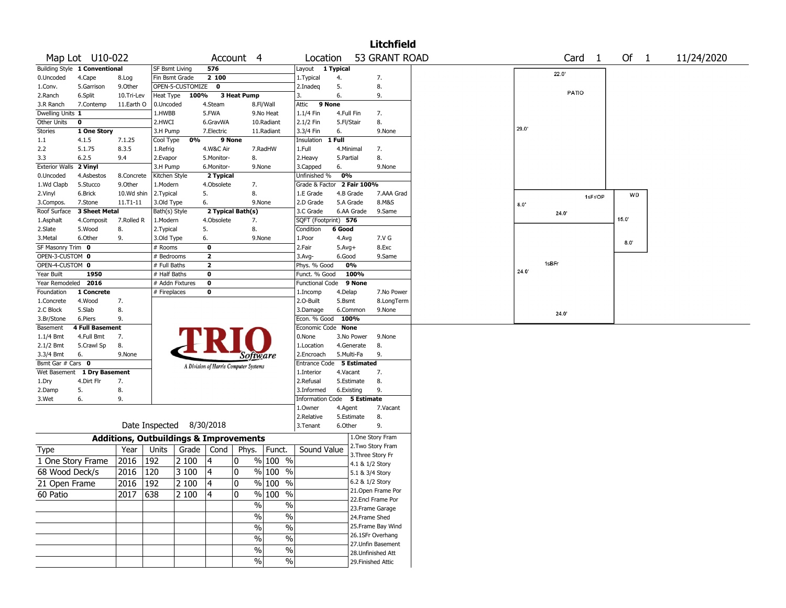|                                    |                        |                                                   |                                 |                  |                              |                                       |                     |                               |            |            | <b>Litchfield</b>                      |       |       |                   |       |            |  |
|------------------------------------|------------------------|---------------------------------------------------|---------------------------------|------------------|------------------------------|---------------------------------------|---------------------|-------------------------------|------------|------------|----------------------------------------|-------|-------|-------------------|-------|------------|--|
| Map Lot U10-022                    |                        |                                                   |                                 |                  |                              | Account 4                             |                     | Location                      |            |            | 53 GRANT ROAD                          |       |       | Card <sub>1</sub> | Of 1  | 11/24/2020 |  |
| Building Style 1 Conventional      |                        |                                                   | <b>SF Bsmt Living</b>           |                  | 576                          |                                       |                     | Layout 1 Typical              |            |            |                                        |       |       |                   |       |            |  |
| 0.Uncoded                          | 4.Cape                 | 8.Log                                             | Fin Bsmt Grade                  |                  | 2 100                        |                                       |                     | 1.Typical                     | 4.         |            | 7.                                     |       | 22.0' |                   |       |            |  |
| 1.Conv.                            | 5.Garrison             | 9.Other                                           |                                 | OPEN-5-CUSTOMIZE | $\mathbf{o}$                 |                                       |                     | 2.Inadeq                      | 5.         |            | 8.                                     |       |       |                   |       |            |  |
| 2.Ranch                            | 6.Split                | 10.Tri-Lev                                        | <b>Heat Type</b>                | 100%             |                              | 3 Heat Pump                           |                     | 3.                            | 6.         |            | 9.                                     |       | PATIO |                   |       |            |  |
| 3.R Ranch                          | 7.Contemp              | 11.Earth O                                        | 0.Uncoded                       |                  | 4.Steam                      |                                       | 8.Fl/Wall           | 9 None<br>Attic               |            |            |                                        |       |       |                   |       |            |  |
| Dwelling Units 1                   |                        |                                                   | 1.HWBB                          |                  | 5.FWA                        |                                       | 9.No Heat           | 1.1/4 Fin                     | 4.Full Fin |            | 7.                                     |       |       |                   |       |            |  |
| Other Units<br>$\mathbf 0$         |                        |                                                   | 2.HWCI                          |                  | 6.GravWA                     |                                       | 10.Radiant          | 2.1/2 Fin                     | 5.Fl/Stair |            | 8.                                     |       |       |                   |       |            |  |
| <b>Stories</b>                     | 1 One Story            |                                                   | 3.H Pump                        |                  | 7.Electric                   |                                       | 11.Radiant          | 3.3/4 Fin                     | 6.         |            | 9.None                                 | 29.0  |       |                   |       |            |  |
| 4.1.5<br>1.1                       |                        | 7.1.25                                            | Cool Type                       | 0%               |                              | 9 None                                |                     | Insulation                    | 1 Full     |            |                                        |       |       |                   |       |            |  |
| 2.2                                | 5.1.75                 | 8.3.5                                             | 1.Refrig                        |                  | 4.W&C Air                    |                                       | 7.RadHW             | 1.Full                        | 4.Minimal  |            | 7.                                     |       |       |                   |       |            |  |
| 3.3<br>6.2.5                       |                        | 9.4                                               | 2.Evapor                        |                  | 5.Monitor-                   | 8.                                    |                     | 2.Heavy                       | 5.Partial  |            | 8.                                     |       |       |                   |       |            |  |
| <b>Exterior Walls</b>              | 2 Vinyl                |                                                   | 3.H Pump                        |                  | 6.Monitor-                   |                                       | 9.None              | 3.Capped                      | 6.         |            | 9.None                                 |       |       |                   |       |            |  |
| 0.Uncoded                          | 4.Asbestos             | 8.Concrete                                        | Kitchen Style                   |                  | 2 Typical                    |                                       |                     | Unfinished %                  | 0%         |            |                                        |       |       |                   |       |            |  |
| 1.Wd Clapb                         | 5.Stucco               | 9.Other                                           | 1.Modern                        |                  | 4.Obsolete                   | 7.                                    |                     | Grade & Factor 2 Fair 100%    |            |            |                                        |       |       |                   |       |            |  |
| 2.Vinyl                            | 6.Brick                | 10.Wd shin                                        | 2.Typical                       |                  | 5.                           | 8.                                    |                     | 1.E Grade                     |            | 4.B Grade  | 7.AAA Grad                             |       |       | 1sFr/OP           | WD    |            |  |
| 3.Compos.                          | 7.Stone                | 11.T1-11                                          | 3.Old Type                      |                  | 6.                           |                                       | 9.None              | 2.D Grade                     |            | 5.A Grade  | 8.M&S                                  | 8.0"  |       |                   |       |            |  |
| Roof Surface                       | 3 Sheet Metal          |                                                   | Bath(s) Style                   |                  |                              | 2 Typical Bath(s)                     |                     | 3.C Grade                     |            | 6.AA Grade | 9.Same                                 |       | 24.0' |                   | 15.0' |            |  |
| 1.Asphalt                          | 4.Composit             | 7.Rolled R                                        | 1.Modern                        |                  | 4.Obsolete                   | 7.                                    |                     | SQFT (Footprint) 576          |            |            |                                        |       |       |                   |       |            |  |
| 2.Slate                            | 5.Wood                 | 8.                                                | 2.Typical                       |                  | 5.                           | 8.                                    |                     | Condition                     | 6 Good     |            |                                        |       |       |                   |       |            |  |
| 3.Metal                            | 6.Other                | 9.                                                | 3.Old Type                      |                  | 6.                           |                                       | 9.None              | 1.Poor                        | 4.Avg      |            | 7.V G                                  |       |       |                   | 8.0'  |            |  |
| SF Masonry Trim 0                  |                        |                                                   | # Rooms                         |                  | 0                            |                                       |                     | 2.Fair                        | $5.Avg+$   |            | 8.Exc                                  |       |       |                   |       |            |  |
| OPEN-3-CUSTOM 0<br>OPEN-4-CUSTOM 0 |                        |                                                   | # Bedrooms                      |                  | $\mathbf{2}$<br>$\mathbf{2}$ |                                       |                     | 3.Avg-                        | 6.Good     | 0%         | 9.Same                                 |       | 1sBFr |                   |       |            |  |
| Year Built                         | 1950                   |                                                   | # Full Baths                    |                  | 0                            |                                       |                     | Phys. % Good<br>Funct. % Good |            | 100%       |                                        | 24.0' |       |                   |       |            |  |
| Year Remodeled 2016                |                        |                                                   | # Half Baths<br># Addn Fixtures |                  | 0                            |                                       |                     | Functional Code 9 None        |            |            |                                        |       |       |                   |       |            |  |
| Foundation                         | 1 Concrete             |                                                   | # Fireplaces                    |                  | 0                            |                                       |                     | 1.Incomp                      | 4.Delap    |            | 7.No Power                             |       |       |                   |       |            |  |
| 1.Concrete                         | 4.Wood                 | 7.                                                |                                 |                  |                              |                                       |                     | 2.O-Built                     | 5.Bsmt     |            | 8.LongTerm                             |       |       |                   |       |            |  |
| 2.C Block                          | 5.Slab                 | 8.                                                |                                 |                  |                              |                                       |                     | 3.Damage                      |            | 6.Common   | 9.None                                 |       |       |                   |       |            |  |
| 3.Br/Stone                         | 6.Piers                | 9.                                                |                                 |                  |                              |                                       |                     | Econ. % Good                  | 100%       |            |                                        |       | 24.0' |                   |       |            |  |
| Basement                           | <b>4 Full Basement</b> |                                                   |                                 |                  |                              |                                       |                     | Economic Code None            |            |            |                                        |       |       |                   |       |            |  |
| 1.1/4 Bmt                          | 4.Full Bmt             | 7.                                                |                                 |                  |                              |                                       |                     | 0.None                        |            | 3.No Power | 9.None                                 |       |       |                   |       |            |  |
| 2.1/2 Bmt                          | 5.Crawl Sp             | 8.                                                |                                 |                  |                              |                                       |                     | 1.Location                    |            | 4.Generate | 8.                                     |       |       |                   |       |            |  |
| 3.3/4 Bmt<br>6.                    |                        | 9.None                                            |                                 |                  |                              | Software                              |                     | 2.Encroach                    |            | 5.Multi-Fa | 9.                                     |       |       |                   |       |            |  |
| Bsmt Gar # Cars 0                  |                        |                                                   |                                 |                  |                              | A Division of Harris Computer Systems |                     | Entrance Code 5 Estimated     |            |            |                                        |       |       |                   |       |            |  |
| Wet Basement 1 Dry Basement        |                        |                                                   |                                 |                  |                              |                                       |                     | 1.Interior                    | 4.Vacant   |            | 7.                                     |       |       |                   |       |            |  |
| 1.Dry                              | 4.Dirt Flr             | 7.                                                |                                 |                  |                              |                                       |                     | 2.Refusal                     |            | 5.Estimate | 8.                                     |       |       |                   |       |            |  |
| 2.Damp<br>5.                       |                        | 8.                                                |                                 |                  |                              |                                       |                     | 3.Informed                    |            | 6.Existing | 9.                                     |       |       |                   |       |            |  |
| 3.Wet<br>6.                        |                        | 9.                                                |                                 |                  |                              |                                       |                     | Information Code 5 Estimate   |            |            |                                        |       |       |                   |       |            |  |
|                                    |                        |                                                   |                                 |                  |                              |                                       |                     | 1.Owner                       | 4.Agent    |            | 7.Vacant                               |       |       |                   |       |            |  |
|                                    |                        |                                                   |                                 |                  |                              |                                       |                     | 2.Relative                    |            | 5.Estimate | 8.                                     |       |       |                   |       |            |  |
|                                    |                        | Date Inspected 8/30/2018                          |                                 |                  |                              |                                       |                     | 3.Tenant                      | 6.Other    |            | 9.                                     |       |       |                   |       |            |  |
|                                    |                        | <b>Additions, Outbuildings &amp; Improvements</b> |                                 |                  |                              |                                       |                     |                               |            |            | 1.One Story Fram                       |       |       |                   |       |            |  |
| <b>Type</b>                        |                        | Year                                              | Units                           | Grade            | Cond                         | Phys.                                 | Funct.              | Sound Value                   |            |            | 2. Two Story Fram                      |       |       |                   |       |            |  |
| 1 One Story Frame                  |                        | 2016                                              | 192                             | 2 100            | 4                            | 0                                     | $%100$ %            |                               |            |            | 3. Three Story Fr                      |       |       |                   |       |            |  |
|                                    |                        |                                                   |                                 |                  |                              |                                       |                     |                               |            |            | 4.1 & 1/2 Story                        |       |       |                   |       |            |  |
| 68 Wood Deck/s                     |                        | 2016                                              | 120                             | 3 100            | 4                            | 0                                     | $%100$ %            |                               |            |            | 5.1 & 3/4 Story                        |       |       |                   |       |            |  |
| 21 Open Frame                      |                        | 2016 192                                          |                                 | 2 100            | 4                            | 0                                     | $\frac{9}{6}$ 100 % |                               |            |            | 6.2 & 1/2 Story                        |       |       |                   |       |            |  |
| 60 Patio                           |                        | 2017 638                                          |                                 | 2 100            | 4                            | ۱o                                    | % 100 %             |                               |            |            | 21.Open Frame Por<br>22.Encl Frame Por |       |       |                   |       |            |  |
|                                    |                        |                                                   |                                 |                  |                              | $\frac{1}{2}$                         | $\frac{1}{2}$       |                               |            |            | 23. Frame Garage                       |       |       |                   |       |            |  |
|                                    |                        |                                                   |                                 |                  |                              | $\%$                                  | $\%$                |                               |            |            | 24.Frame Shed                          |       |       |                   |       |            |  |
|                                    |                        |                                                   |                                 |                  |                              |                                       | $\%$                |                               |            |            | 25. Frame Bay Wind                     |       |       |                   |       |            |  |
|                                    |                        |                                                   |                                 |                  |                              | $\%$                                  |                     |                               |            |            | 26.1SFr Overhang                       |       |       |                   |       |            |  |
|                                    |                        |                                                   |                                 |                  |                              | $\%$                                  | $\%$                |                               |            |            | 27.Unfin Basement                      |       |       |                   |       |            |  |
|                                    |                        |                                                   |                                 |                  |                              | $\%$                                  | $\%$                |                               |            |            | 28. Unfinished Att                     |       |       |                   |       |            |  |
|                                    |                        |                                                   |                                 |                  |                              | $\%$                                  | $\sqrt{6}$          |                               |            |            | 29. Finished Attic                     |       |       |                   |       |            |  |
|                                    |                        |                                                   |                                 |                  |                              |                                       |                     |                               |            |            |                                        |       |       |                   |       |            |  |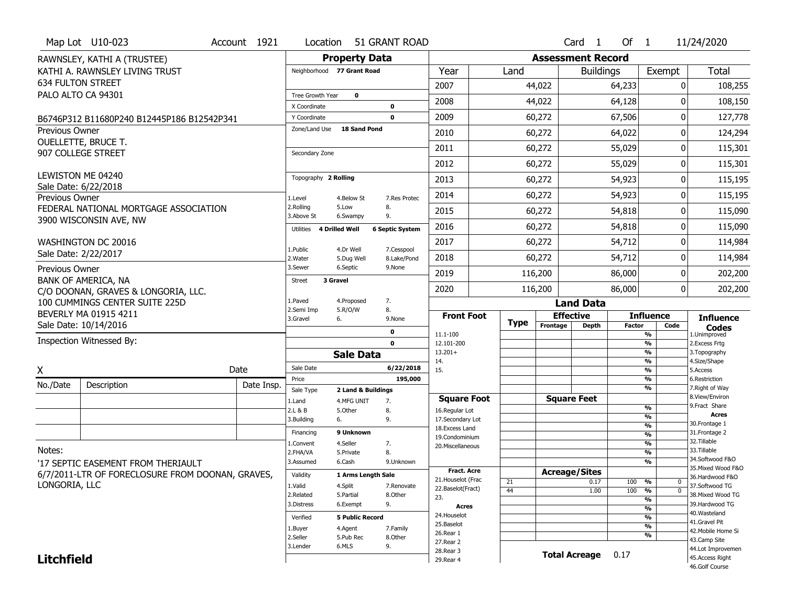|                       | Map Lot U10-023                                                                        | Account 1921 | Location                      |                                   | 51 GRANT ROAD          |                                         |             |                          | Card <sub>1</sub>                | Of $1$        |                                           | 11/24/2020                            |
|-----------------------|----------------------------------------------------------------------------------------|--------------|-------------------------------|-----------------------------------|------------------------|-----------------------------------------|-------------|--------------------------|----------------------------------|---------------|-------------------------------------------|---------------------------------------|
|                       | RAWNSLEY, KATHI A (TRUSTEE)                                                            |              |                               | <b>Property Data</b>              |                        |                                         |             | <b>Assessment Record</b> |                                  |               |                                           |                                       |
|                       | KATHI A. RAWNSLEY LIVING TRUST                                                         |              | Neighborhood 77 Grant Road    |                                   |                        | Year                                    | Land        |                          | <b>Buildings</b>                 |               | Exempt                                    | <b>Total</b>                          |
|                       | <b>634 FULTON STREET</b>                                                               |              |                               |                                   |                        | 2007                                    |             | 44,022                   |                                  | 64,233        | 0                                         | 108,255                               |
|                       | PALO ALTO CA 94301                                                                     |              | Tree Growth Year              | $\mathbf 0$                       |                        | 2008                                    |             | 44,022                   |                                  | 64,128        | O                                         | 108,150                               |
|                       |                                                                                        |              | X Coordinate                  |                                   | 0                      |                                         |             |                          |                                  |               |                                           |                                       |
|                       | B6746P312 B11680P240 B12445P186 B12542P341                                             |              | Y Coordinate<br>Zone/Land Use | <b>18 Sand Pond</b>               | $\mathbf 0$            | 2009                                    |             | 60,272                   |                                  | 67,506        | 0                                         | 127,778                               |
| <b>Previous Owner</b> | OUELLETTE, BRUCE T.                                                                    |              |                               |                                   |                        | 2010                                    |             | 60,272                   |                                  | 64,022        | O                                         | 124,294                               |
|                       | 907 COLLEGE STREET                                                                     |              | Secondary Zone                |                                   |                        | 2011                                    |             | 60,272                   |                                  | 55,029        | O                                         | 115,301                               |
|                       |                                                                                        |              |                               |                                   |                        | 2012                                    |             | 60,272                   |                                  | 55,029        | 0                                         | 115,301                               |
|                       | LEWISTON ME 04240                                                                      |              | Topography 2 Rolling          |                                   |                        | 2013                                    |             | 60,272                   |                                  | 54,923        | O                                         | 115,195                               |
|                       | Sale Date: 6/22/2018                                                                   |              |                               |                                   |                        | 2014                                    |             | 60,272                   |                                  | 54,923        | 0                                         | 115,195                               |
| <b>Previous Owner</b> | FEDERAL NATIONAL MORTGAGE ASSOCIATION                                                  |              | 1.Level<br>2.Rolling          | 4.Below St<br>5.Low               | 7.Res Protec<br>8.     | 2015                                    |             |                          |                                  |               | O                                         |                                       |
|                       | 3900 WISCONSIN AVE, NW                                                                 |              | 3.Above St                    | 6.Swampy                          | 9.                     |                                         |             | 60,272                   |                                  | 54,818        |                                           | 115,090                               |
|                       |                                                                                        |              | Utilities                     | 4 Drilled Well                    | <b>6 Septic System</b> | 2016                                    |             | 60,272                   |                                  | 54,818        | O                                         | 115,090                               |
|                       | WASHINGTON DC 20016                                                                    |              | 1.Public                      | 4.Dr Well                         | 7.Cesspool             | 2017                                    |             | 60,272                   |                                  | 54,712        | 0                                         | 114,984                               |
|                       | Sale Date: 2/22/2017                                                                   |              | 2. Water                      | 5.Dug Well                        | 8.Lake/Pond            | 2018                                    |             | 60,272                   |                                  | 54,712        | O                                         | 114,984                               |
| Previous Owner        |                                                                                        |              | 3.Sewer                       | 6.Septic                          | 9.None                 | 2019                                    |             | 116,200                  |                                  | 86,000        | 0                                         | 202,200                               |
|                       | BANK OF AMERICA, NA<br>C/O DOONAN, GRAVES & LONGORIA, LLC.                             |              | <b>Street</b>                 | 3 Gravel                          |                        | 2020                                    |             | 116,200                  |                                  | 86,000        | 0                                         | 202,200                               |
|                       | 100 CUMMINGS CENTER SUITE 225D                                                         |              | 1.Paved                       | 4.Proposed                        | 7.                     |                                         |             |                          | <b>Land Data</b>                 |               |                                           |                                       |
|                       |                                                                                        |              |                               |                                   |                        |                                         |             |                          |                                  |               |                                           |                                       |
|                       | BEVERLY MA 01915 4211                                                                  |              | 2.Semi Imp                    | 5.R/O/W                           | 8.                     | <b>Front Foot</b>                       |             |                          |                                  |               | <b>Influence</b>                          |                                       |
|                       | Sale Date: 10/14/2016                                                                  |              | 3.Gravel                      | 6.                                | 9.None                 |                                         | <b>Type</b> | Frontage                 | <b>Effective</b><br><b>Depth</b> | <b>Factor</b> | Code                                      | <b>Influence</b><br><b>Codes</b>      |
|                       | Inspection Witnessed By:                                                               |              |                               |                                   | 0<br>$\mathbf{o}$      | 11.1-100<br>12.101-200                  |             |                          |                                  |               | %<br>$\frac{9}{6}$                        | 1.Unimproved                          |
|                       |                                                                                        |              |                               | <b>Sale Data</b>                  |                        | $13.201+$                               |             |                          |                                  |               | $\frac{9}{6}$                             | 2.Excess Frtg<br>3. Topography        |
|                       |                                                                                        |              | Sale Date                     |                                   | 6/22/2018              | 14.<br>15.                              |             |                          |                                  |               | $\frac{9}{6}$<br>%                        | 4.Size/Shape<br>5.Access              |
| X                     |                                                                                        | Date         | Price                         |                                   | 195,000                |                                         |             |                          |                                  |               | $\frac{9}{6}$                             | 6.Restriction                         |
| No./Date              | Description                                                                            | Date Insp.   | Sale Type                     | 2 Land & Buildings                |                        |                                         |             |                          |                                  |               | %                                         | 7. Right of Way<br>8.View/Environ     |
|                       |                                                                                        |              | 1.Land<br>2.L & B             | 4.MFG UNIT<br>5.Other             | 7.<br>8.               | <b>Square Foot</b><br>16.Regular Lot    |             |                          | <b>Square Feet</b>               |               | $\frac{9}{6}$                             | 9.Fract Share                         |
|                       |                                                                                        |              | 3.Building                    | 6.                                | 9.                     | 17.Secondary Lot                        |             |                          |                                  |               | %                                         | <b>Acres</b>                          |
|                       |                                                                                        |              | Financing                     | 9 Unknown                         |                        | 18.Excess Land<br>19.Condominium        |             |                          |                                  |               | $\frac{9}{6}$<br>$\frac{9}{6}$            | 30.Frontage 1<br>31. Frontage 2       |
|                       |                                                                                        |              | 1.Convent                     | 4.Seller                          | 7.                     | 20.Miscellaneous                        |             |                          |                                  |               | $\frac{9}{6}$                             | 32. Tillable                          |
| Notes:                |                                                                                        |              | 2.FHA/VA<br>3.Assumed         | 5.Private<br>6.Cash               | 8.<br>9.Unknown        |                                         |             |                          |                                  |               | $\frac{9}{6}$<br>$\overline{\frac{9}{6}}$ | 33.Tillable<br>34.Softwood F&O        |
|                       | '17 SEPTIC EASEMENT FROM THERIAULT<br>6/7/2011-LTR OF FORECLOSURE FROM DOONAN, GRAVES, |              | Validity                      | 1 Arms Length Sale                |                        | <b>Fract. Acre</b>                      |             | <b>Acreage/Sites</b>     |                                  |               |                                           | 35. Mixed Wood F&O<br>36.Hardwood F&O |
| LONGORIA, LLC         |                                                                                        |              | 1.Valid                       | 4.Split                           | 7.Renovate             | 21. Houselot (Frac<br>22.Baselot(Fract) | 21          |                          | 0.17                             | 100           | %<br>0<br>$\overline{0}$                  | 37.Softwood TG                        |
|                       |                                                                                        |              | 2.Related                     | 5.Partial                         | 8.0ther                | 23.                                     | 44          |                          | 1.00                             | 100           | %<br>%                                    | 38. Mixed Wood TG                     |
|                       |                                                                                        |              | 3.Distress                    | 6.Exempt                          | 9.                     | Acres<br>24. Houselot                   |             |                          |                                  |               | $\frac{9}{6}$                             | 39.Hardwood TG<br>40.Wasteland        |
|                       |                                                                                        |              | Verified<br>1.Buyer           | <b>5 Public Record</b><br>4.Agent | 7.Family               | 25.Baselot                              |             |                          |                                  |               | %<br>$\overline{\frac{9}{6}}$             | 41.Gravel Pit                         |
|                       |                                                                                        |              | 2.Seller                      | 5.Pub Rec                         | 8.Other                | 26.Rear 1<br>27. Rear 2                 |             |                          |                                  |               | %                                         | 42. Mobile Home Si<br>43.Camp Site    |
| <b>Litchfield</b>     |                                                                                        |              | 3.Lender                      | 6.MLS                             | 9.                     | 28. Rear 3<br>29. Rear 4                |             |                          | <b>Total Acreage</b>             | 0.17          |                                           | 44.Lot Improvemen<br>45.Access Right  |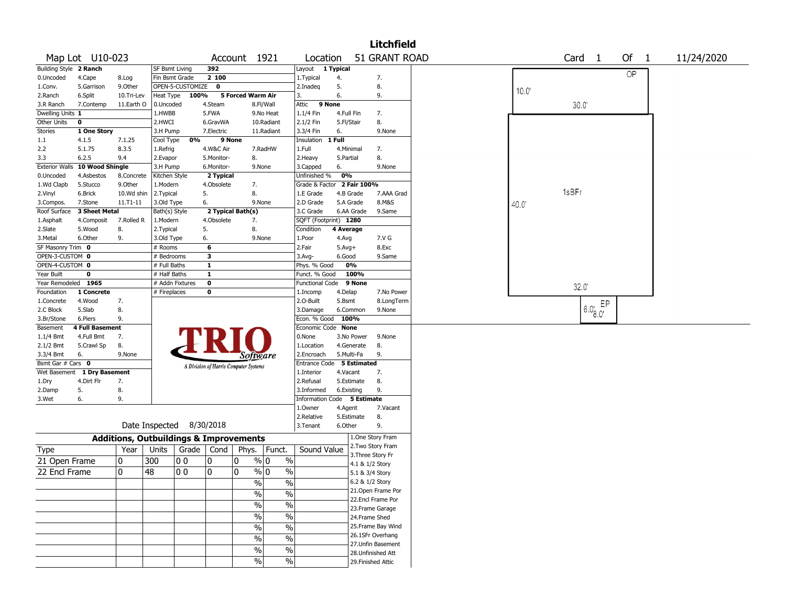|                                 |                        |              |                  |                                                   |                   |                                       |                         |                             |                          |             | <b>Litchfield</b>                       |       |       |                   |        |            |  |
|---------------------------------|------------------------|--------------|------------------|---------------------------------------------------|-------------------|---------------------------------------|-------------------------|-----------------------------|--------------------------|-------------|-----------------------------------------|-------|-------|-------------------|--------|------------|--|
|                                 | Map Lot U10-023        |              |                  |                                                   |                   | Account 1921                          |                         | Location                    |                          |             | 51 GRANT ROAD                           |       |       | Card <sub>1</sub> | Of $1$ | 11/24/2020 |  |
| Building Style 2 Ranch          |                        |              | SF Bsmt Living   |                                                   | 392               |                                       |                         | Layout 1 Typical            |                          |             |                                         |       |       |                   | OP     |            |  |
| 0.Uncoded                       | 4.Cape                 | 8.Log        |                  | Fin Bsmt Grade                                    | 2 100             |                                       |                         | 1. Typical                  | 4.                       |             | 7.                                      |       |       |                   |        |            |  |
| 1.Conv.                         | 5.Garrison             | 9.Other      |                  | OPEN-5-CUSTOMIZE                                  | $\mathbf 0$       |                                       |                         | 2.Inadeg                    | 5.                       |             | 8.                                      | 10.0' |       |                   |        |            |  |
| 2.Ranch                         | 6.Split                | 10.Tri-Lev   | Heat Type        | 100%                                              |                   | 5 Forced Warm Air                     |                         | 3.                          | 6.                       |             | 9.                                      |       |       |                   |        |            |  |
| 3.R Ranch                       | 7.Contemp              | 11.Earth O   | 0.Uncoded        |                                                   | 4.Steam           |                                       | 8.Fl/Wall               | 9 None<br>Attic             |                          |             |                                         |       |       | 30.0              |        |            |  |
| Dwelling Units 1<br>Other Units | $\mathbf 0$            |              | 1.HWBB<br>2.HWCI |                                                   | 5.FWA<br>6.GravWA |                                       | 9.No Heat<br>10.Radiant | 1.1/4 Fin<br>2.1/2 Fin      | 4.Full Fin<br>5.Fl/Stair |             | 7.<br>8.                                |       |       |                   |        |            |  |
| Stories                         | 1 One Story            |              | 3.H Pump         |                                                   | 7.Electric        |                                       | 11.Radiant              | 3.3/4 Fin                   | 6.                       |             | 9.None                                  |       |       |                   |        |            |  |
| 1.1                             | 4.1.5                  | 7.1.25       | Cool Type        | 0%                                                |                   | 9 None                                |                         | Insulation                  | 1 Full                   |             |                                         |       |       |                   |        |            |  |
| 2.2                             | 5.1.75                 | 8.3.5        | 1.Refrig         |                                                   | 4.W&C Air         |                                       | 7.RadHW                 | 1.Full                      | 4.Minimal                |             | 7.                                      |       |       |                   |        |            |  |
| 3.3                             | 6.2.5                  | 9.4          | 2.Evapor         |                                                   | 5.Monitor-        | 8.                                    |                         | 2.Heavy                     | 5.Partial                |             | 8.                                      |       |       |                   |        |            |  |
| <b>Exterior Walls</b>           | 10 Wood Shingle        |              | 3.H Pump         |                                                   | 6.Monitor-        |                                       | 9.None                  | 3.Capped                    | 6.                       |             | 9.None                                  |       |       |                   |        |            |  |
| 0.Uncoded                       | 4.Asbestos             | 8.Concrete   | Kitchen Style    |                                                   | 2 Typical         |                                       |                         | Unfinished %                | 0%                       |             |                                         |       |       |                   |        |            |  |
| 1.Wd Clapb                      | 5.Stucco               | 9.0ther      | 1.Modern         |                                                   | 4.Obsolete        | 7.                                    |                         | Grade & Factor              |                          | 2 Fair 100% |                                         |       |       |                   |        |            |  |
| 2.Vinyl                         | 6.Brick                | 10.Wd shin   | 2.Typical        |                                                   | 5.                | 8.                                    |                         | 1.E Grade                   |                          | 4.B Grade   | 7.AAA Grad                              |       | 1sBFr |                   |        |            |  |
| 3.Compos.                       | 7.Stone                | $11.71 - 11$ | 3.Old Type       |                                                   | 6.                |                                       | 9.None                  | 2.D Grade                   |                          | 5.A Grade   | 8.M&S                                   | 40.0  |       |                   |        |            |  |
| Roof Surface                    | <b>3 Sheet Metal</b>   |              | Bath(s) Style    |                                                   |                   | 2 Typical Bath(s)                     |                         | 3.C Grade                   |                          | 6.AA Grade  | 9.Same                                  |       |       |                   |        |            |  |
| 1.Asphalt                       | 4.Composit             | 7.Rolled R   | 1.Modern         |                                                   | 4.Obsolete        | 7.                                    |                         | SQFT (Footprint) 1280       |                          |             |                                         |       |       |                   |        |            |  |
| 2.Slate                         | 5.Wood                 | 8.           | 2. Typical       |                                                   | 5.                | 8.                                    |                         | Condition                   | 4 Average                |             |                                         |       |       |                   |        |            |  |
| 3.Metal                         | 6.Other                | 9.           | 3.Old Type       |                                                   | 6.                |                                       | 9.None                  | 1.Poor                      | 4.Avg                    |             | 7.V G                                   |       |       |                   |        |            |  |
| SF Masonry Trim 0               |                        |              | # Rooms          |                                                   | 6                 |                                       |                         | 2.Fair                      | $5.$ Avg $+$             |             | 8.Exc                                   |       |       |                   |        |            |  |
| OPEN-3-CUSTOM 0                 |                        |              | # Bedrooms       |                                                   | 3                 |                                       |                         | 3.Avg-                      | 6.Good                   |             | 9.Same                                  |       |       |                   |        |            |  |
| OPEN-4-CUSTOM 0                 |                        |              | # Full Baths     |                                                   | $\mathbf{1}$      |                                       |                         | Phys. % Good                |                          | 0%          |                                         |       |       |                   |        |            |  |
| Year Built                      | 0                      |              | # Half Baths     |                                                   | $\mathbf{1}$      |                                       |                         | Funct. % Good               |                          | 100%        |                                         |       |       |                   |        |            |  |
| Year Remodeled 1965             |                        |              |                  | # Addn Fixtures                                   | $\mathbf 0$       |                                       |                         | <b>Functional Code</b>      |                          | 9 None      |                                         |       |       | 32.0              |        |            |  |
| Foundation                      | 1 Concrete<br>4.Wood   |              | # Fireplaces     |                                                   | 0                 |                                       |                         | 1.Incomp<br>2.O-Built       | 4.Delap<br>5.Bsmt        |             | 7.No Power                              |       |       |                   |        |            |  |
| 1.Concrete<br>2.C Block         | 5.Slab                 | 7.<br>8.     |                  |                                                   |                   |                                       |                         | 3.Damage                    |                          | 6.Common    | 8.LongTerm<br>9.None                    |       |       | EP                |        |            |  |
| 3.Br/Stone                      | 6.Piers                | 9.           |                  |                                                   |                   |                                       |                         | Econ. % Good                | 100%                     |             |                                         |       |       | $6.0^{1}_{8.0}$   |        |            |  |
| Basement                        | <b>4 Full Basement</b> |              |                  |                                                   |                   |                                       |                         | Economic Code None          |                          |             |                                         |       |       |                   |        |            |  |
| 1.1/4 Bmt                       | 4.Full Bmt             | 7.           |                  |                                                   |                   |                                       |                         | 0.None                      |                          | 3.No Power  | 9.None                                  |       |       |                   |        |            |  |
| 2.1/2 Bmt                       | 5.Crawl Sp             | 8.           |                  |                                                   |                   |                                       |                         | 1.Location                  |                          | 4.Generate  | 8.                                      |       |       |                   |        |            |  |
| 3.3/4 Bmt                       | 6.                     | 9.None       |                  |                                                   |                   | Software                              |                         | 2.Encroach                  |                          | 5.Multi-Fa  | 9.                                      |       |       |                   |        |            |  |
| Bsmt Gar # Cars 0               |                        |              |                  |                                                   |                   | A Division of Harris Computer Systems |                         | Entrance Code 5 Estimated   |                          |             |                                         |       |       |                   |        |            |  |
| Wet Basement                    | 1 Dry Basement         |              |                  |                                                   |                   |                                       |                         | 1.Interior                  | 4.Vacant                 |             | 7.                                      |       |       |                   |        |            |  |
| 1.Dry                           | 4.Dirt Flr             | 7.           |                  |                                                   |                   |                                       |                         | 2.Refusal                   |                          | 5.Estimate  | 8.                                      |       |       |                   |        |            |  |
| 2.Damp                          | 5.                     | 8.           |                  |                                                   |                   |                                       |                         | 3.Informed                  | 6.Existing               |             | 9.                                      |       |       |                   |        |            |  |
| 3.Wet                           | 6.                     | 9.           |                  |                                                   |                   |                                       |                         | Information Code 5 Estimate |                          |             |                                         |       |       |                   |        |            |  |
|                                 |                        |              |                  |                                                   |                   |                                       |                         | 1.Owner                     | 4.Agent                  |             | 7.Vacant                                |       |       |                   |        |            |  |
|                                 |                        |              |                  |                                                   |                   |                                       |                         | 2.Relative                  |                          | 5.Estimate  | 8.                                      |       |       |                   |        |            |  |
|                                 |                        |              |                  | Date Inspected 8/30/2018                          |                   |                                       |                         | 3.Tenant                    | 6.Other                  |             | 9.                                      |       |       |                   |        |            |  |
|                                 |                        |              |                  | <b>Additions, Outbuildings &amp; Improvements</b> |                   |                                       |                         |                             |                          |             | 1.One Story Fram                        |       |       |                   |        |            |  |
| Type                            |                        | Year         | Units            | Grade   Cond                                      |                   | Phys.                                 | Funct.                  | Sound Value                 |                          |             | 2. Two Story Fram                       |       |       |                   |        |            |  |
| 21 Open Frame                   |                        | 0            | 300              | 100                                               | 10                | 0                                     | % 0<br>$\%$             |                             |                          |             | 3. Three Story Fr                       |       |       |                   |        |            |  |
|                                 |                        | $\mathbf{0}$ |                  |                                                   | 10                | 0                                     |                         |                             |                          |             | 4.1 & 1/2 Story                         |       |       |                   |        |            |  |
| 22 Encl Frame                   |                        |              | 48               | O 0                                               |                   |                                       | $\frac{0}{0}$<br>% 0    |                             |                          |             | 5.1 & 3/4 Story                         |       |       |                   |        |            |  |
|                                 |                        |              |                  |                                                   |                   | $\frac{1}{2}$                         | $\%$                    |                             |                          |             | 6.2 & 1/2 Story                         |       |       |                   |        |            |  |
|                                 |                        |              |                  |                                                   |                   | $\frac{0}{0}$                         | $\frac{0}{0}$           |                             |                          |             | 21. Open Frame Por<br>22.Encl Frame Por |       |       |                   |        |            |  |
|                                 |                        |              |                  |                                                   |                   | $\frac{0}{0}$                         | $\%$                    |                             |                          |             | 23. Frame Garage                        |       |       |                   |        |            |  |
|                                 |                        |              |                  |                                                   |                   | $\frac{1}{2}$                         | $\%$                    |                             |                          |             | 24.Frame Shed                           |       |       |                   |        |            |  |
|                                 |                        |              |                  |                                                   |                   |                                       |                         |                             |                          |             | 25. Frame Bay Wind                      |       |       |                   |        |            |  |
|                                 |                        |              |                  |                                                   |                   | $\frac{0}{0}$                         | $\%$                    |                             |                          |             | 26.1SFr Overhang                        |       |       |                   |        |            |  |
|                                 |                        |              |                  |                                                   |                   | $\frac{0}{0}$                         | $\%$                    |                             |                          |             | 27. Unfin Basement                      |       |       |                   |        |            |  |
|                                 |                        |              |                  |                                                   |                   | %                                     | $\frac{0}{0}$           |                             |                          |             | 28. Unfinished Att                      |       |       |                   |        |            |  |
|                                 |                        |              |                  |                                                   |                   | $\frac{0}{0}$                         | $\%$                    |                             |                          |             | 29. Finished Attic                      |       |       |                   |        |            |  |
|                                 |                        |              |                  |                                                   |                   |                                       |                         |                             |                          |             |                                         |       |       |                   |        |            |  |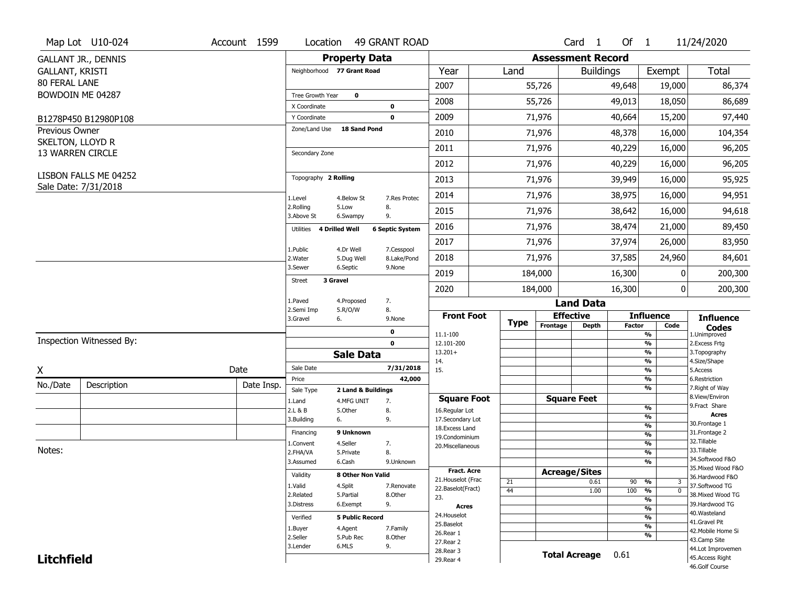|                                      | Map Lot U10-024                               | Account 1599 | Location                         |                        | <b>49 GRANT ROAD</b>   |                          |             |                          | Card <sub>1</sub>    | Of $1$        |                                | 11/24/2020                            |
|--------------------------------------|-----------------------------------------------|--------------|----------------------------------|------------------------|------------------------|--------------------------|-------------|--------------------------|----------------------|---------------|--------------------------------|---------------------------------------|
|                                      | <b>GALLANT JR., DENNIS</b>                    |              |                                  | <b>Property Data</b>   |                        |                          |             | <b>Assessment Record</b> |                      |               |                                |                                       |
| <b>GALLANT, KRISTI</b>               |                                               |              | Neighborhood 77 Grant Road       |                        |                        | Year                     | Land        |                          | <b>Buildings</b>     |               | Exempt                         | <b>Total</b>                          |
| <b>80 FERAL LANE</b>                 |                                               |              |                                  |                        |                        | 2007                     |             | 55,726                   |                      | 49,648        | 19,000                         | 86,374                                |
|                                      | BOWDOIN ME 04287                              |              | Tree Growth Year                 | $\mathbf 0$            |                        |                          |             |                          |                      |               |                                |                                       |
|                                      |                                               |              | X Coordinate                     |                        | $\mathbf 0$            | 2008                     |             | 55,726                   |                      | 49,013        | 18,050                         | 86,689                                |
|                                      | B1278P450 B12980P108                          |              | Y Coordinate                     |                        | $\mathbf 0$            | 2009                     |             | 71,976                   |                      | 40,664        | 15,200                         | 97,440                                |
| <b>Previous Owner</b>                |                                               |              | Zone/Land Use                    | <b>18 Sand Pond</b>    |                        | 2010                     |             | 71,976                   |                      | 48,378        | 16,000                         | 104,354                               |
| SKELTON, LLOYD R<br>13 WARREN CIRCLE |                                               |              | Secondary Zone                   |                        |                        | 2011                     |             | 71,976                   |                      | 40,229        | 16,000                         | 96,205                                |
|                                      |                                               |              |                                  |                        |                        | 2012                     |             | 71,976                   |                      | 40,229        | 16,000                         | 96,205                                |
|                                      | LISBON FALLS ME 04252<br>Sale Date: 7/31/2018 |              | Topography 2 Rolling             |                        |                        | 2013                     |             | 71,976                   |                      | 39,949        | 16,000                         | 95,925                                |
|                                      |                                               |              | 1.Level                          | 4.Below St             | 7.Res Protec           | 2014                     |             | 71,976                   |                      | 38,975        | 16,000                         | 94,951                                |
|                                      |                                               |              | 2.Rolling<br>5.Low<br>3.Above St | 6.Swampy               | 8.<br>9.               | 2015                     |             | 71,976                   |                      | 38,642        | 16,000                         | 94,618                                |
|                                      |                                               |              | 4 Drilled Well<br>Utilities      |                        | <b>6 Septic System</b> | 2016                     |             | 71,976                   |                      | 38,474        | 21,000                         | 89,450                                |
|                                      |                                               |              | 1.Public                         | 4.Dr Well              | 7.Cesspool             | 2017                     |             | 71,976                   |                      | 37,974        | 26,000                         | 83,950                                |
|                                      |                                               |              | 2. Water                         | 5.Dug Well             | 8.Lake/Pond            | 2018                     |             | 71,976                   |                      | 37,585        | 24,960                         | 84,601                                |
|                                      |                                               |              | 3.Sewer<br>3 Gravel              | 6.Septic               | 9.None                 | 2019                     |             | 184,000                  |                      | 16,300        | 0                              | 200,300                               |
|                                      |                                               |              | <b>Street</b>                    |                        |                        | 2020                     |             | 184,000                  |                      | 16,300        | 0                              | 200,300                               |
|                                      |                                               |              | 1.Paved<br>2.Semi Imp            | 4.Proposed             | 7.<br>8.               |                          |             |                          | <b>Land Data</b>     |               |                                |                                       |
|                                      |                                               |              | 3.Gravel<br>6.                   | 5.R/O/W                | 9.None                 | <b>Front Foot</b>        | <b>Type</b> | <b>Effective</b>         |                      |               | <b>Influence</b>               | <b>Influence</b>                      |
|                                      |                                               |              |                                  |                        | $\mathbf 0$            | 11.1-100                 |             | Frontage                 | <b>Depth</b>         | <b>Factor</b> | Code<br>%                      | <b>Codes</b><br>1.Unimproved          |
|                                      | Inspection Witnessed By:                      |              |                                  |                        | $\mathbf 0$            | 12.101-200               |             |                          |                      |               | $\frac{9}{6}$                  | 2.Excess Frtg                         |
|                                      |                                               |              |                                  | <b>Sale Data</b>       |                        | $13.201+$<br>14.         |             |                          |                      |               | %<br>%                         | 3. Topography<br>4.Size/Shape         |
| X                                    |                                               | Date         | Sale Date                        |                        | 7/31/2018              | 15.                      |             |                          |                      |               | %                              | 5.Access                              |
| No./Date                             | Description                                   | Date Insp.   | Price                            |                        | 42,000                 |                          |             |                          |                      |               | %<br>%                         | 6.Restriction                         |
|                                      |                                               |              | Sale Type                        | 2 Land & Buildings     |                        | <b>Square Foot</b>       |             |                          | <b>Square Feet</b>   |               |                                | 7. Right of Way<br>8.View/Environ     |
|                                      |                                               |              | 1.Land<br>2.L & B                | 4.MFG UNIT<br>5.0ther  | 7.<br>8.               | 16.Regular Lot           |             |                          |                      |               | $\frac{9}{6}$                  | 9.Fract Share                         |
|                                      |                                               |              | 3.Building<br>6.                 |                        | 9.                     | 17.Secondary Lot         |             |                          |                      |               | $\frac{9}{6}$                  | <b>Acres</b>                          |
|                                      |                                               |              | Financing                        | 9 Unknown              |                        | 18.Excess Land           |             |                          |                      |               | $\frac{9}{6}$<br>$\frac{9}{6}$ | 30. Frontage 1<br>31. Frontage 2      |
|                                      |                                               |              | 1.Convent                        | 4.Seller               | 7.                     | 19.Condominium           |             |                          |                      |               | $\frac{9}{6}$                  | 32. Tillable                          |
| Notes:                               |                                               |              | 2.FHA/VA                         | 5.Private              | 8.                     | 20.Miscellaneous         |             |                          |                      |               | $\frac{9}{6}$                  | 33.Tillable                           |
|                                      |                                               |              | 3.Assumed                        | 6.Cash                 | 9.Unknown              |                          |             |                          |                      |               | %                              | 34.Softwood F&O                       |
|                                      |                                               |              | Validity                         | 8 Other Non Valid      |                        | <b>Fract. Acre</b>       |             | <b>Acreage/Sites</b>     |                      |               |                                | 35. Mixed Wood F&O<br>36.Hardwood F&O |
|                                      |                                               |              | 1.Valid                          | 4.Split                | 7.Renovate             | 21. Houselot (Frac       | 21          |                          | 0.61                 | 90            | %<br>3                         | 37.Softwood TG                        |
|                                      |                                               |              | 2.Related                        | 5.Partial              | 8.Other                | 22.Baselot(Fract)<br>23. | 44          |                          | 1.00                 | 100           | $\overline{0}$<br>%            | 38. Mixed Wood TG                     |
|                                      |                                               |              | 3.Distress                       | 6.Exempt               | 9.                     | <b>Acres</b>             |             |                          |                      |               | $\frac{9}{6}$                  | 39.Hardwood TG                        |
|                                      |                                               |              | Verified                         | <b>5 Public Record</b> |                        | 24. Houselot             |             |                          |                      |               | $\frac{9}{6}$<br>$\frac{9}{6}$ | 40. Wasteland                         |
|                                      |                                               |              |                                  | 4.Agent                | 7.Family               | 25.Baselot               |             |                          |                      |               | $\frac{9}{6}$                  | 41.Gravel Pit                         |
|                                      |                                               |              | 1.Buyer<br>2.Seller              | 5.Pub Rec              | 8.0ther                | 26.Rear 1                |             |                          |                      |               | %                              | 42. Mobile Home Si<br>43.Camp Site    |
|                                      |                                               |              |                                  |                        |                        |                          |             |                          |                      |               |                                |                                       |
|                                      |                                               |              | 3.Lender                         | 6.MLS                  | 9.                     | 27.Rear 2                |             |                          |                      |               |                                |                                       |
| <b>Litchfield</b>                    |                                               |              |                                  |                        |                        | 28. Rear 3<br>29. Rear 4 |             |                          | <b>Total Acreage</b> | 0.61          |                                | 44.Lot Improvemen<br>45.Access Right  |